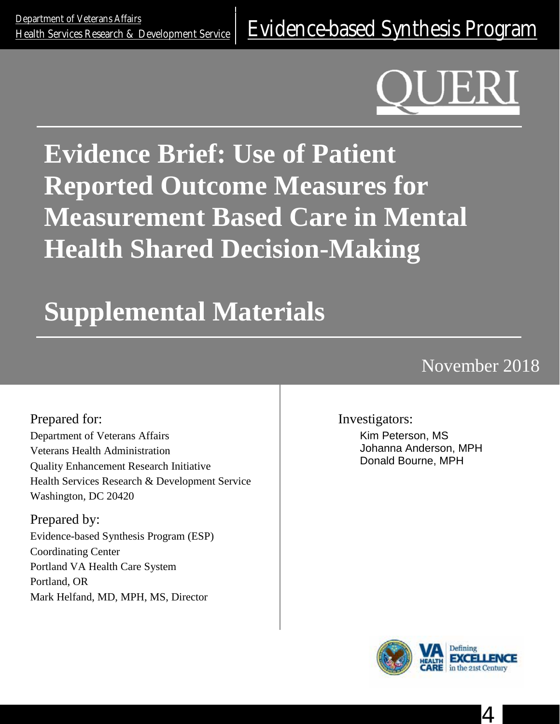# **Evidence Brief: Use of Patient Reported Outcome Measures for Measurement Based Care in Mental Health Shared Decision-Making**

# **Supplemental Materials**

# November 2018

Prepared for: Department of Veterans Affairs Veterans Health Administration Quality Enhancement Research Initiative Health Services Research & Development Service Washington, DC 20420

Prepared by: Evidence-based Synthesis Program (ESP) Coordinating Center Portland VA Health Care System Portland, OR Mark Helfand, MD, MPH, MS, Director

Investigators:

Kim Peterson, MS Johanna Anderson, MPH Donald Bourne, MPH



4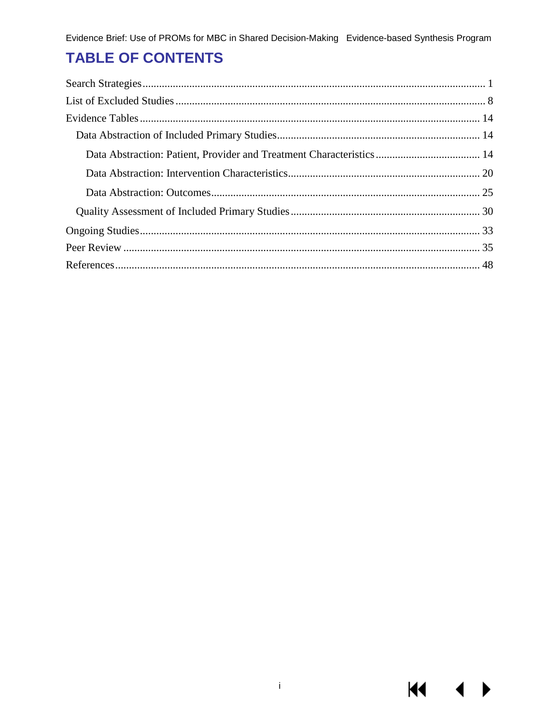# **TABLE OF CONTENTS**

**K4**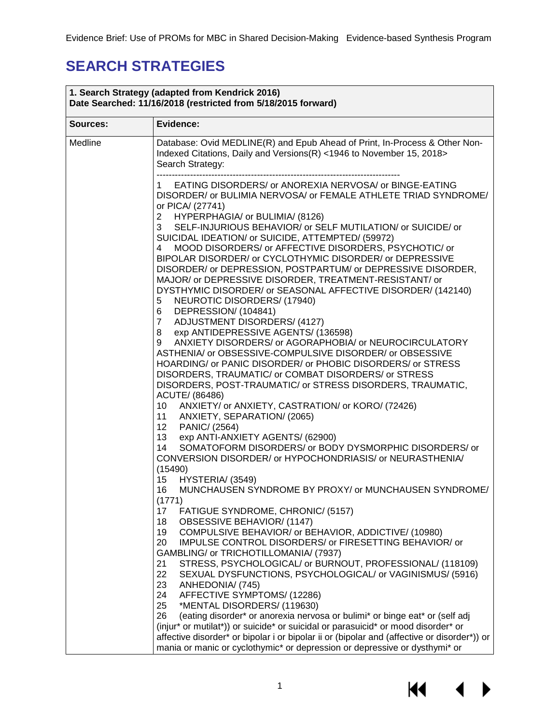# <span id="page-2-0"></span>**SEARCH STRATEGIES**

| 1. Search Strategy (adapted from Kendrick 2016)<br>Date Searched: 11/16/2018 (restricted from 5/18/2015 forward) |                                                                                                                                                                                                                                                                                                                                                                                                                                                                                                                                                                                                                                                                                                                                                                                                                                                               |  |
|------------------------------------------------------------------------------------------------------------------|---------------------------------------------------------------------------------------------------------------------------------------------------------------------------------------------------------------------------------------------------------------------------------------------------------------------------------------------------------------------------------------------------------------------------------------------------------------------------------------------------------------------------------------------------------------------------------------------------------------------------------------------------------------------------------------------------------------------------------------------------------------------------------------------------------------------------------------------------------------|--|
| Sources:                                                                                                         | Evidence:                                                                                                                                                                                                                                                                                                                                                                                                                                                                                                                                                                                                                                                                                                                                                                                                                                                     |  |
| Medline                                                                                                          | Database: Ovid MEDLINE(R) and Epub Ahead of Print, In-Process & Other Non-<br>Indexed Citations, Daily and Versions(R) <1946 to November 15, 2018><br>Search Strategy:                                                                                                                                                                                                                                                                                                                                                                                                                                                                                                                                                                                                                                                                                        |  |
|                                                                                                                  | EATING DISORDERS/ or ANOREXIA NERVOSA/ or BINGE-EATING<br>1.<br>DISORDER/ or BULIMIA NERVOSA/ or FEMALE ATHLETE TRIAD SYNDROME/<br>or PICA/ (27741)<br>HYPERPHAGIA/ or BULIMIA/ (8126)<br>$\mathbf{2}$<br>3<br>SELF-INJURIOUS BEHAVIOR/ or SELF MUTILATION/ or SUICIDE/ or<br>SUICIDAL IDEATION/ or SUICIDE, ATTEMPTED/ (59972)<br>MOOD DISORDERS/ or AFFECTIVE DISORDERS, PSYCHOTIC/ or<br>4<br>BIPOLAR DISORDER/ or CYCLOTHYMIC DISORDER/ or DEPRESSIVE<br>DISORDER/ or DEPRESSION, POSTPARTUM/ or DEPRESSIVE DISORDER,<br>MAJOR/ or DEPRESSIVE DISORDER, TREATMENT-RESISTANT/ or<br>DYSTHYMIC DISORDER/ or SEASONAL AFFECTIVE DISORDER/ (142140)<br>NEUROTIC DISORDERS/ (17940)<br>5<br>DEPRESSION/ (104841)<br>6<br>ADJUSTMENT DISORDERS/ (4127)<br>7 <sup>7</sup><br>8 exp ANTIDEPRESSIVE AGENTS/ (136598)                                               |  |
|                                                                                                                  | ANXIETY DISORDERS/ or AGORAPHOBIA/ or NEUROCIRCULATORY<br>9<br>ASTHENIA/ or OBSESSIVE-COMPULSIVE DISORDER/ or OBSESSIVE<br>HOARDING/ or PANIC DISORDER/ or PHOBIC DISORDERS/ or STRESS<br>DISORDERS, TRAUMATIC/ or COMBAT DISORDERS/ or STRESS<br>DISORDERS, POST-TRAUMATIC/ or STRESS DISORDERS, TRAUMATIC,<br>ACUTE/ (86486)<br>10 ANXIETY/ or ANXIETY, CASTRATION/ or KORO/ (72426)<br>ANXIETY, SEPARATION/ (2065)<br>11                                                                                                                                                                                                                                                                                                                                                                                                                                   |  |
|                                                                                                                  | PANIC/ (2564)<br>12<br>13<br>exp ANTI-ANXIETY AGENTS/ (62900)<br>SOMATOFORM DISORDERS/ or BODY DYSMORPHIC DISORDERS/ or<br>14<br>CONVERSION DISORDER/ or HYPOCHONDRIASIS/ or NEURASTHENIA/<br>(15490)<br>HYSTERIA/ (3549)<br>15<br>MUNCHAUSEN SYNDROME BY PROXY/ or MUNCHAUSEN SYNDROME/<br>16                                                                                                                                                                                                                                                                                                                                                                                                                                                                                                                                                                |  |
|                                                                                                                  | (1771)<br>FATIGUE SYNDROME, CHRONIC/ (5157)<br>17<br>18<br>OBSESSIVE BEHAVIOR/ (1147)<br>19<br>COMPULSIVE BEHAVIOR/ or BEHAVIOR, ADDICTIVE/ (10980)<br>IMPULSE CONTROL DISORDERS/ or FIRESETTING BEHAVIOR/ or<br>20<br>GAMBLING/ or TRICHOTILLOMANIA/ (7937)<br>STRESS, PSYCHOLOGICAL/ or BURNOUT, PROFESSIONAL/ (118109)<br>21<br>22<br>SEXUAL DYSFUNCTIONS, PSYCHOLOGICAL/ or VAGINISMUS/ (5916)<br>23<br>ANHEDONIA/ (745)<br>24<br>AFFECTIVE SYMPTOMS/ (12286)<br>25<br>*MENTAL DISORDERS/ (119630)<br>(eating disorder* or anorexia nervosa or bulimi* or binge eat* or (self adj<br>26<br>(injur* or mutilat*)) or suicide* or suicidal or parasuicid* or mood disorder* or<br>affective disorder* or bipolar i or bipolar ii or (bipolar and (affective or disorder*)) or<br>mania or manic or cyclothymic* or depression or depressive or dysthymi* or |  |

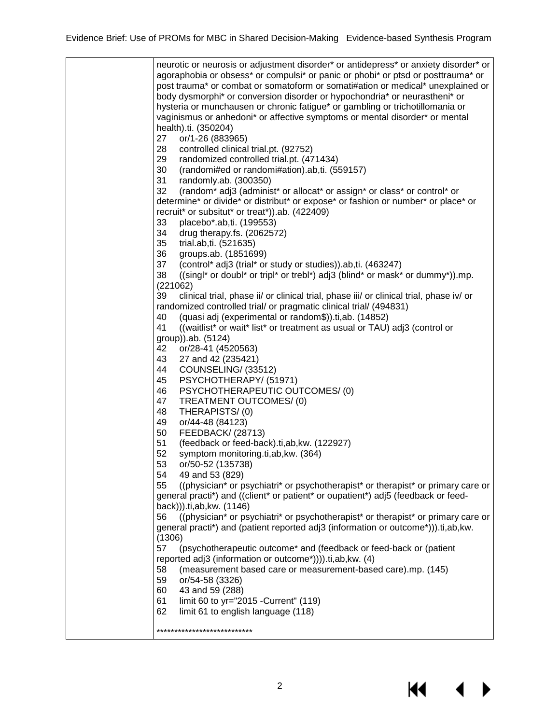neurotic or neurosis or adjustment disorder\* or antidepress\* or anxiety disorder\* or agoraphobia or obsess\* or compulsi\* or panic or phobi\* or ptsd or posttrauma\* or post trauma\* or combat or somatoform or somati#ation or medical\* unexplained or body dysmorphi\* or conversion disorder or hypochondria\* or neurastheni\* or hysteria or munchausen or chronic fatigue\* or gambling or trichotillomania or vaginismus or anhedoni\* or affective symptoms or mental disorder\* or mental health).ti. (350204) 27 or/1-26 (883965) 28 controlled clinical trial.pt. (92752) 29 randomized controlled trial.pt. (471434) 30 (randomi#ed or randomi#ation).ab,ti. (559157) 31 randomly.ab. (300350) 32 (random\* adj3 (administ\* or allocat\* or assign\* or class\* or control\* or determine\* or divide\* or distribut\* or expose\* or fashion or number\* or place\* or recruit\* or subsitut\* or treat\*)).ab. (422409) 33 placebo\*.ab,ti. (199553)<br>34 drug therapy.fs. (206257 drug therapy.fs. (2062572) 35 trial.ab,ti. (521635) 36 groups.ab. (1851699)<br>37 (control\* adj3 (trial\* or 37 (control\* adj3 (trial\* or study or studies)).ab,ti. (463247) 38 ((singl\* or doubl\* or tripl\* or trebl\*) adj3 (blind\* or mask\* or dummy\*)).mp. (221062) 39 clinical trial, phase ii/ or clinical trial, phase iii/ or clinical trial, phase iv/ or randomized controlled trial/ or pragmatic clinical trial/ (494831) 40 (quasi adj (experimental or random\$)).ti,ab. (14852) 41 ((waitlist\* or wait\* list\* or treatment as usual or TAU) adj3 (control or group)).ab. (5124) 42 or/28-41 (4520563) 43 27 and 42 (235421) 44 COUNSELING/ (33512) 45 PSYCHOTHERAPY/ (51971) 46 PSYCHOTHERAPEUTIC OUTCOMES/ (0) 47 TREATMENT OUTCOMES/ (0) 48 THERAPISTS/ (0) 49 or/44-48 (84123) 50 FEEDBACK/ (28713) 51 (feedback or feed-back).ti,ab,kw. (122927)<br>52 symptom monitoring.ti,ab,kw. (364) symptom monitoring.ti,ab, kw. (364) 53 or/50-52 (135738) 54 49 and 53 (829)<br>55 ((physician\* or p. 55 ((physician\* or psychiatri\* or psychotherapist\* or therapist\* or primary care or general practi\*) and ((client\* or patient\* or oupatient\*) adj5 (feedback or feedback))).ti,ab,kw. (1146) 56 ((physician\* or psychiatri\* or psychotherapist\* or therapist\* or primary care or general practi\*) and (patient reported adj3 (information or outcome\*))).ti,ab,kw. (1306) 57 (psychotherapeutic outcome\* and (feedback or feed-back or (patient reported adj3 (information or outcome\*)))).ti,ab,kw. (4) 58 (measurement based care or measurement-based care).mp. (145) 59 or/54-58 (3326) 60 43 and 59 (288) 61 limit 60 to yr="2015 -Current" (119) 62 limit 61 to english language (118) \*\*\*\*\*\*\*\*\*\*\*\*\*\*\*\*\*\*\*\*\*\*\*\*\*\*\*

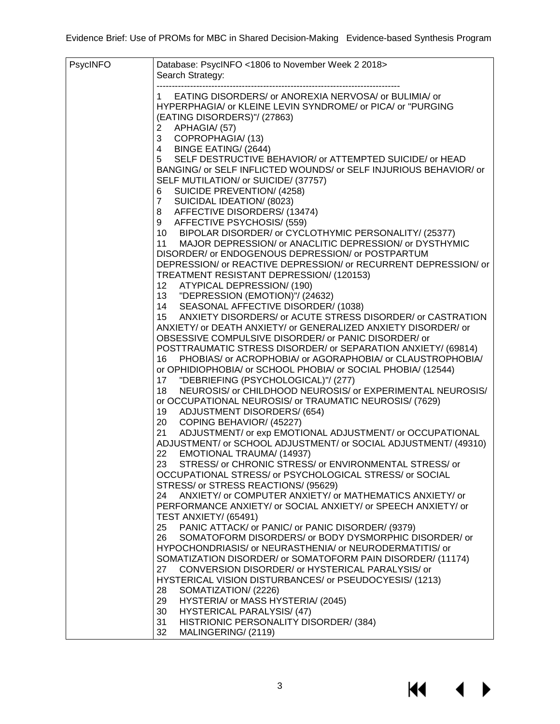| PsycINFO | Database: PsycINFO <1806 to November Week 2 2018>                                                                                   |
|----------|-------------------------------------------------------------------------------------------------------------------------------------|
|          | Search Strategy:                                                                                                                    |
|          | EATING DISORDERS/ or ANOREXIA NERVOSA/ or BULIMIA/ or<br>1.                                                                         |
|          | HYPERPHAGIA/ or KLEINE LEVIN SYNDROME/ or PICA/ or "PURGING                                                                         |
|          | (EATING DISORDERS)"/ (27863)                                                                                                        |
|          | APHAGIA/ (57)<br>2                                                                                                                  |
|          | COPROPHAGIA/(13)<br>3                                                                                                               |
|          | 4 BINGE EATING/ (2644)<br>SELF DESTRUCTIVE BEHAVIOR/ or ATTEMPTED SUICIDE/ or HEAD                                                  |
|          | 5<br>BANGING/ or SELF INFLICTED WOUNDS/ or SELF INJURIOUS BEHAVIOR/ or                                                              |
|          | SELF MUTILATION/ or SUICIDE/ (37757)                                                                                                |
|          | SUICIDE PREVENTION/ (4258)<br>6                                                                                                     |
|          | SUICIDAL IDEATION/ (8023)<br>$\overline{7}$                                                                                         |
|          | 8 AFFECTIVE DISORDERS/ (13474)                                                                                                      |
|          | 9 AFFECTIVE PSYCHOSIS/ (559)                                                                                                        |
|          | 10 BIPOLAR DISORDER/ or CYCLOTHYMIC PERSONALITY/ (25377)                                                                            |
|          | 11 MAJOR DEPRESSION/ or ANACLITIC DEPRESSION/ or DYSTHYMIC                                                                          |
|          | DISORDER/ or ENDOGENOUS DEPRESSION/ or POSTPARTUM<br>DEPRESSION/ or REACTIVE DEPRESSION/ or RECURRENT DEPRESSION/ or                |
|          | TREATMENT RESISTANT DEPRESSION/ (120153)                                                                                            |
|          | 12 ATYPICAL DEPRESSION/ (190)                                                                                                       |
|          | 13 "DEPRESSION (EMOTION)"/ (24632)                                                                                                  |
|          | SEASONAL AFFECTIVE DISORDER/ (1038)<br>14                                                                                           |
|          | ANXIETY DISORDERS/ or ACUTE STRESS DISORDER/ or CASTRATION<br>15                                                                    |
|          | ANXIETY/ or DEATH ANXIETY/ or GENERALIZED ANXIETY DISORDER/ or                                                                      |
|          | OBSESSIVE COMPULSIVE DISORDER/ or PANIC DISORDER/ or                                                                                |
|          | POSTTRAUMATIC STRESS DISORDER/ or SEPARATION ANXIETY/ (69814)<br>PHOBIAS/ or ACROPHOBIA/ or AGORAPHOBIA/ or CLAUSTROPHOBIA/<br>16 - |
|          | or OPHIDIOPHOBIA/ or SCHOOL PHOBIA/ or SOCIAL PHOBIA/ (12544)                                                                       |
|          | "DEBRIEFING (PSYCHOLOGICAL)"/ (277)<br>17                                                                                           |
|          | NEUROSIS/ or CHILDHOOD NEUROSIS/ or EXPERIMENTAL NEUROSIS/<br>18                                                                    |
|          | or OCCUPATIONAL NEUROSIS/ or TRAUMATIC NEUROSIS/ (7629)                                                                             |
|          | <b>ADJUSTMENT DISORDERS/ (654)</b><br>19                                                                                            |
|          | COPING BEHAVIOR/ (45227)<br>20                                                                                                      |
|          | ADJUSTMENT/ or exp EMOTIONAL ADJUSTMENT/ or OCCUPATIONAL<br>21<br>ADJUSTMENT/ or SCHOOL ADJUSTMENT/ or SOCIAL ADJUSTMENT/ (49310)   |
|          | EMOTIONAL TRAUMA/ (14937)<br>22                                                                                                     |
|          | STRESS/ or CHRONIC STRESS/ or ENVIRONMENTAL STRESS/ or<br>23 —                                                                      |
|          | OCCUPATIONAL STRESS/ or PSYCHOLOGICAL STRESS/ or SOCIAL                                                                             |
|          | STRESS/ or STRESS REACTIONS/ (95629)                                                                                                |
|          | ANXIETY/ or COMPUTER ANXIETY/ or MATHEMATICS ANXIETY/ or<br>24                                                                      |
|          | PERFORMANCE ANXIETY/ or SOCIAL ANXIETY/ or SPEECH ANXIETY/ or                                                                       |
|          | TEST ANXIETY/ (65491)                                                                                                               |
|          | PANIC ATTACK/ or PANIC/ or PANIC DISORDER/ (9379)<br>25<br>SOMATOFORM DISORDERS/ or BODY DYSMORPHIC DISORDER/ or<br>26              |
|          | HYPOCHONDRIASIS/ or NEURASTHENIA/ or NEURODERMATITIS/ or                                                                            |
|          | SOMATIZATION DISORDER/ or SOMATOFORM PAIN DISORDER/ (11174)                                                                         |
|          | CONVERSION DISORDER/ or HYSTERICAL PARALYSIS/ or<br>27                                                                              |
|          | HYSTERICAL VISION DISTURBANCES/ or PSEUDOCYESIS/ (1213)                                                                             |
|          | SOMATIZATION/ (2226)<br>28                                                                                                          |
|          | HYSTERIA/ or MASS HYSTERIA/ (2045)<br>29                                                                                            |
|          | 30<br><b>HYSTERICAL PARALYSIS/(47)</b>                                                                                              |
|          | 31<br>HISTRIONIC PERSONALITY DISORDER/ (384)<br>32<br>MALINGERING/ (2119)                                                           |
|          |                                                                                                                                     |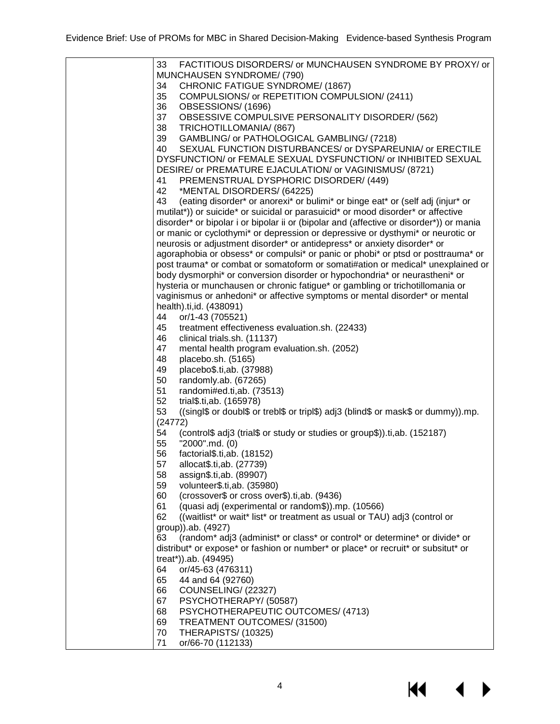| 33<br>FACTITIOUS DISORDERS/ or MUNCHAUSEN SYNDROME BY PROXY/ or                          |
|------------------------------------------------------------------------------------------|
| MUNCHAUSEN SYNDROME/ (790)                                                               |
| CHRONIC FATIGUE SYNDROME/ (1867)<br>34                                                   |
| 35<br>COMPULSIONS/ or REPETITION COMPULSION/ (2411)                                      |
| 36<br>OBSESSIONS/(1696)                                                                  |
| OBSESSIVE COMPULSIVE PERSONALITY DISORDER/ (562)<br>37                                   |
| 38<br>TRICHOTILLOMANIA/ (867)                                                            |
| 39<br>GAMBLING/ or PATHOLOGICAL GAMBLING/ (7218)                                         |
| 40<br>SEXUAL FUNCTION DISTURBANCES/ or DYSPAREUNIA/ or ERECTILE                          |
| DYSFUNCTION/ or FEMALE SEXUAL DYSFUNCTION/ or INHIBITED SEXUAL                           |
| DESIRE/ or PREMATURE EJACULATION/ or VAGINISMUS/ (8721)                                  |
| PREMENSTRUAL DYSPHORIC DISORDER/ (449)<br>41                                             |
| *MENTAL DISORDERS/ (64225)<br>42                                                         |
| (eating disorder* or anorexi* or bulimi* or binge eat* or (self adj (injur* or<br>43     |
| mutilat*)) or suicide* or suicidal or parasuicid* or mood disorder* or affective         |
| disorder* or bipolar i or bipolar ii or (bipolar and (affective or disorder*)) or mania  |
| or manic or cyclothymi* or depression or depressive or dysthymi* or neurotic or          |
| neurosis or adjustment disorder* or antidepress* or anxiety disorder* or                 |
| agoraphobia or obsess* or compulsi* or panic or phobi* or ptsd or posttrauma* or         |
| post trauma* or combat or somatoform or somati#ation or medical* unexplained or          |
| body dysmorphi* or conversion disorder or hypochondria* or neurastheni* or               |
| hysteria or munchausen or chronic fatigue* or gambling or trichotillomania or            |
| vaginismus or anhedoni* or affective symptoms or mental disorder* or mental              |
| health).ti,id. (438091)                                                                  |
| or/1-43 (705521)<br>44                                                                   |
| 45<br>treatment effectiveness evaluation.sh. (22433)                                     |
| 46<br>clinical trials.sh. (11137)                                                        |
| 47<br>mental health program evaluation.sh. (2052)                                        |
| 48<br>placebo.sh. (5165)                                                                 |
| placebo\$.ti,ab. (37988)<br>49                                                           |
| 50<br>randomly.ab. (67265)                                                               |
| 51<br>randomi#ed.ti,ab. (73513)                                                          |
| 52<br>trial\$.ti,ab. (165978)                                                            |
| ((singl\$ or doubl\$ or trebl\$ or tripl\$) adj3 (blind\$ or mask\$ or dummy)).mp.<br>53 |
| (24772)                                                                                  |
| 54<br>(control\$ adj3 (trial\$ or study or studies or group\$)).ti,ab. (152187)          |
| "2000".md. (0)<br>55                                                                     |
| 56<br>factorial\$.ti,ab. (18152)                                                         |
| 57<br>allocat\$.ti,ab. (27739)                                                           |
| assign\$.ti,ab. (89907)<br>58                                                            |
| volunteer\$.ti,ab. (35980)<br>59                                                         |
| (crossover\$ or cross over\$).ti,ab. (9436)<br>60                                        |
| 61<br>(quasi adj (experimental or random\$)).mp. (10566)                                 |
| 62<br>((waitlist* or wait* list* or treatment as usual or TAU) adj3 (control or          |
| group)).ab. (4927)                                                                       |
| (random* adj3 (administ* or class* or control* or determine* or divide* or<br>63         |
| distribut* or expose* or fashion or number* or place* or recruit* or subsitut* or        |
| treat*)).ab. (49495)                                                                     |
| or/45-63 (476311)<br>64                                                                  |
| 65<br>44 and 64 (92760)                                                                  |
| 66<br>COUNSELING/ (22327)                                                                |
| 67<br>PSYCHOTHERAPY/(50587)                                                              |
| 68<br>PSYCHOTHERAPEUTIC OUTCOMES/ (4713)                                                 |
| TREATMENT OUTCOMES/ (31500)<br>69                                                        |
| THERAPISTS/(10325)<br>70                                                                 |
| or/66-70 (112133)<br>71                                                                  |
|                                                                                          |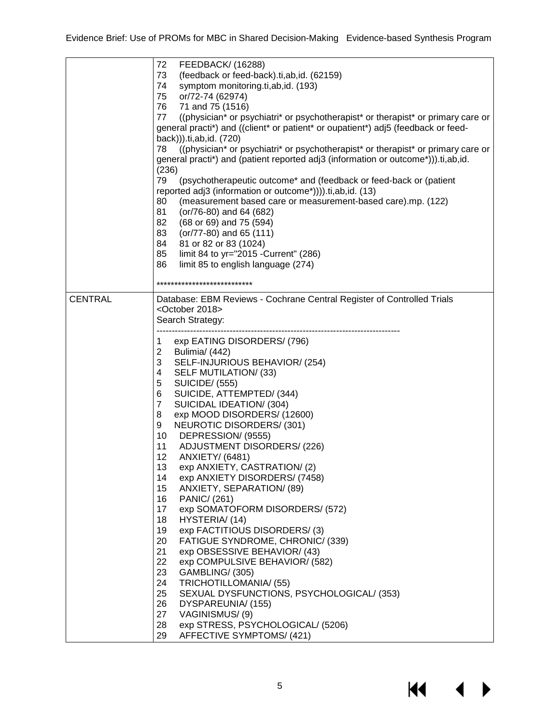|                | 72<br>FEEDBACK/ (16288)<br>73<br>(feedback or feed-back).ti,ab,id. (62159)<br>symptom monitoring.ti,ab,id. (193)<br>74<br>or/72-74 (62974)<br>75<br>76<br>71 and 75 (1516)<br>((physician* or psychiatri* or psychotherapist* or therapist* or primary care or<br>77<br>general practi*) and ((client* or patient* or oupatient*) adj5 (feedback or feed-<br>back))).ti,ab,id. (720)<br>((physician* or psychiatri* or psychotherapist* or therapist* or primary care or<br>78<br>general practi*) and (patient reported adj3 (information or outcome*))).ti,ab,id.<br>(236)<br>79<br>(psychotherapeutic outcome* and (feedback or feed-back or (patient<br>reported adj3 (information or outcome*)))).ti,ab,id. (13)<br>(measurement based care or measurement-based care).mp. (122)<br>80<br>81<br>(or/76-80) and 64 (682)<br>82<br>(68 or 69) and 75 (594)<br>83<br>$(or/77-80)$ and 65 $(111)$<br>81 or 82 or 83 (1024)<br>84<br>85<br>limit 84 to yr="2015 - Current" (286)<br>86<br>limit 85 to english language (274)                                                                                                                                                |
|----------------|-----------------------------------------------------------------------------------------------------------------------------------------------------------------------------------------------------------------------------------------------------------------------------------------------------------------------------------------------------------------------------------------------------------------------------------------------------------------------------------------------------------------------------------------------------------------------------------------------------------------------------------------------------------------------------------------------------------------------------------------------------------------------------------------------------------------------------------------------------------------------------------------------------------------------------------------------------------------------------------------------------------------------------------------------------------------------------------------------------------------------------------------------------------------------------|
|                | ***************************                                                                                                                                                                                                                                                                                                                                                                                                                                                                                                                                                                                                                                                                                                                                                                                                                                                                                                                                                                                                                                                                                                                                                 |
| <b>CENTRAL</b> | Database: EBM Reviews - Cochrane Central Register of Controlled Trials<br><october 2018=""><br/>Search Strategy:<br/>exp EATING DISORDERS/ (796)<br/>1<br/><math>\overline{2}</math><br/>Bulimia/ (442)<br/>3<br/>SELF-INJURIOUS BEHAVIOR/ (254)<br/>SELF MUTILATION/ (33)<br/>4<br/>5<br/><b>SUICIDE/ (555)</b><br/>SUICIDE, ATTEMPTED/ (344)<br/>6<br/><math>\overline{7}</math><br/>SUICIDAL IDEATION/ (304)<br/>8<br/>exp MOOD DISORDERS/ (12600)<br/>NEUROTIC DISORDERS/ (301)<br/>9<br/>DEPRESSION/ (9555)<br/>10<br/><b>ADJUSTMENT DISORDERS/ (226)</b><br/>11<br/>12<br/>ANXIETY/ (6481)<br/>exp ANXIETY, CASTRATION/(2)<br/>13<br/>14<br/>exp ANXIETY DISORDERS/ (7458)<br/>15<br/>ANXIETY, SEPARATION/ (89)<br/>16<br/>PANIC/ (261)<br/>17<br/>exp SOMATOFORM DISORDERS/ (572)<br/>18<br/>HYSTERIA/(14)<br/>19<br/>exp FACTITIOUS DISORDERS/(3)<br/>FATIGUE SYNDROME, CHRONIC/ (339)<br/>20<br/>21<br/>exp OBSESSIVE BEHAVIOR/ (43)<br/>22<br/>exp COMPULSIVE BEHAVIOR/ (582)<br/>23<br/>GAMBLING/ (305)<br/>24<br/>TRICHOTILLOMANIA/ (55)<br/>25<br/>SEXUAL DYSFUNCTIONS, PSYCHOLOGICAL/ (353)<br/>26<br/>DYSPAREUNIA/ (155)<br/>27<br/>VAGINISMUS/(9)</october> |
|                | exp STRESS, PSYCHOLOGICAL/ (5206)<br>28<br>29<br>AFFECTIVE SYMPTOMS/ (421)                                                                                                                                                                                                                                                                                                                                                                                                                                                                                                                                                                                                                                                                                                                                                                                                                                                                                                                                                                                                                                                                                                  |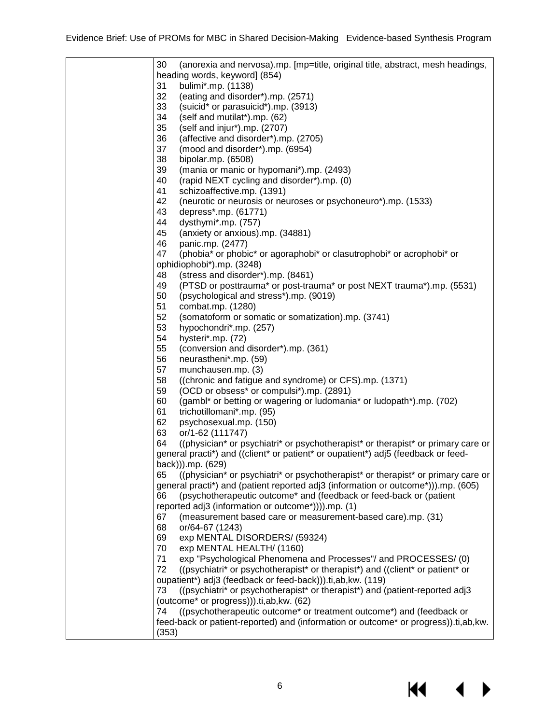| 30<br>(anorexia and nervosa).mp. [mp=title, original title, abstract, mesh headings,   |
|----------------------------------------------------------------------------------------|
| heading words, keyword] (854)                                                          |
| bulimi*.mp. (1138)<br>31                                                               |
| 32<br>(eating and disorder*).mp. (2571)                                                |
| 33<br>(suicid* or parasuicid*).mp. (3913)                                              |
| 34<br>(self and mutilat*).mp. (62)                                                     |
| 35<br>(self and injur*).mp. (2707)                                                     |
| 36<br>(affective and disorder*).mp. (2705)                                             |
| 37                                                                                     |
| (mood and disorder*).mp. (6954)                                                        |
| 38<br>bipolar.mp. (6508)                                                               |
| 39<br>(mania or manic or hypomani*).mp. (2493)                                         |
| 40<br>(rapid NEXT cycling and disorder*).mp. (0)                                       |
| 41<br>schizoaffective.mp. (1391)                                                       |
| 42<br>(neurotic or neurosis or neuroses or psychoneuro*).mp. (1533)                    |
| depress*.mp. (61771)<br>43                                                             |
| dysthymi*.mp. (757)<br>44                                                              |
| 45<br>(anxiety or anxious).mp. (34881)                                                 |
| 46<br>panic.mp. (2477)                                                                 |
| 47<br>(phobia* or phobic* or agoraphobi* or clasutrophobi* or acrophobi* or            |
| ophidiophobi*).mp. (3248)                                                              |
| (stress and disorder*).mp. (8461)<br>48                                                |
| 49<br>(PTSD or posttrauma* or post-trauma* or post NEXT trauma*).mp. (5531)            |
| 50<br>(psychological and stress*).mp. (9019)                                           |
| 51<br>combat.mp. (1280)                                                                |
| 52<br>(somatoform or somatic or somatization).mp. (3741)                               |
| 53<br>hypochondri*.mp. (257)                                                           |
| 54<br>hysteri*.mp. (72)                                                                |
| 55<br>(conversion and disorder*).mp. (361)                                             |
| 56<br>neurastheni*.mp. (59)                                                            |
| 57<br>munchausen.mp. (3)                                                               |
| 58<br>((chronic and fatigue and syndrome) or CFS).mp. (1371)                           |
| 59<br>(OCD or obsess* or compulsi*).mp. (2891)                                         |
| 60<br>(gambl* or betting or wagering or ludomania* or ludopath*).mp. (702)             |
| 61<br>trichotillomani*.mp. (95)                                                        |
| 62<br>psychosexual.mp. (150)                                                           |
| 63<br>or/1-62 (111747)                                                                 |
| 64<br>((physician* or psychiatri* or psychotherapist* or therapist* or primary care or |
| general practi*) and ((client* or patient* or oupatient*) adj5 (feedback or feed-      |
| back))).mp. (629)                                                                      |
| ((physician* or psychiatri* or psychotherapist* or therapist* or primary care or<br>65 |
| general practi*) and (patient reported adj3 (information or outcome*))).mp. (605)      |
| (psychotherapeutic outcome* and (feedback or feed-back or (patient<br>66               |
| reported adj3 (information or outcome*)))).mp. (1)                                     |
| (measurement based care or measurement-based care).mp. (31)<br>67                      |
| 68<br>or/64-67 (1243)                                                                  |
| exp MENTAL DISORDERS/ (59324)<br>69                                                    |
| 70<br>exp MENTAL HEALTH/ (1160)                                                        |
| exp "Psychological Phenomena and Processes"/and PROCESSES/(0)<br>71                    |
| 72<br>((psychiatri* or psychotherapist* or therapist*) and ((client* or patient* or    |
| oupatient*) adj3 (feedback or feed-back))).ti,ab, kw. (119)                            |
| ((psychiatri* or psychotherapist* or therapist*) and (patient-reported adj3<br>73      |
| (outcome* or progress))).ti,ab, kw. (62)                                               |
| ((psychotherapeutic outcome* or treatment outcome*) and (feedback or<br>74             |
| feed-back or patient-reported) and (information or outcome* or progress)).ti,ab,kw.    |
| (353)                                                                                  |

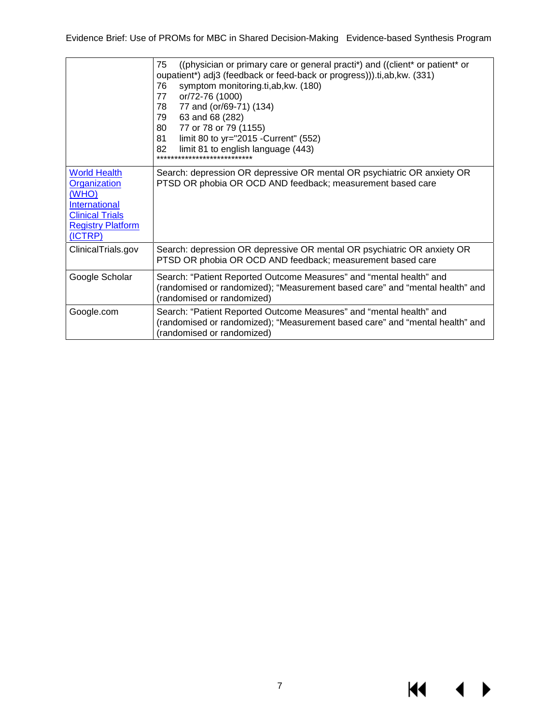|                                                                                                                                       | ((physician or primary care or general practi*) and ((client* or patient* or<br>75<br>oupatient*) adj3 (feedback or feed-back or progress))).ti,ab, kw. (331)<br>symptom monitoring.ti,ab,kw. (180)<br>76<br>or/72-76 (1000)<br>77<br>77 and (or/69-71) (134)<br>78.<br>63 and 68 (282)<br>79<br>77 or 78 or 79 (1155)<br>80<br>limit 80 to yr="2015 - Current" (552)<br>81<br>limit 81 to english language (443)<br>82 |
|---------------------------------------------------------------------------------------------------------------------------------------|-------------------------------------------------------------------------------------------------------------------------------------------------------------------------------------------------------------------------------------------------------------------------------------------------------------------------------------------------------------------------------------------------------------------------|
| <b>World Health</b><br>Organization<br>(WHO)<br><b>International</b><br><b>Clinical Trials</b><br><b>Registry Platform</b><br>(ICTRP) | Search: depression OR depressive OR mental OR psychiatric OR anxiety OR<br>PTSD OR phobia OR OCD AND feedback; measurement based care                                                                                                                                                                                                                                                                                   |
| ClinicalTrials.gov                                                                                                                    | Search: depression OR depressive OR mental OR psychiatric OR anxiety OR<br>PTSD OR phobia OR OCD AND feedback; measurement based care                                                                                                                                                                                                                                                                                   |
| Google Scholar                                                                                                                        | Search: "Patient Reported Outcome Measures" and "mental health" and<br>(randomised or randomized); "Measurement based care" and "mental health" and<br>(randomised or randomized)                                                                                                                                                                                                                                       |
| Google.com                                                                                                                            | Search: "Patient Reported Outcome Measures" and "mental health" and<br>(randomised or randomized); "Measurement based care" and "mental health" and<br>(randomised or randomized)                                                                                                                                                                                                                                       |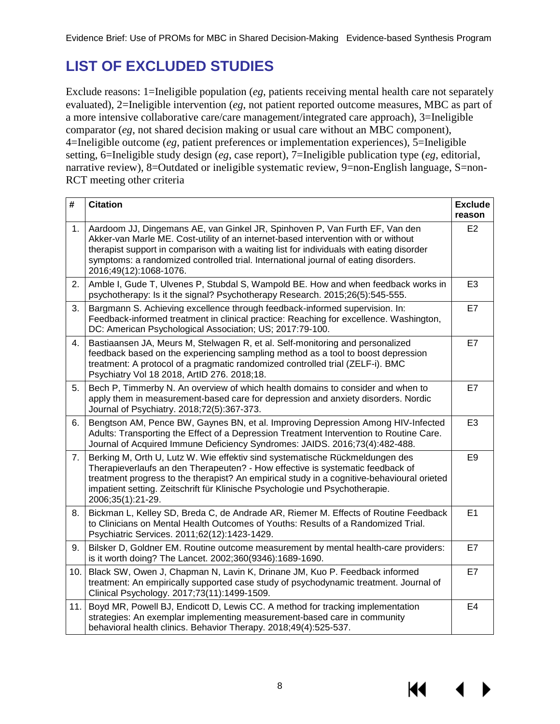# <span id="page-9-0"></span>**LIST OF EXCLUDED STUDIES**

Exclude reasons: 1=Ineligible population (*eg*, patients receiving mental health care not separately evaluated), 2=Ineligible intervention (*eg*, not patient reported outcome measures, MBC as part of a more intensive collaborative care/care management/integrated care approach), 3=Ineligible comparator (*eg*, not shared decision making or usual care without an MBC component), 4=Ineligible outcome (*eg*, patient preferences or implementation experiences), 5=Ineligible setting, 6=Ineligible study design (*eg*, case report), 7=Ineligible publication type (*eg*, editorial, narrative review), 8=Outdated or ineligible systematic review, 9=non-English language, S=non-RCT meeting other criteria

| #   | <b>Citation</b>                                                                                                                                                                                                                                                                                                                                                                | <b>Exclude</b><br>reason |
|-----|--------------------------------------------------------------------------------------------------------------------------------------------------------------------------------------------------------------------------------------------------------------------------------------------------------------------------------------------------------------------------------|--------------------------|
| 1.  | Aardoom JJ, Dingemans AE, van Ginkel JR, Spinhoven P, Van Furth EF, Van den<br>Akker-van Marle ME. Cost-utility of an internet-based intervention with or without<br>therapist support in comparison with a waiting list for individuals with eating disorder<br>symptoms: a randomized controlled trial. International journal of eating disorders.<br>2016;49(12):1068-1076. | E <sub>2</sub>           |
| 2.  | Amble I, Gude T, Ulvenes P, Stubdal S, Wampold BE. How and when feedback works in<br>psychotherapy: Is it the signal? Psychotherapy Research. 2015;26(5):545-555.                                                                                                                                                                                                              | E <sub>3</sub>           |
| 3.  | Bargmann S. Achieving excellence through feedback-informed supervision. In:<br>Feedback-informed treatment in clinical practice: Reaching for excellence. Washington,<br>DC: American Psychological Association; US; 2017:79-100.                                                                                                                                              | E7                       |
| 4.  | Bastiaansen JA, Meurs M, Stelwagen R, et al. Self-monitoring and personalized<br>feedback based on the experiencing sampling method as a tool to boost depression<br>treatment: A protocol of a pragmatic randomized controlled trial (ZELF-i). BMC<br>Psychiatry Vol 18 2018, ArtID 276. 2018;18.                                                                             | E7                       |
| 5.  | Bech P, Timmerby N. An overview of which health domains to consider and when to<br>apply them in measurement-based care for depression and anxiety disorders. Nordic<br>Journal of Psychiatry. 2018;72(5):367-373.                                                                                                                                                             | E7                       |
| 6.  | Bengtson AM, Pence BW, Gaynes BN, et al. Improving Depression Among HIV-Infected<br>Adults: Transporting the Effect of a Depression Treatment Intervention to Routine Care.<br>Journal of Acquired Immune Deficiency Syndromes: JAIDS. 2016;73(4):482-488.                                                                                                                     | E <sub>3</sub>           |
| 7.  | Berking M, Orth U, Lutz W. Wie effektiv sind systematische Rückmeldungen des<br>Therapieverlaufs an den Therapeuten? - How effective is systematic feedback of<br>treatment progress to the therapist? An empirical study in a cognitive-behavioural orieted<br>impatient setting. Zeitschrift für Klinische Psychologie und Psychotherapie.<br>2006;35(1):21-29.              | E <sub>9</sub>           |
| 8.  | Bickman L, Kelley SD, Breda C, de Andrade AR, Riemer M. Effects of Routine Feedback<br>to Clinicians on Mental Health Outcomes of Youths: Results of a Randomized Trial.<br>Psychiatric Services. 2011;62(12):1423-1429.                                                                                                                                                       | E1                       |
| 9.  | Bilsker D, Goldner EM. Routine outcome measurement by mental health-care providers:<br>is it worth doing? The Lancet. 2002;360(9346):1689-1690.                                                                                                                                                                                                                                | E7                       |
| 10. | Black SW, Owen J, Chapman N, Lavin K, Drinane JM, Kuo P. Feedback informed<br>treatment: An empirically supported case study of psychodynamic treatment. Journal of<br>Clinical Psychology. 2017;73(11):1499-1509.                                                                                                                                                             | E7                       |
| 11. | Boyd MR, Powell BJ, Endicott D, Lewis CC. A method for tracking implementation<br>strategies: An exemplar implementing measurement-based care in community<br>behavioral health clinics. Behavior Therapy. 2018;49(4):525-537.                                                                                                                                                 | E <sub>4</sub>           |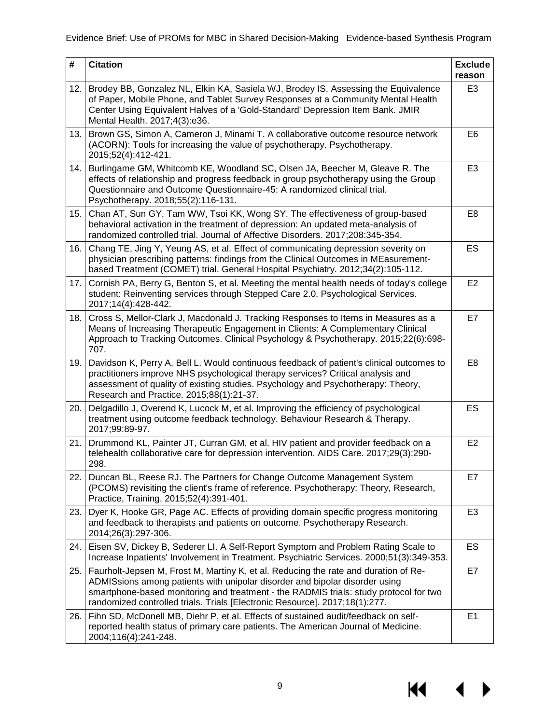| #   | <b>Citation</b>                                                                                                                                                                                                                                                                                                                            | <b>Exclude</b><br>reason |
|-----|--------------------------------------------------------------------------------------------------------------------------------------------------------------------------------------------------------------------------------------------------------------------------------------------------------------------------------------------|--------------------------|
| 12. | Brodey BB, Gonzalez NL, Elkin KA, Sasiela WJ, Brodey IS. Assessing the Equivalence<br>of Paper, Mobile Phone, and Tablet Survey Responses at a Community Mental Health<br>Center Using Equivalent Halves of a 'Gold-Standard' Depression Item Bank. JMIR<br>Mental Health. 2017;4(3):e36.                                                  | E <sub>3</sub>           |
| 13. | Brown GS, Simon A, Cameron J, Minami T. A collaborative outcome resource network<br>(ACORN): Tools for increasing the value of psychotherapy. Psychotherapy.<br>2015;52(4):412-421.                                                                                                                                                        | E <sub>6</sub>           |
| 14. | Burlingame GM, Whitcomb KE, Woodland SC, Olsen JA, Beecher M, Gleave R. The<br>effects of relationship and progress feedback in group psychotherapy using the Group<br>Questionnaire and Outcome Questionnaire-45: A randomized clinical trial.<br>Psychotherapy. 2018;55(2):116-131.                                                      | E <sub>3</sub>           |
| 15. | Chan AT, Sun GY, Tam WW, Tsoi KK, Wong SY. The effectiveness of group-based<br>behavioral activation in the treatment of depression: An updated meta-analysis of<br>randomized controlled trial. Journal of Affective Disorders. 2017;208:345-354.                                                                                         | E <sub>8</sub>           |
| 16. | Chang TE, Jing Y, Yeung AS, et al. Effect of communicating depression severity on<br>physician prescribing patterns: findings from the Clinical Outcomes in MEasurement-<br>based Treatment (COMET) trial. General Hospital Psychiatry. 2012;34(2):105-112.                                                                                | ES                       |
|     | 17. Cornish PA, Berry G, Benton S, et al. Meeting the mental health needs of today's college<br>student: Reinventing services through Stepped Care 2.0. Psychological Services.<br>2017;14(4):428-442.                                                                                                                                     | E2                       |
| 18. | Cross S, Mellor-Clark J, Macdonald J. Tracking Responses to Items in Measures as a<br>Means of Increasing Therapeutic Engagement in Clients: A Complementary Clinical<br>Approach to Tracking Outcomes. Clinical Psychology & Psychotherapy. 2015;22(6):698-<br>707.                                                                       | E7                       |
| 19. | Davidson K, Perry A, Bell L. Would continuous feedback of patient's clinical outcomes to<br>practitioners improve NHS psychological therapy services? Critical analysis and<br>assessment of quality of existing studies. Psychology and Psychotherapy: Theory,<br>Research and Practice. 2015;88(1):21-37.                                | E <sub>8</sub>           |
| 20. | Delgadillo J, Overend K, Lucock M, et al. Improving the efficiency of psychological<br>treatment using outcome feedback technology. Behaviour Research & Therapy.<br>2017;99:89-97.                                                                                                                                                        | ES                       |
| 21. | Drummond KL, Painter JT, Curran GM, et al. HIV patient and provider feedback on a<br>telehealth collaborative care for depression intervention. AIDS Care. 2017;29(3):290-<br>298.                                                                                                                                                         | E <sub>2</sub>           |
| 22. | Duncan BL, Reese RJ. The Partners for Change Outcome Management System<br>(PCOMS) revisiting the client's frame of reference. Psychotherapy: Theory, Research,<br>Practice, Training. 2015;52(4):391-401.                                                                                                                                  | E7                       |
| 23. | Dyer K, Hooke GR, Page AC. Effects of providing domain specific progress monitoring<br>and feedback to therapists and patients on outcome. Psychotherapy Research.<br>2014;26(3):297-306.                                                                                                                                                  | E <sub>3</sub>           |
| 24. | Eisen SV, Dickey B, Sederer LI. A Self-Report Symptom and Problem Rating Scale to<br>Increase Inpatients' Involvement in Treatment. Psychiatric Services. 2000;51(3):349-353.                                                                                                                                                              | ES                       |
| 25. | Faurholt-Jepsen M, Frost M, Martiny K, et al. Reducing the rate and duration of Re-<br>ADMISsions among patients with unipolar disorder and bipolar disorder using<br>smartphone-based monitoring and treatment - the RADMIS trials: study protocol for two<br>randomized controlled trials. Trials [Electronic Resource]. 2017;18(1):277. | E7                       |
| 26. | Fihn SD, McDonell MB, Diehr P, et al. Effects of sustained audit/feedback on self-<br>reported health status of primary care patients. The American Journal of Medicine.<br>2004;116(4):241-248.                                                                                                                                           | E <sub>1</sub>           |

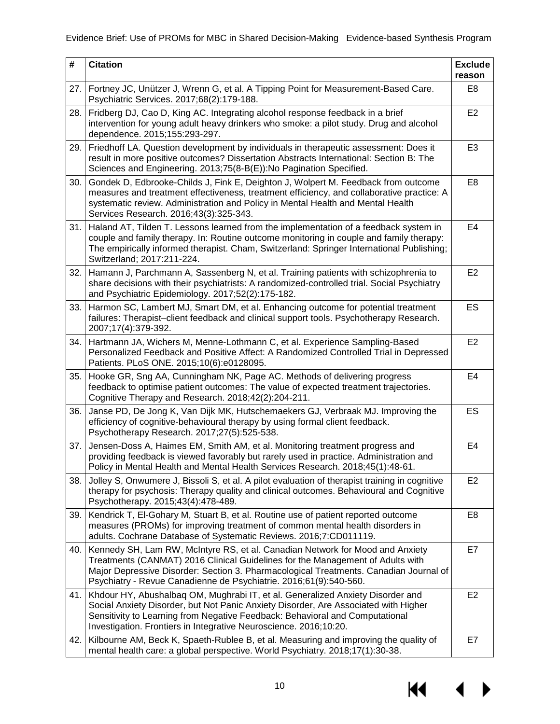| #   | <b>Citation</b>                                                                                                                                                                                                                                                                                                               | <b>Exclude</b><br>reason |
|-----|-------------------------------------------------------------------------------------------------------------------------------------------------------------------------------------------------------------------------------------------------------------------------------------------------------------------------------|--------------------------|
| 27. | Fortney JC, Unützer J, Wrenn G, et al. A Tipping Point for Measurement-Based Care.<br>Psychiatric Services. 2017;68(2):179-188.                                                                                                                                                                                               | E8                       |
| 28. | Fridberg DJ, Cao D, King AC. Integrating alcohol response feedback in a brief<br>intervention for young adult heavy drinkers who smoke: a pilot study. Drug and alcohol<br>dependence. 2015;155:293-297.                                                                                                                      | E <sub>2</sub>           |
| 29. | Friedhoff LA. Question development by individuals in therapeutic assessment: Does it<br>result in more positive outcomes? Dissertation Abstracts International: Section B: The<br>Sciences and Engineering. 2013;75(8-B(E)):No Pagination Specified.                                                                          | E <sub>3</sub>           |
| 30. | Gondek D, Edbrooke-Childs J, Fink E, Deighton J, Wolpert M. Feedback from outcome<br>measures and treatment effectiveness, treatment efficiency, and collaborative practice: A<br>systematic review. Administration and Policy in Mental Health and Mental Health<br>Services Research. 2016;43(3):325-343.                   | E <sub>8</sub>           |
| 31. | Haland AT, Tilden T. Lessons learned from the implementation of a feedback system in<br>couple and family therapy. In: Routine outcome monitoring in couple and family therapy:<br>The empirically informed therapist. Cham, Switzerland: Springer International Publishing;<br>Switzerland; 2017:211-224.                    | E4                       |
| 32. | Hamann J, Parchmann A, Sassenberg N, et al. Training patients with schizophrenia to<br>share decisions with their psychiatrists: A randomized-controlled trial. Social Psychiatry<br>and Psychiatric Epidemiology. 2017;52(2):175-182.                                                                                        | E <sub>2</sub>           |
| 33. | Harmon SC, Lambert MJ, Smart DM, et al. Enhancing outcome for potential treatment<br>failures: Therapist-client feedback and clinical support tools. Psychotherapy Research.<br>2007;17(4):379-392.                                                                                                                           | <b>ES</b>                |
| 34. | Hartmann JA, Wichers M, Menne-Lothmann C, et al. Experience Sampling-Based<br>Personalized Feedback and Positive Affect: A Randomized Controlled Trial in Depressed<br>Patients. PLoS ONE. 2015;10(6):e0128095.                                                                                                               | E <sub>2</sub>           |
| 35. | Hooke GR, Sng AA, Cunningham NK, Page AC. Methods of delivering progress<br>feedback to optimise patient outcomes: The value of expected treatment trajectories.<br>Cognitive Therapy and Research. 2018;42(2):204-211.                                                                                                       | E4                       |
| 36. | Janse PD, De Jong K, Van Dijk MK, Hutschemaekers GJ, Verbraak MJ. Improving the<br>efficiency of cognitive-behavioural therapy by using formal client feedback.<br>Psychotherapy Research. 2017;27(5):525-538.                                                                                                                | ES                       |
| 37. | Jensen-Doss A, Haimes EM, Smith AM, et al. Monitoring treatment progress and<br>providing feedback is viewed favorably but rarely used in practice. Administration and<br>Policy in Mental Health and Mental Health Services Research. 2018;45(1):48-61.                                                                      | E4                       |
| 38. | Jolley S, Onwumere J, Bissoli S, et al. A pilot evaluation of therapist training in cognitive<br>therapy for psychosis: Therapy quality and clinical outcomes. Behavioural and Cognitive<br>Psychotherapy. 2015;43(4):478-489.                                                                                                | E <sub>2</sub>           |
| 39. | Kendrick T, El-Gohary M, Stuart B, et al. Routine use of patient reported outcome<br>measures (PROMs) for improving treatment of common mental health disorders in<br>adults. Cochrane Database of Systematic Reviews. 2016;7:CD011119.                                                                                       | E8                       |
| 40. | Kennedy SH, Lam RW, McIntyre RS, et al. Canadian Network for Mood and Anxiety<br>Treatments (CANMAT) 2016 Clinical Guidelines for the Management of Adults with<br>Major Depressive Disorder: Section 3. Pharmacological Treatments. Canadian Journal of<br>Psychiatry - Revue Canadienne de Psychiatrie. 2016;61(9):540-560. | E7                       |
| 41. | Khdour HY, Abushalbaq OM, Mughrabi IT, et al. Generalized Anxiety Disorder and<br>Social Anxiety Disorder, but Not Panic Anxiety Disorder, Are Associated with Higher<br>Sensitivity to Learning from Negative Feedback: Behavioral and Computational<br>Investigation. Frontiers in Integrative Neuroscience. 2016;10:20.    | E <sub>2</sub>           |
| 42. | Kilbourne AM, Beck K, Spaeth-Rublee B, et al. Measuring and improving the quality of<br>mental health care: a global perspective. World Psychiatry. 2018;17(1):30-38.                                                                                                                                                         | E7                       |

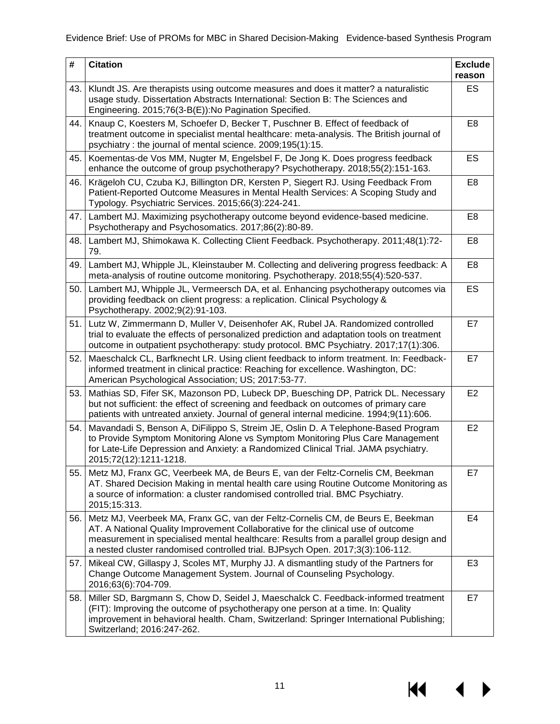| #   | <b>Citation</b>                                                                                                                                                                                                                                                                                                                                | <b>Exclude</b><br>reason |
|-----|------------------------------------------------------------------------------------------------------------------------------------------------------------------------------------------------------------------------------------------------------------------------------------------------------------------------------------------------|--------------------------|
| 43. | Klundt JS. Are therapists using outcome measures and does it matter? a naturalistic<br>usage study. Dissertation Abstracts International: Section B: The Sciences and<br>Engineering. 2015;76(3-B(E)):No Pagination Specified.                                                                                                                 | <b>ES</b>                |
| 44. | Knaup C, Koesters M, Schoefer D, Becker T, Puschner B. Effect of feedback of<br>treatment outcome in specialist mental healthcare: meta-analysis. The British journal of<br>psychiatry: the journal of mental science. 2009;195(1):15.                                                                                                         | E <sub>8</sub>           |
| 45. | Koementas-de Vos MM, Nugter M, Engelsbel F, De Jong K. Does progress feedback<br>enhance the outcome of group psychotherapy? Psychotherapy. 2018;55(2):151-163.                                                                                                                                                                                | ES                       |
| 46. | Krägeloh CU, Czuba KJ, Billington DR, Kersten P, Siegert RJ. Using Feedback From<br>Patient-Reported Outcome Measures in Mental Health Services: A Scoping Study and<br>Typology. Psychiatric Services. 2015;66(3):224-241.                                                                                                                    | E <sub>8</sub>           |
| 47. | Lambert MJ. Maximizing psychotherapy outcome beyond evidence-based medicine.<br>Psychotherapy and Psychosomatics. 2017;86(2):80-89.                                                                                                                                                                                                            | E8                       |
| 48. | Lambert MJ, Shimokawa K. Collecting Client Feedback. Psychotherapy. 2011;48(1):72-<br>79.                                                                                                                                                                                                                                                      | E8                       |
| 49. | Lambert MJ, Whipple JL, Kleinstauber M. Collecting and delivering progress feedback: A<br>meta-analysis of routine outcome monitoring. Psychotherapy. 2018;55(4):520-537.                                                                                                                                                                      | E <sub>8</sub>           |
| 50. | Lambert MJ, Whipple JL, Vermeersch DA, et al. Enhancing psychotherapy outcomes via<br>providing feedback on client progress: a replication. Clinical Psychology &<br>Psychotherapy. 2002;9(2):91-103.                                                                                                                                          | ES                       |
| 51. | Lutz W, Zimmermann D, Muller V, Deisenhofer AK, Rubel JA. Randomized controlled<br>trial to evaluate the effects of personalized prediction and adaptation tools on treatment<br>outcome in outpatient psychotherapy: study protocol. BMC Psychiatry. 2017;17(1):306.                                                                          | E7                       |
| 52. | Maeschalck CL, Barfknecht LR. Using client feedback to inform treatment. In: Feedback-<br>informed treatment in clinical practice: Reaching for excellence. Washington, DC:<br>American Psychological Association; US; 2017:53-77.                                                                                                             | E7                       |
| 53. | Mathias SD, Fifer SK, Mazonson PD, Lubeck DP, Buesching DP, Patrick DL. Necessary<br>but not sufficient: the effect of screening and feedback on outcomes of primary care<br>patients with untreated anxiety. Journal of general internal medicine. 1994;9(11):606.                                                                            | E <sub>2</sub>           |
| 54. | Mavandadi S, Benson A, DiFilippo S, Streim JE, Oslin D. A Telephone-Based Program<br>to Provide Symptom Monitoring Alone vs Symptom Monitoring Plus Care Management<br>for Late-Life Depression and Anxiety: a Randomized Clinical Trial. JAMA psychiatry.<br>2015;72(12):1211-1218.                                                           | E <sub>2</sub>           |
| 55. | Metz MJ, Franx GC, Veerbeek MA, de Beurs E, van der Feltz-Cornelis CM, Beekman<br>AT. Shared Decision Making in mental health care using Routine Outcome Monitoring as<br>a source of information: a cluster randomised controlled trial. BMC Psychiatry.<br>2015;15:313.                                                                      | E7                       |
| 56. | Metz MJ, Veerbeek MA, Franx GC, van der Feltz-Cornelis CM, de Beurs E, Beekman<br>AT. A National Quality Improvement Collaborative for the clinical use of outcome<br>measurement in specialised mental healthcare: Results from a parallel group design and<br>a nested cluster randomised controlled trial. BJPsych Open. 2017;3(3):106-112. | E4                       |
| 57. | Mikeal CW, Gillaspy J, Scoles MT, Murphy JJ. A dismantling study of the Partners for<br>Change Outcome Management System. Journal of Counseling Psychology.<br>2016;63(6):704-709.                                                                                                                                                             | E <sub>3</sub>           |
| 58. | Miller SD, Bargmann S, Chow D, Seidel J, Maeschalck C. Feedback-informed treatment<br>(FIT): Improving the outcome of psychotherapy one person at a time. In: Quality<br>improvement in behavioral health. Cham, Switzerland: Springer International Publishing;<br>Switzerland; 2016:247-262.                                                 | E7                       |

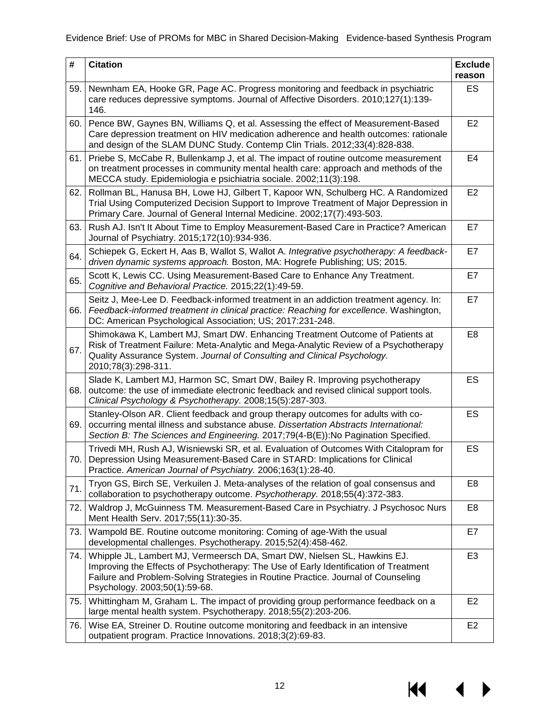| #   | <b>Citation</b>                                                                                                                                                                                                                                                                        | <b>Exclude</b><br>reason |
|-----|----------------------------------------------------------------------------------------------------------------------------------------------------------------------------------------------------------------------------------------------------------------------------------------|--------------------------|
| 59. | Newnham EA, Hooke GR, Page AC. Progress monitoring and feedback in psychiatric<br>care reduces depressive symptoms. Journal of Affective Disorders. 2010;127(1):139-<br>146.                                                                                                           | <b>ES</b>                |
| 60. | Pence BW, Gaynes BN, Williams Q, et al. Assessing the effect of Measurement-Based<br>Care depression treatment on HIV medication adherence and health outcomes: rationale<br>and design of the SLAM DUNC Study. Contemp Clin Trials. 2012;33(4):828-838.                               | E <sub>2</sub>           |
| 61. | Priebe S, McCabe R, Bullenkamp J, et al. The impact of routine outcome measurement<br>on treatment processes in community mental health care: approach and methods of the<br>MECCA study. Epidemiologia e psichiatria sociale. 2002;11(3):198.                                         | E4                       |
| 62. | Rollman BL, Hanusa BH, Lowe HJ, Gilbert T, Kapoor WN, Schulberg HC. A Randomized<br>Trial Using Computerized Decision Support to Improve Treatment of Major Depression in<br>Primary Care. Journal of General Internal Medicine. 2002;17(7):493-503.                                   | E <sub>2</sub>           |
| 63. | Rush AJ. Isn't It About Time to Employ Measurement-Based Care in Practice? American<br>Journal of Psychiatry. 2015;172(10):934-936.                                                                                                                                                    | E7                       |
| 64. | Schiepek G, Eckert H, Aas B, Wallot S, Wallot A. Integrative psychotherapy: A feedback-<br>driven dynamic systems approach. Boston, MA: Hogrefe Publishing; US; 2015.                                                                                                                  | E7                       |
| 65. | Scott K, Lewis CC. Using Measurement-Based Care to Enhance Any Treatment.<br>Cognitive and Behavioral Practice. 2015;22(1):49-59.                                                                                                                                                      | E7                       |
| 66. | Seitz J, Mee-Lee D. Feedback-informed treatment in an addiction treatment agency. In:<br>Feedback-informed treatment in clinical practice: Reaching for excellence. Washington,<br>DC: American Psychological Association; US; 2017:231-248.                                           | E7                       |
| 67. | Shimokawa K, Lambert MJ, Smart DW. Enhancing Treatment Outcome of Patients at<br>Risk of Treatment Failure: Meta-Analytic and Mega-Analytic Review of a Psychotherapy<br>Quality Assurance System. Journal of Consulting and Clinical Psychology.<br>2010;78(3):298-311.               | E8                       |
| 68. | Slade K, Lambert MJ, Harmon SC, Smart DW, Bailey R. Improving psychotherapy<br>outcome: the use of immediate electronic feedback and revised clinical support tools.<br>Clinical Psychology & Psychotherapy. 2008;15(5):287-303.                                                       | ES                       |
| 69. | Stanley-Olson AR. Client feedback and group therapy outcomes for adults with co-<br>occurring mental illness and substance abuse. Dissertation Abstracts International:<br>Section B: The Sciences and Engineering. 2017;79(4-B(E)):No Pagination Specified.                           | ES                       |
|     | Trivedi MH, Rush AJ, Wisniewski SR, et al. Evaluation of Outcomes With Citalopram for<br>70.   Depression Using Measurement-Based Care in STARD: Implications for Clinical<br>Practice. American Journal of Psychiatry. 2006;163(1):28-40.                                             | ES                       |
| 71. | Tryon GS, Birch SE, Verkuilen J. Meta-analyses of the relation of goal consensus and<br>collaboration to psychotherapy outcome. Psychotherapy. 2018;55(4):372-383.                                                                                                                     | E8                       |
| 72. | Waldrop J, McGuinness TM. Measurement-Based Care in Psychiatry. J Psychosoc Nurs<br>Ment Health Serv. 2017;55(11):30-35.                                                                                                                                                               | E8                       |
| 73. | Wampold BE. Routine outcome monitoring: Coming of age-With the usual<br>developmental challenges. Psychotherapy. 2015;52(4):458-462.                                                                                                                                                   | E7                       |
| 74. | Whipple JL, Lambert MJ, Vermeersch DA, Smart DW, Nielsen SL, Hawkins EJ.<br>Improving the Effects of Psychotherapy: The Use of Early Identification of Treatment<br>Failure and Problem-Solving Strategies in Routine Practice. Journal of Counseling<br>Psychology. 2003;50(1):59-68. | E <sub>3</sub>           |
| 75. | Whittingham M, Graham L. The impact of providing group performance feedback on a<br>large mental health system. Psychotherapy. 2018;55(2):203-206.                                                                                                                                     | E <sub>2</sub>           |
| 76. | Wise EA, Streiner D. Routine outcome monitoring and feedback in an intensive<br>outpatient program. Practice Innovations. 2018;3(2):69-83.                                                                                                                                             | E <sub>2</sub>           |

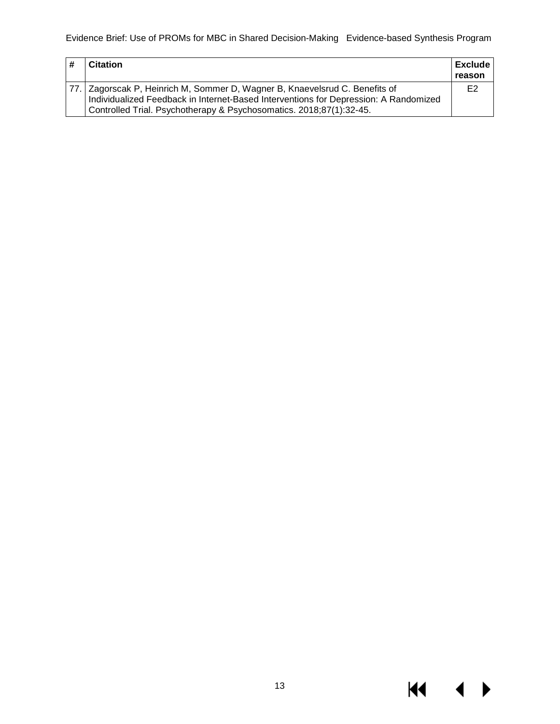| <b>Citation</b>                                                                                                                                                                                                                            | <b>Exclude</b><br>reason |
|--------------------------------------------------------------------------------------------------------------------------------------------------------------------------------------------------------------------------------------------|--------------------------|
| 77. Zagorscak P, Heinrich M, Sommer D, Wagner B, Knaevelsrud C. Benefits of<br>Individualized Feedback in Internet-Based Interventions for Depression: A Randomized<br>Controlled Trial. Psychotherapy & Psychosomatics. 2018;87(1):32-45. | E <sub>2</sub>           |

 $M \cdot 1$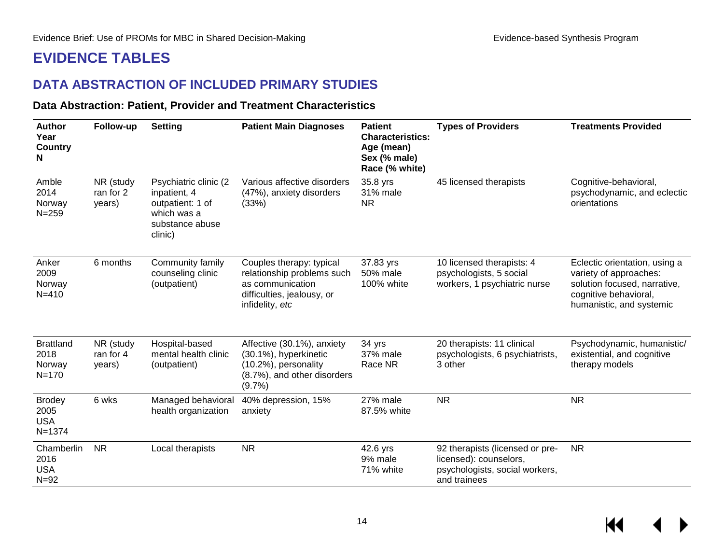## **EVIDENCE TABLES**

### **DATA ABSTRACTION OF INCLUDED PRIMARY STUDIES**

#### **Data Abstraction: Patient, Provider and Treatment Characteristics**

<span id="page-15-2"></span><span id="page-15-1"></span><span id="page-15-0"></span>

| <b>Author</b><br>Year<br><b>Country</b><br>N      | Follow-up                        | <b>Setting</b>                                                                                          | <b>Patient Main Diagnoses</b>                                                                                               | <b>Patient</b><br><b>Characteristics:</b><br>Age (mean)<br>Sex (% male)<br>Race (% white) | <b>Types of Providers</b>                                                                                   | <b>Treatments Provided</b>                                                                                                                   |
|---------------------------------------------------|----------------------------------|---------------------------------------------------------------------------------------------------------|-----------------------------------------------------------------------------------------------------------------------------|-------------------------------------------------------------------------------------------|-------------------------------------------------------------------------------------------------------------|----------------------------------------------------------------------------------------------------------------------------------------------|
| Amble<br>2014<br>Norway<br>$N = 259$              | NR (study<br>ran for 2<br>years) | Psychiatric clinic (2)<br>inpatient, 4<br>outpatient: 1 of<br>which was a<br>substance abuse<br>clinic) | Various affective disorders<br>(47%), anxiety disorders<br>(33%)                                                            | 35.8 yrs<br>31% male<br><b>NR</b>                                                         | 45 licensed therapists                                                                                      | Cognitive-behavioral,<br>psychodynamic, and eclectic<br>orientations                                                                         |
| Anker<br>2009<br>Norway<br>$N = 410$              | 6 months                         | Community family<br>counseling clinic<br>(outpatient)                                                   | Couples therapy: typical<br>relationship problems such<br>as communication<br>difficulties, jealousy, or<br>infidelity, etc | 37.83 yrs<br>50% male<br>100% white                                                       | 10 licensed therapists: 4<br>psychologists, 5 social<br>workers, 1 psychiatric nurse                        | Eclectic orientation, using a<br>variety of approaches:<br>solution focused, narrative,<br>cognitive behavioral,<br>humanistic, and systemic |
| <b>Brattland</b><br>2018<br>Norway<br>$N = 170$   | NR (study<br>ran for 4<br>years) | Hospital-based<br>mental health clinic<br>(outpatient)                                                  | Affective (30.1%), anxiety<br>(30.1%), hyperkinetic<br>(10.2%), personality<br>(8.7%), and other disorders<br>(9.7%         | 34 yrs<br>37% male<br>Race NR                                                             | 20 therapists: 11 clinical<br>psychologists, 6 psychiatrists,<br>3 other                                    | Psychodynamic, humanistic/<br>existential, and cognitive<br>therapy models                                                                   |
| <b>Brodey</b><br>2005<br><b>USA</b><br>$N = 1374$ | 6 wks                            | Managed behavioral<br>health organization                                                               | 40% depression, 15%<br>anxiety                                                                                              | 27% male<br>87.5% white                                                                   | <b>NR</b>                                                                                                   | <b>NR</b>                                                                                                                                    |
| Chamberlin<br>2016<br><b>USA</b><br>$N=92$        | <b>NR</b>                        | Local therapists                                                                                        | <b>NR</b>                                                                                                                   | 42.6 yrs<br>9% male<br>71% white                                                          | 92 therapists (licensed or pre-<br>licensed): counselors,<br>psychologists, social workers,<br>and trainees | <b>NR</b>                                                                                                                                    |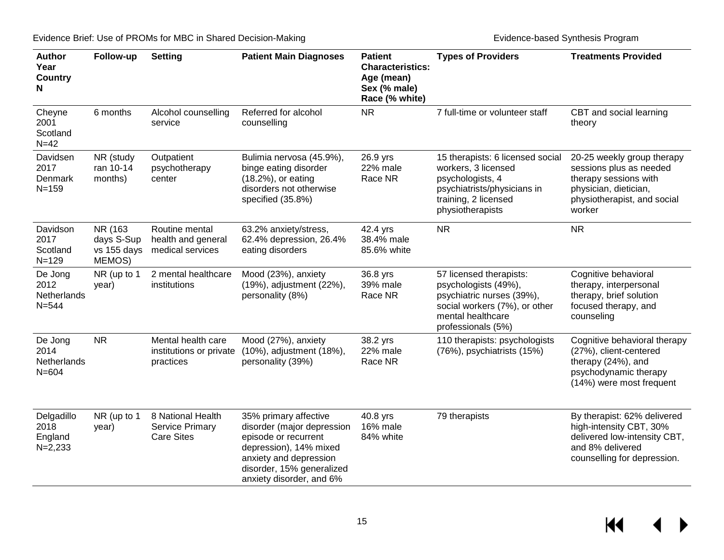| <b>Author</b><br>Year<br><b>Country</b><br>N | Follow-up                                      | <b>Setting</b>                                                   | <b>Patient Main Diagnoses</b>                                                                                                                                                            | <b>Patient</b><br><b>Characteristics:</b><br>Age (mean)<br>Sex (% male)<br>Race (% white) | <b>Types of Providers</b>                                                                                                                                | <b>Treatments Provided</b>                                                                                                                       |
|----------------------------------------------|------------------------------------------------|------------------------------------------------------------------|------------------------------------------------------------------------------------------------------------------------------------------------------------------------------------------|-------------------------------------------------------------------------------------------|----------------------------------------------------------------------------------------------------------------------------------------------------------|--------------------------------------------------------------------------------------------------------------------------------------------------|
| Cheyne<br>2001<br>Scotland<br>$N=42$         | 6 months                                       | Alcohol counselling<br>service                                   | Referred for alcohol<br>counselling                                                                                                                                                      | <b>NR</b>                                                                                 | 7 full-time or volunteer staff                                                                                                                           | CBT and social learning<br>theory                                                                                                                |
| Davidsen<br>2017<br>Denmark<br>$N = 159$     | NR (study<br>ran 10-14<br>months)              | Outpatient<br>psychotherapy<br>center                            | Bulimia nervosa (45.9%),<br>binge eating disorder<br>(18.2%), or eating<br>disorders not otherwise<br>specified (35.8%)                                                                  | 26.9 yrs<br>22% male<br>Race NR                                                           | 15 therapists: 6 licensed social<br>workers, 3 licensed<br>psychologists, 4<br>psychiatrists/physicians in<br>training, 2 licensed<br>physiotherapists   | 20-25 weekly group therapy<br>sessions plus as needed<br>therapy sessions with<br>physician, dietician,<br>physiotherapist, and social<br>worker |
| Davidson<br>2017<br>Scotland<br>$N = 129$    | NR (163<br>days S-Sup<br>vs 155 days<br>MEMOS) | Routine mental<br>health and general<br>medical services         | 63.2% anxiety/stress,<br>62.4% depression, 26.4%<br>eating disorders                                                                                                                     | 42.4 yrs<br>38.4% male<br>85.6% white                                                     | <b>NR</b>                                                                                                                                                | <b>NR</b>                                                                                                                                        |
| De Jong<br>2012<br>Netherlands<br>$N = 544$  | NR (up to 1<br>year)                           | 2 mental healthcare<br>institutions                              | Mood (23%), anxiety<br>(19%), adjustment (22%),<br>personality (8%)                                                                                                                      | 36.8 yrs<br>39% male<br>Race NR                                                           | 57 licensed therapists:<br>psychologists (49%),<br>psychiatric nurses (39%),<br>social workers (7%), or other<br>mental healthcare<br>professionals (5%) | Cognitive behavioral<br>therapy, interpersonal<br>therapy, brief solution<br>focused therapy, and<br>counseling                                  |
| De Jong<br>2014<br>Netherlands<br>$N = 604$  | <b>NR</b>                                      | Mental health care<br>institutions or private<br>practices       | Mood (27%), anxiety<br>(10%), adjustment (18%),<br>personality (39%)                                                                                                                     | 38.2 yrs<br>22% male<br>Race NR                                                           | 110 therapists: psychologists<br>(76%), psychiatrists (15%)                                                                                              | Cognitive behavioral therapy<br>(27%), client-centered<br>therapy (24%), and<br>psychodynamic therapy<br>(14%) were most frequent                |
| Delgadillo<br>2018<br>England<br>$N=2,233$   | NR (up to 1<br>year)                           | 8 National Health<br><b>Service Primary</b><br><b>Care Sites</b> | 35% primary affective<br>disorder (major depression<br>episode or recurrent<br>depression), 14% mixed<br>anxiety and depression<br>disorder, 15% generalized<br>anxiety disorder, and 6% | 40.8 yrs<br>16% male<br>84% white                                                         | 79 therapists                                                                                                                                            | By therapist: 62% delivered<br>high-intensity CBT, 30%<br>delivered low-intensity CBT,<br>and 8% delivered<br>counselling for depression.        |

 $M \rightarrow$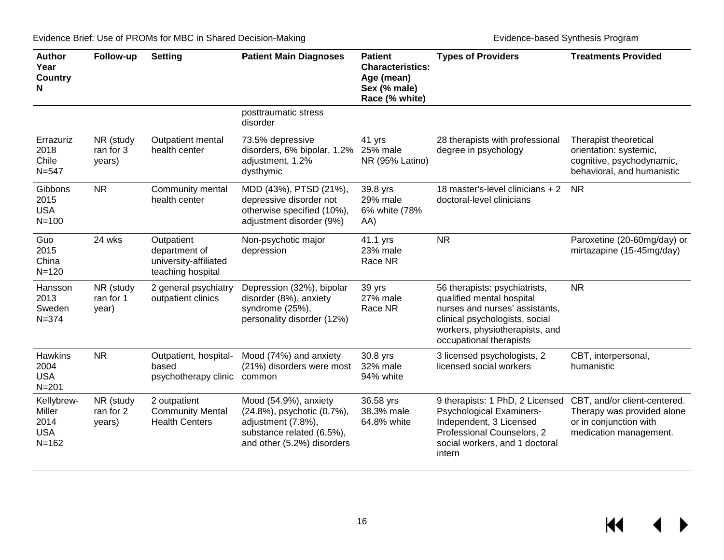| <b>Author</b><br>Year<br><b>Country</b><br>N            | Follow-up                        | <b>Setting</b>                                                            | <b>Patient Main Diagnoses</b>                                                                                                        | <b>Patient</b><br><b>Characteristics:</b><br>Age (mean)<br>Sex (% male)<br>Race (% white) | <b>Types of Providers</b>                                                                                                                                                                   | <b>Treatments Provided</b>                                                                                     |
|---------------------------------------------------------|----------------------------------|---------------------------------------------------------------------------|--------------------------------------------------------------------------------------------------------------------------------------|-------------------------------------------------------------------------------------------|---------------------------------------------------------------------------------------------------------------------------------------------------------------------------------------------|----------------------------------------------------------------------------------------------------------------|
|                                                         |                                  |                                                                           | posttraumatic stress<br>disorder                                                                                                     |                                                                                           |                                                                                                                                                                                             |                                                                                                                |
| Errazuriz<br>2018<br>Chile<br>$N = 547$                 | NR (study<br>ran for 3<br>years) | Outpatient mental<br>health center                                        | 73.5% depressive<br>disorders, 6% bipolar, 1.2% 25% male<br>adjustment, 1.2%<br>dysthymic                                            | 41 yrs<br>NR (95% Latino)                                                                 | 28 therapists with professional<br>degree in psychology                                                                                                                                     | Therapist theoretical<br>orientation: systemic,<br>cognitive, psychodynamic,<br>behavioral, and humanistic     |
| Gibbons<br>2015<br><b>USA</b><br>$N = 100$              | <b>NR</b>                        | Community mental<br>health center                                         | MDD (43%), PTSD (21%),<br>depressive disorder not<br>otherwise specified (10%),<br>adjustment disorder (9%)                          | 39.8 yrs<br>29% male<br>6% white (78%<br>AA)                                              | 18 master's-level clinicians + 2<br>doctoral-level clinicians                                                                                                                               | <b>NR</b>                                                                                                      |
| Guo<br>2015<br>China<br>$N = 120$                       | 24 wks                           | Outpatient<br>department of<br>university-affiliated<br>teaching hospital | Non-psychotic major<br>depression                                                                                                    | 41.1 yrs<br>23% male<br>Race NR                                                           | <b>NR</b>                                                                                                                                                                                   | Paroxetine (20-60mg/day) or<br>mirtazapine (15-45mg/day)                                                       |
| Hansson<br>2013<br>Sweden<br>$N = 374$                  | NR (study<br>ran for 1<br>year)  | 2 general psychiatry<br>outpatient clinics                                | Depression (32%), bipolar<br>disorder (8%), anxiety<br>syndrome (25%),<br>personality disorder (12%)                                 | 39 yrs<br>27% male<br>Race NR                                                             | 56 therapists: psychiatrists,<br>qualified mental hospital<br>nurses and nurses' assistants,<br>clinical psychologists, social<br>workers, physiotherapists, and<br>occupational therapists | <b>NR</b>                                                                                                      |
| Hawkins<br>2004<br><b>USA</b><br>$N = 201$              | <b>NR</b>                        | Outpatient, hospital-<br>based<br>psychotherapy clinic                    | Mood (74%) and anxiety<br>(21%) disorders were most<br>common                                                                        | 30.8 yrs<br>32% male<br>94% white                                                         | 3 licensed psychologists, 2<br>licensed social workers                                                                                                                                      | CBT, interpersonal,<br>humanistic                                                                              |
| Kellybrew-<br>Miller<br>2014<br><b>USA</b><br>$N = 162$ | NR (study<br>ran for 2<br>years) | 2 outpatient<br><b>Community Mental</b><br><b>Health Centers</b>          | Mood (54.9%), anxiety<br>(24.8%), psychotic (0.7%),<br>adjustment (7.8%),<br>substance related (6.5%),<br>and other (5.2%) disorders | 36.58 yrs<br>38.3% male<br>64.8% white                                                    | 9 therapists: 1 PhD, 2 Licensed<br><b>Psychological Examiners-</b><br>Independent, 3 Licensed<br>Professional Counselors, 2<br>social workers, and 1 doctoral<br>intern                     | CBT, and/or client-centered.<br>Therapy was provided alone<br>or in conjunction with<br>medication management. |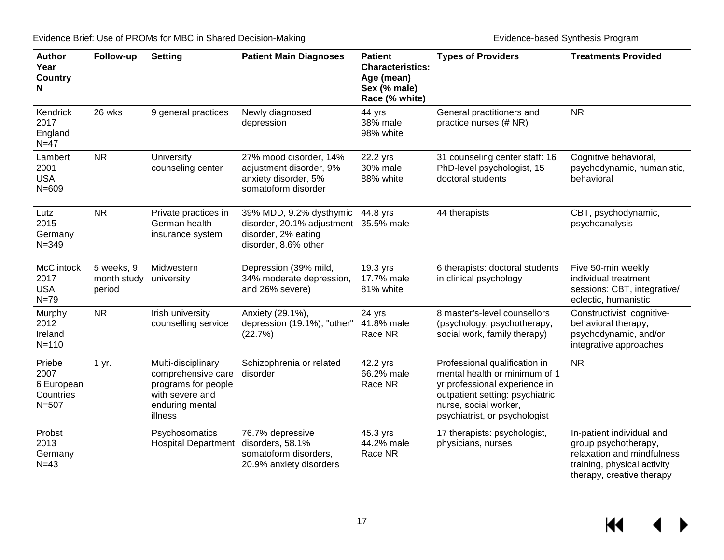| <b>Author</b><br>Year<br><b>Country</b><br>N           | Follow-up                           | <b>Setting</b>                                                                                                   | <b>Patient Main Diagnoses</b>                                                                                   | <b>Patient</b><br><b>Characteristics:</b><br>Age (mean)<br>Sex (% male)<br>Race (% white) | <b>Types of Providers</b>                                                                                                                                                                    | <b>Treatments Provided</b>                                                                                                                  |
|--------------------------------------------------------|-------------------------------------|------------------------------------------------------------------------------------------------------------------|-----------------------------------------------------------------------------------------------------------------|-------------------------------------------------------------------------------------------|----------------------------------------------------------------------------------------------------------------------------------------------------------------------------------------------|---------------------------------------------------------------------------------------------------------------------------------------------|
| Kendrick<br>2017<br>England<br>$N=47$                  | 26 wks                              | 9 general practices                                                                                              | Newly diagnosed<br>depression                                                                                   | 44 yrs<br>38% male<br>98% white                                                           | General practitioners and<br>practice nurses (# NR)                                                                                                                                          | <b>NR</b>                                                                                                                                   |
| Lambert<br>2001<br><b>USA</b><br>$N = 609$             | <b>NR</b>                           | University<br>counseling center                                                                                  | 27% mood disorder, 14%<br>adjustment disorder, 9%<br>anxiety disorder, 5%<br>somatoform disorder                | 22.2 yrs<br>30% male<br>88% white                                                         | 31 counseling center staff: 16<br>PhD-level psychologist, 15<br>doctoral students                                                                                                            | Cognitive behavioral,<br>psychodynamic, humanistic,<br>behavioral                                                                           |
| Lutz<br>2015<br>Germany<br>$N = 349$                   | <b>NR</b>                           | Private practices in<br>German health<br>insurance system                                                        | 39% MDD, 9.2% dysthymic<br>disorder, 20.1% adjustment 35.5% male<br>disorder, 2% eating<br>disorder, 8.6% other | 44.8 yrs                                                                                  | 44 therapists                                                                                                                                                                                | CBT, psychodynamic,<br>psychoanalysis                                                                                                       |
| <b>McClintock</b><br>2017<br><b>USA</b><br>$N=79$      | 5 weeks, 9<br>month study<br>period | Midwestern<br>university                                                                                         | Depression (39% mild,<br>34% moderate depression,<br>and 26% severe)                                            | 19.3 yrs<br>17.7% male<br>81% white                                                       | 6 therapists: doctoral students<br>in clinical psychology                                                                                                                                    | Five 50-min weekly<br>individual treatment<br>sessions: CBT, integrative/<br>eclectic, humanistic                                           |
| Murphy<br>2012<br>Ireland<br>$N = 110$                 | <b>NR</b>                           | Irish university<br>counselling service                                                                          | Anxiety (29.1%),<br>depression (19.1%), "other"<br>(22.7%)                                                      | 24 yrs<br>41.8% male<br>Race NR                                                           | 8 master's-level counsellors<br>(psychology, psychotherapy,<br>social work, family therapy)                                                                                                  | Constructivist, cognitive-<br>behavioral therapy,<br>psychodynamic, and/or<br>integrative approaches                                        |
| Priebe<br>2007<br>6 European<br>Countries<br>$N = 507$ | 1 yr.                               | Multi-disciplinary<br>comprehensive care<br>programs for people<br>with severe and<br>enduring mental<br>illness | Schizophrenia or related<br>disorder                                                                            | 42.2 yrs<br>66.2% male<br>Race NR                                                         | Professional qualification in<br>mental health or minimum of 1<br>yr professional experience in<br>outpatient setting: psychiatric<br>nurse, social worker,<br>psychiatrist, or psychologist | <b>NR</b>                                                                                                                                   |
| Probst<br>2013<br>Germany<br>$N=43$                    |                                     | Psychosomatics<br><b>Hospital Department</b>                                                                     | 76.7% depressive<br>disorders, 58.1%<br>somatoform disorders,<br>20.9% anxiety disorders                        | 45.3 yrs<br>44.2% male<br>Race NR                                                         | 17 therapists: psychologist,<br>physicians, nurses                                                                                                                                           | In-patient individual and<br>group psychotherapy,<br>relaxation and mindfulness<br>training, physical activity<br>therapy, creative therapy |

 $M \rightarrow$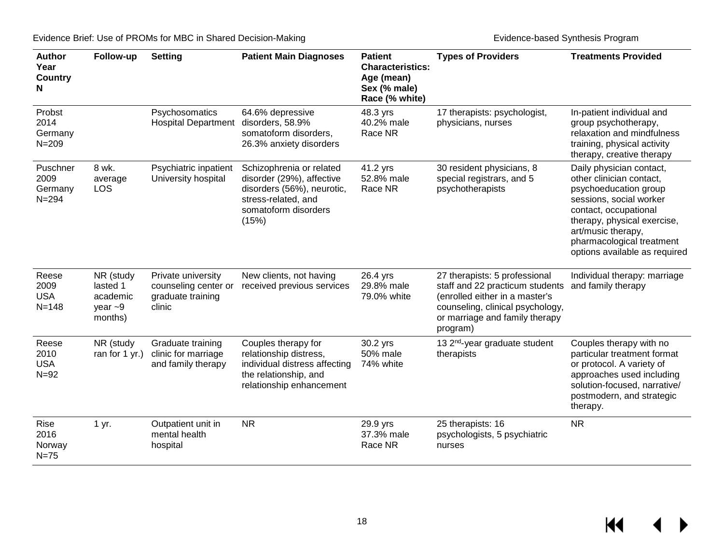| <b>Author</b><br>Year<br><b>Country</b><br>N | Follow-up                                                     | <b>Setting</b>                                                            | <b>Patient Main Diagnoses</b>                                                                                                               | <b>Patient</b><br><b>Characteristics:</b><br>Age (mean)<br>Sex (% male)<br>Race (% white) | <b>Types of Providers</b>                                                                                                                                                            | <b>Treatments Provided</b>                                                                                                                                                                                                                           |
|----------------------------------------------|---------------------------------------------------------------|---------------------------------------------------------------------------|---------------------------------------------------------------------------------------------------------------------------------------------|-------------------------------------------------------------------------------------------|--------------------------------------------------------------------------------------------------------------------------------------------------------------------------------------|------------------------------------------------------------------------------------------------------------------------------------------------------------------------------------------------------------------------------------------------------|
| Probst<br>2014<br>Germany<br>$N = 209$       |                                                               | Psychosomatics<br><b>Hospital Department</b>                              | 64.6% depressive<br>disorders, 58.9%<br>somatoform disorders,<br>26.3% anxiety disorders                                                    | 48.3 yrs<br>40.2% male<br>Race NR                                                         | 17 therapists: psychologist,<br>physicians, nurses                                                                                                                                   | In-patient individual and<br>group psychotherapy,<br>relaxation and mindfulness<br>training, physical activity<br>therapy, creative therapy                                                                                                          |
| Puschner<br>2009<br>Germany<br>$N = 294$     | 8 wk.<br>average<br>LOS                                       | Psychiatric inpatient<br>University hospital                              | Schizophrenia or related<br>disorder (29%), affective<br>disorders (56%), neurotic,<br>stress-related, and<br>somatoform disorders<br>(15%) | 41.2 yrs<br>52.8% male<br>Race NR                                                         | 30 resident physicians, 8<br>special registrars, and 5<br>psychotherapists                                                                                                           | Daily physician contact,<br>other clinician contact,<br>psychoeducation group<br>sessions, social worker<br>contact, occupational<br>therapy, physical exercise,<br>art/music therapy,<br>pharmacological treatment<br>options available as required |
| Reese<br>2009<br><b>USA</b><br>$N = 148$     | NR (study<br>lasted 1<br>academic<br>year $\sim$ 9<br>months) | Private university<br>counseling center or<br>graduate training<br>clinic | New clients, not having<br>received previous services                                                                                       | 26.4 yrs<br>29.8% male<br>79.0% white                                                     | 27 therapists: 5 professional<br>staff and 22 practicum students<br>(enrolled either in a master's<br>counseling, clinical psychology,<br>or marriage and family therapy<br>program) | Individual therapy: marriage<br>and family therapy                                                                                                                                                                                                   |
| Reese<br>2010<br><b>USA</b><br>$N=92$        | NR (study<br>ran for 1 yr.)                                   | Graduate training<br>clinic for marriage<br>and family therapy            | Couples therapy for<br>relationship distress,<br>individual distress affecting<br>the relationship, and<br>relationship enhancement         | 30.2 yrs<br>50% male<br>74% white                                                         | 13 2 <sup>nd</sup> -year graduate student<br>therapists                                                                                                                              | Couples therapy with no<br>particular treatment format<br>or protocol. A variety of<br>approaches used including<br>solution-focused, narrative/<br>postmodern, and strategic<br>therapy.                                                            |
| Rise<br>2016<br>Norway<br>$N=75$             | 1 yr.                                                         | Outpatient unit in<br>mental health<br>hospital                           | <b>NR</b>                                                                                                                                   | 29.9 yrs<br>37.3% male<br>Race NR                                                         | 25 therapists: 16<br>psychologists, 5 psychiatric<br>nurses                                                                                                                          | <b>NR</b>                                                                                                                                                                                                                                            |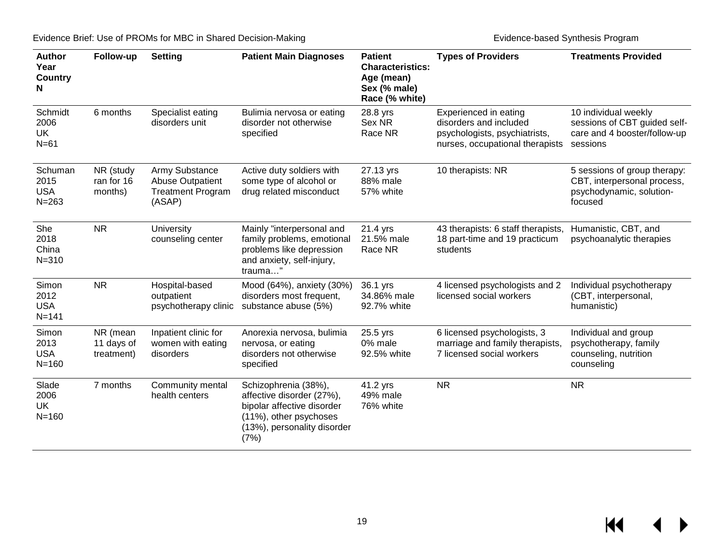| <b>Author</b><br>Year<br><b>Country</b><br>N | Follow-up                            | <b>Setting</b>                                                                  | <b>Patient Main Diagnoses</b>                                                                                                                    | <b>Patient</b><br><b>Characteristics:</b><br>Age (mean)<br>Sex (% male)<br>Race (% white) | <b>Types of Providers</b>                                                                                           | <b>Treatments Provided</b>                                                                         |
|----------------------------------------------|--------------------------------------|---------------------------------------------------------------------------------|--------------------------------------------------------------------------------------------------------------------------------------------------|-------------------------------------------------------------------------------------------|---------------------------------------------------------------------------------------------------------------------|----------------------------------------------------------------------------------------------------|
| Schmidt<br>2006<br>UK<br>$N=61$              | 6 months                             | Specialist eating<br>disorders unit                                             | Bulimia nervosa or eating<br>disorder not otherwise<br>specified                                                                                 | 28.8 yrs<br>Sex NR<br>Race NR                                                             | Experienced in eating<br>disorders and included<br>psychologists, psychiatrists,<br>nurses, occupational therapists | 10 individual weekly<br>sessions of CBT guided self-<br>care and 4 booster/follow-up<br>sessions   |
| Schuman<br>2015<br><b>USA</b><br>$N = 263$   | NR (study<br>ran for 16<br>months)   | Army Substance<br><b>Abuse Outpatient</b><br><b>Treatment Program</b><br>(ASAP) | Active duty soldiers with<br>some type of alcohol or<br>drug related misconduct                                                                  | 27.13 yrs<br>88% male<br>57% white                                                        | 10 therapists: NR                                                                                                   | 5 sessions of group therapy:<br>CBT, interpersonal process,<br>psychodynamic, solution-<br>focused |
| She<br>2018<br>China<br>$N = 310$            | <b>NR</b>                            | University<br>counseling center                                                 | Mainly "interpersonal and<br>family problems, emotional<br>problems like depression<br>and anxiety, self-injury,<br>trauma"                      | 21.4 yrs<br>21.5% male<br>Race NR                                                         | 43 therapists: 6 staff therapists,<br>18 part-time and 19 practicum<br>students                                     | Humanistic, CBT, and<br>psychoanalytic therapies                                                   |
| Simon<br>2012<br><b>USA</b><br>$N = 141$     | <b>NR</b>                            | Hospital-based<br>outpatient<br>psychotherapy clinic                            | Mood (64%), anxiety (30%)<br>disorders most frequent,<br>substance abuse (5%)                                                                    | 36.1 yrs<br>34.86% male<br>92.7% white                                                    | 4 licensed psychologists and 2<br>licensed social workers                                                           | Individual psychotherapy<br>(CBT, interpersonal,<br>humanistic)                                    |
| Simon<br>2013<br><b>USA</b><br>$N = 160$     | NR (mean<br>11 days of<br>treatment) | Inpatient clinic for<br>women with eating<br>disorders                          | Anorexia nervosa, bulimia<br>nervosa, or eating<br>disorders not otherwise<br>specified                                                          | 25.5 yrs<br>0% male<br>92.5% white                                                        | 6 licensed psychologists, 3<br>marriage and family therapists,<br>7 licensed social workers                         | Individual and group<br>psychotherapy, family<br>counseling, nutrition<br>counseling               |
| Slade<br>2006<br>UK<br>$N = 160$             | 7 months                             | Community mental<br>health centers                                              | Schizophrenia (38%),<br>affective disorder (27%),<br>bipolar affective disorder<br>(11%), other psychoses<br>(13%), personality disorder<br>(7%) | 41.2 yrs<br>49% male<br>76% white                                                         | <b>NR</b>                                                                                                           | <b>NR</b>                                                                                          |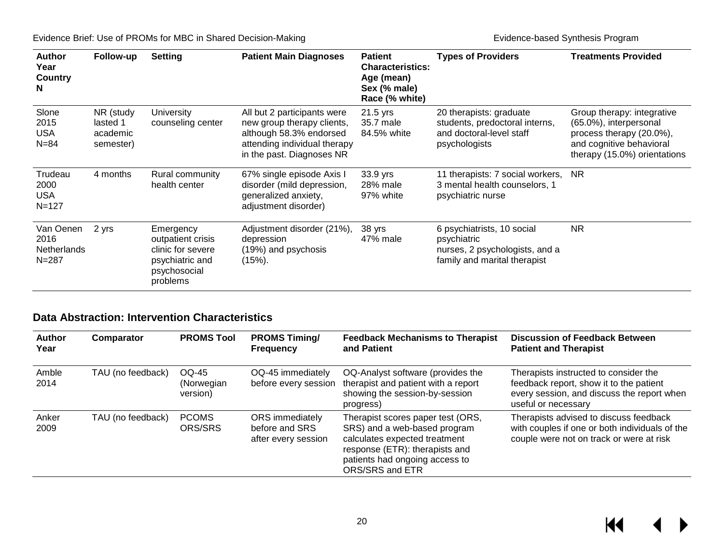| <b>Author</b><br>Year<br>Country<br>N                | Follow-up                                      | <b>Setting</b>                                                                                     | <b>Patient Main Diagnoses</b>                                                                                                                     | <b>Patient</b><br><b>Characteristics:</b><br>Age (mean)<br>Sex (% male)<br>Race (% white) | <b>Types of Providers</b>                                                                                   | <b>Treatments Provided</b>                                                                                                                   |
|------------------------------------------------------|------------------------------------------------|----------------------------------------------------------------------------------------------------|---------------------------------------------------------------------------------------------------------------------------------------------------|-------------------------------------------------------------------------------------------|-------------------------------------------------------------------------------------------------------------|----------------------------------------------------------------------------------------------------------------------------------------------|
| Slone<br>2015<br><b>USA</b><br>$N = 84$              | NR (study<br>lasted 1<br>academic<br>semester) | University<br>counseling center                                                                    | All but 2 participants were<br>new group therapy clients,<br>although 58.3% endorsed<br>attending individual therapy<br>in the past. Diagnoses NR | 21.5 yrs<br>35.7 male<br>84.5% white                                                      | 20 therapists: graduate<br>students, predoctoral interns,<br>and doctoral-level staff<br>psychologists      | Group therapy: integrative<br>(65.0%), interpersonal<br>process therapy (20.0%),<br>and cognitive behavioral<br>therapy (15.0%) orientations |
| Trudeau<br>2000<br><b>USA</b><br>$N = 127$           | 4 months                                       | Rural community<br>health center                                                                   | 67% single episode Axis I<br>disorder (mild depression,<br>generalized anxiety,<br>adjustment disorder)                                           | 33.9 yrs<br>28% male<br>97% white                                                         | 11 therapists: 7 social workers,<br>3 mental health counselors, 1<br>psychiatric nurse                      | <b>NR</b>                                                                                                                                    |
| Van Oenen<br>2016<br><b>Netherlands</b><br>$N = 287$ | 2 yrs                                          | Emergency<br>outpatient crisis<br>clinic for severe<br>psychiatric and<br>psychosocial<br>problems | Adjustment disorder (21%),<br>depression<br>(19%) and psychosis<br>$(15%)$ .                                                                      | 38 yrs<br>47% male                                                                        | 6 psychiatrists, 10 social<br>psychiatric<br>nurses, 2 psychologists, and a<br>family and marital therapist | <b>NR</b>                                                                                                                                    |

#### **Data Abstraction: Intervention Characteristics**

<span id="page-21-0"></span>

| <b>Author</b><br>Year | Comparator        | <b>PROMS Tool</b>                | <b>PROMS Timing/</b><br><b>Frequency</b>                 | <b>Feedback Mechanisms to Therapist</b><br>and Patient                                                                                                                                    | <b>Discussion of Feedback Between</b><br><b>Patient and Therapist</b>                                                                                 |
|-----------------------|-------------------|----------------------------------|----------------------------------------------------------|-------------------------------------------------------------------------------------------------------------------------------------------------------------------------------------------|-------------------------------------------------------------------------------------------------------------------------------------------------------|
| Amble<br>2014         | TAU (no feedback) | OQ-45<br>(Norwegian)<br>version) | OQ-45 immediately<br>before every session                | OQ-Analyst software (provides the<br>therapist and patient with a report<br>showing the session-by-session<br>progress)                                                                   | Therapists instructed to consider the<br>feedback report, show it to the patient<br>every session, and discuss the report when<br>useful or necessary |
| Anker<br>2009         | TAU (no feedback) | <b>PCOMS</b><br>ORS/SRS          | ORS immediately<br>before and SRS<br>after every session | Therapist scores paper test (ORS,<br>SRS) and a web-based program<br>calculates expected treatment<br>response (ETR): therapists and<br>patients had ongoing access to<br>ORS/SRS and ETR | Therapists advised to discuss feedback<br>with couples if one or both individuals of the<br>couple were not on track or were at risk                  |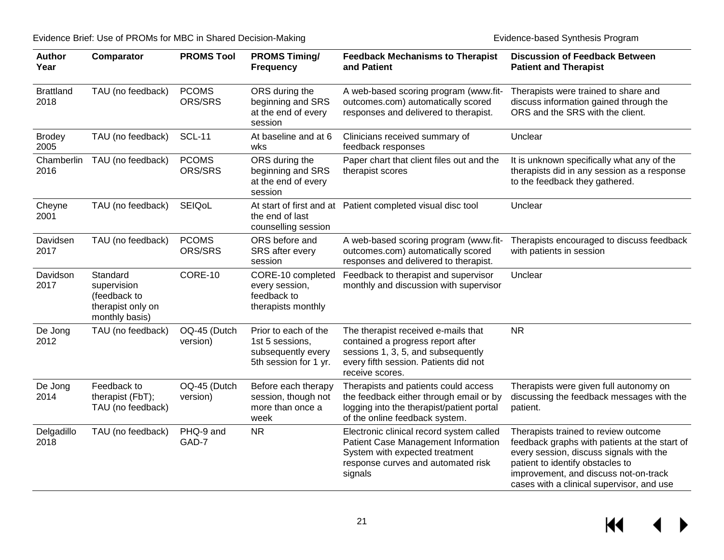| <b>Author</b><br>Year    | Comparator                                                                     | <b>PROMS Tool</b>        | <b>PROMS Timing/</b><br><b>Frequency</b>                                               | <b>Feedback Mechanisms to Therapist</b><br>and Patient                                                                                                                     | <b>Discussion of Feedback Between</b><br><b>Patient and Therapist</b>                                                                                                                                                                                      |
|--------------------------|--------------------------------------------------------------------------------|--------------------------|----------------------------------------------------------------------------------------|----------------------------------------------------------------------------------------------------------------------------------------------------------------------------|------------------------------------------------------------------------------------------------------------------------------------------------------------------------------------------------------------------------------------------------------------|
| <b>Brattland</b><br>2018 | TAU (no feedback)                                                              | <b>PCOMS</b><br>ORS/SRS  | ORS during the<br>beginning and SRS<br>at the end of every<br>session                  | A web-based scoring program (www.fit-<br>outcomes.com) automatically scored<br>responses and delivered to therapist.                                                       | Therapists were trained to share and<br>discuss information gained through the<br>ORS and the SRS with the client.                                                                                                                                         |
| <b>Brodey</b><br>2005    | TAU (no feedback)                                                              | <b>SCL-11</b>            | At baseline and at 6<br>wks                                                            | Clinicians received summary of<br>feedback responses                                                                                                                       | Unclear                                                                                                                                                                                                                                                    |
| Chamberlin<br>2016       | TAU (no feedback)                                                              | <b>PCOMS</b><br>ORS/SRS  | ORS during the<br>beginning and SRS<br>at the end of every<br>session                  | Paper chart that client files out and the<br>therapist scores                                                                                                              | It is unknown specifically what any of the<br>therapists did in any session as a response<br>to the feedback they gathered.                                                                                                                                |
| Cheyne<br>2001           | TAU (no feedback)                                                              | SEIQoL                   | the end of last<br>counselling session                                                 | At start of first and at Patient completed visual disc tool                                                                                                                | Unclear                                                                                                                                                                                                                                                    |
| Davidsen<br>2017         | TAU (no feedback)                                                              | <b>PCOMS</b><br>ORS/SRS  | ORS before and<br>SRS after every<br>session                                           | A web-based scoring program (www.fit-<br>outcomes.com) automatically scored<br>responses and delivered to therapist.                                                       | Therapists encouraged to discuss feedback<br>with patients in session                                                                                                                                                                                      |
| Davidson<br>2017         | Standard<br>supervision<br>(feedback to<br>therapist only on<br>monthly basis) | CORE-10                  | CORE-10 completed<br>every session,<br>feedback to<br>therapists monthly               | Feedback to therapist and supervisor<br>monthly and discussion with supervisor                                                                                             | Unclear                                                                                                                                                                                                                                                    |
| De Jong<br>2012          | TAU (no feedback)                                                              | OQ-45 (Dutch<br>version) | Prior to each of the<br>1st 5 sessions,<br>subsequently every<br>5th session for 1 yr. | The therapist received e-mails that<br>contained a progress report after<br>sessions 1, 3, 5, and subsequently<br>every fifth session. Patients did not<br>receive scores. | <b>NR</b>                                                                                                                                                                                                                                                  |
| De Jong<br>2014          | Feedback to<br>therapist (FbT);<br>TAU (no feedback)                           | OQ-45 (Dutch<br>version) | Before each therapy<br>session, though not<br>more than once a<br>week                 | Therapists and patients could access<br>the feedback either through email or by<br>logging into the therapist/patient portal<br>of the online feedback system.             | Therapists were given full autonomy on<br>discussing the feedback messages with the<br>patient.                                                                                                                                                            |
| Delgadillo<br>2018       | TAU (no feedback)                                                              | PHQ-9 and<br>GAD-7       | <b>NR</b>                                                                              | Electronic clinical record system called<br>Patient Case Management Information<br>System with expected treatment<br>response curves and automated risk<br>signals         | Therapists trained to review outcome<br>feedback graphs with patients at the start of<br>every session, discuss signals with the<br>patient to identify obstacles to<br>improvement, and discuss not-on-track<br>cases with a clinical supervisor, and use |

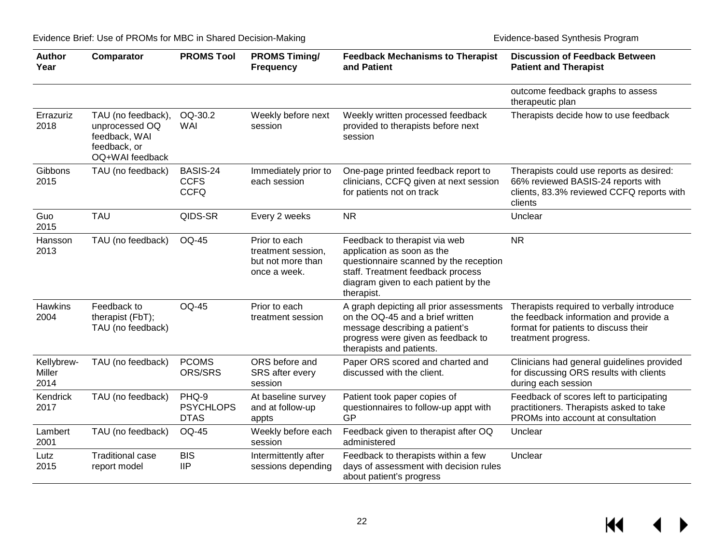| <b>Author</b><br>Year        | Comparator                                                                               | <b>PROMS Tool</b>                        | <b>PROMS Timing/</b><br><b>Frequency</b>                                 | <b>Feedback Mechanisms to Therapist</b><br>and Patient                                                                                                                                           | <b>Discussion of Feedback Between</b><br><b>Patient and Therapist</b>                                                                              |
|------------------------------|------------------------------------------------------------------------------------------|------------------------------------------|--------------------------------------------------------------------------|--------------------------------------------------------------------------------------------------------------------------------------------------------------------------------------------------|----------------------------------------------------------------------------------------------------------------------------------------------------|
|                              |                                                                                          |                                          |                                                                          |                                                                                                                                                                                                  | outcome feedback graphs to assess<br>therapeutic plan                                                                                              |
| Errazuriz<br>2018            | TAU (no feedback),<br>unprocessed OQ<br>feedback, WAI<br>feedback, or<br>OQ+WAI feedback | OQ-30.2<br><b>WAI</b>                    | Weekly before next<br>session                                            | Weekly written processed feedback<br>provided to therapists before next<br>session                                                                                                               | Therapists decide how to use feedback                                                                                                              |
| Gibbons<br>2015              | TAU (no feedback)                                                                        | BASIS-24<br><b>CCFS</b><br><b>CCFQ</b>   | Immediately prior to<br>each session                                     | One-page printed feedback report to<br>clinicians, CCFQ given at next session<br>for patients not on track                                                                                       | Therapists could use reports as desired:<br>66% reviewed BASIS-24 reports with<br>clients, 83.3% reviewed CCFQ reports with<br>clients             |
| Guo<br>2015                  | <b>TAU</b>                                                                               | QIDS-SR                                  | Every 2 weeks                                                            | <b>NR</b>                                                                                                                                                                                        | Unclear                                                                                                                                            |
| Hansson<br>2013              | TAU (no feedback)                                                                        | <b>OQ-45</b>                             | Prior to each<br>treatment session,<br>but not more than<br>once a week. | Feedback to therapist via web<br>application as soon as the<br>questionnaire scanned by the reception<br>staff. Treatment feedback process<br>diagram given to each patient by the<br>therapist. | <b>NR</b>                                                                                                                                          |
| <b>Hawkins</b><br>2004       | Feedback to<br>therapist (FbT);<br>TAU (no feedback)                                     | <b>OQ-45</b>                             | Prior to each<br>treatment session                                       | A graph depicting all prior assessments<br>on the OQ-45 and a brief written<br>message describing a patient's<br>progress were given as feedback to<br>therapists and patients.                  | Therapists required to verbally introduce<br>the feedback information and provide a<br>format for patients to discuss their<br>treatment progress. |
| Kellybrew-<br>Miller<br>2014 | TAU (no feedback)                                                                        | <b>PCOMS</b><br>ORS/SRS                  | ORS before and<br>SRS after every<br>session                             | Paper ORS scored and charted and<br>discussed with the client.                                                                                                                                   | Clinicians had general guidelines provided<br>for discussing ORS results with clients<br>during each session                                       |
| Kendrick<br>2017             | TAU (no feedback)                                                                        | PHQ-9<br><b>PSYCHLOPS</b><br><b>DTAS</b> | At baseline survey<br>and at follow-up<br>appts                          | Patient took paper copies of<br>questionnaires to follow-up appt with<br>GP                                                                                                                      | Feedback of scores left to participating<br>practitioners. Therapists asked to take<br>PROMs into account at consultation                          |
| Lambert<br>2001              | TAU (no feedback)                                                                        | <b>OQ-45</b>                             | Weekly before each<br>session                                            | Feedback given to therapist after OQ<br>administered                                                                                                                                             | Unclear                                                                                                                                            |
| Lutz<br>2015                 | <b>Traditional case</b><br>report model                                                  | <b>BIS</b><br><b>IIP</b>                 | Intermittently after<br>sessions depending                               | Feedback to therapists within a few<br>days of assessment with decision rules<br>about patient's progress                                                                                        | Unclear                                                                                                                                            |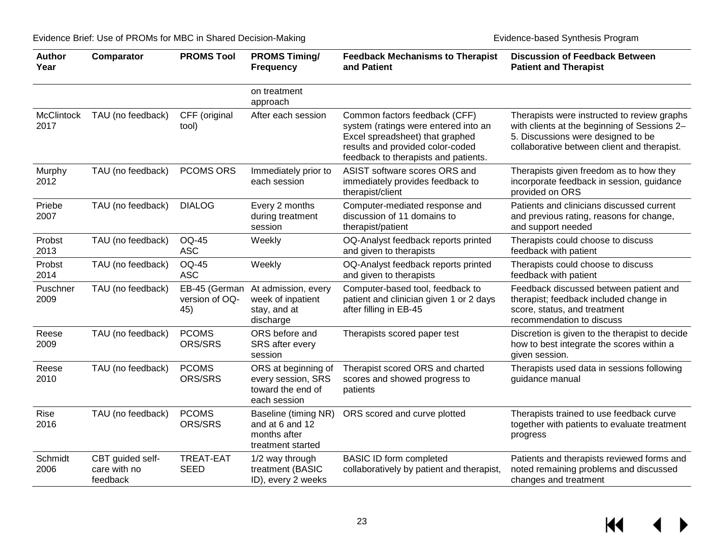| <b>Author</b><br>Year     | Comparator                                   | <b>PROMS Tool</b>                      | <b>PROMS Timing/</b><br><b>Frequency</b>                                       | <b>Feedback Mechanisms to Therapist</b><br>and Patient                                                                                                                               | <b>Discussion of Feedback Between</b><br><b>Patient and Therapist</b>                                                                                                            |
|---------------------------|----------------------------------------------|----------------------------------------|--------------------------------------------------------------------------------|--------------------------------------------------------------------------------------------------------------------------------------------------------------------------------------|----------------------------------------------------------------------------------------------------------------------------------------------------------------------------------|
|                           |                                              |                                        | on treatment<br>approach                                                       |                                                                                                                                                                                      |                                                                                                                                                                                  |
| <b>McClintock</b><br>2017 | TAU (no feedback)                            | CFF (original<br>tool)                 | After each session                                                             | Common factors feedback (CFF)<br>system (ratings were entered into an<br>Excel spreadsheet) that graphed<br>results and provided color-coded<br>feedback to therapists and patients. | Therapists were instructed to review graphs<br>with clients at the beginning of Sessions 2-<br>5. Discussions were designed to be<br>collaborative between client and therapist. |
| Murphy<br>2012            | TAU (no feedback)                            | <b>PCOMS ORS</b>                       | Immediately prior to<br>each session                                           | ASIST software scores ORS and<br>immediately provides feedback to<br>therapist/client                                                                                                | Therapists given freedom as to how they<br>incorporate feedback in session, guidance<br>provided on ORS                                                                          |
| Priebe<br>2007            | TAU (no feedback)                            | <b>DIALOG</b>                          | Every 2 months<br>during treatment<br>session                                  | Computer-mediated response and<br>discussion of 11 domains to<br>therapist/patient                                                                                                   | Patients and clinicians discussed current<br>and previous rating, reasons for change,<br>and support needed                                                                      |
| Probst<br>2013            | TAU (no feedback)                            | <b>OQ-45</b><br><b>ASC</b>             | Weekly                                                                         | OQ-Analyst feedback reports printed<br>and given to therapists                                                                                                                       | Therapists could choose to discuss<br>feedback with patient                                                                                                                      |
| Probst<br>2014            | TAU (no feedback)                            | <b>OQ-45</b><br><b>ASC</b>             | Weekly                                                                         | OQ-Analyst feedback reports printed<br>and given to therapists                                                                                                                       | Therapists could choose to discuss<br>feedback with patient                                                                                                                      |
| Puschner<br>2009          | TAU (no feedback)                            | EB-45 (German<br>version of OQ-<br>45) | At admission, every<br>week of inpatient<br>stay, and at<br>discharge          | Computer-based tool, feedback to<br>patient and clinician given 1 or 2 days<br>after filling in EB-45                                                                                | Feedback discussed between patient and<br>therapist; feedback included change in<br>score, status, and treatment<br>recommendation to discuss                                    |
| Reese<br>2009             | TAU (no feedback)                            | <b>PCOMS</b><br>ORS/SRS                | ORS before and<br>SRS after every<br>session                                   | Therapists scored paper test                                                                                                                                                         | Discretion is given to the therapist to decide<br>how to best integrate the scores within a<br>given session.                                                                    |
| Reese<br>2010             | TAU (no feedback)                            | <b>PCOMS</b><br>ORS/SRS                | ORS at beginning of<br>every session, SRS<br>toward the end of<br>each session | Therapist scored ORS and charted<br>scores and showed progress to<br>patients                                                                                                        | Therapists used data in sessions following<br>guidance manual                                                                                                                    |
| Rise<br>2016              | TAU (no feedback)                            | <b>PCOMS</b><br>ORS/SRS                | Baseline (timing NR)<br>and at 6 and 12<br>months after<br>treatment started   | ORS scored and curve plotted                                                                                                                                                         | Therapists trained to use feedback curve<br>together with patients to evaluate treatment<br>progress                                                                             |
| Schmidt<br>2006           | CBT guided self-<br>care with no<br>feedback | <b>TREAT-EAT</b><br><b>SEED</b>        | 1/2 way through<br>treatment (BASIC<br>ID), every 2 weeks                      | <b>BASIC ID form completed</b><br>collaboratively by patient and therapist,                                                                                                          | Patients and therapists reviewed forms and<br>noted remaining problems and discussed<br>changes and treatment                                                                    |

 $M \rightarrow$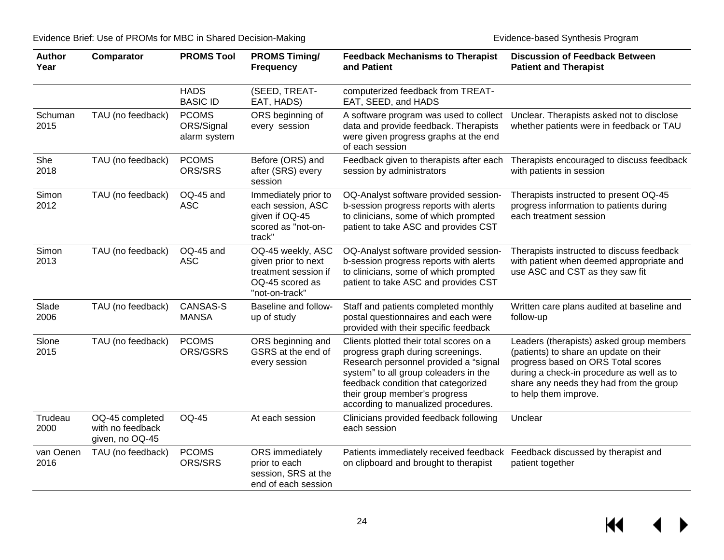| <b>Author</b><br>Year | Comparator                                             | <b>PROMS Tool</b>                          | <b>PROMS Timing/</b><br><b>Frequency</b>                                                              | <b>Feedback Mechanisms to Therapist</b><br>and Patient                                                                                                                                                                                                                        | <b>Discussion of Feedback Between</b><br><b>Patient and Therapist</b>                                                                                                                                                                     |
|-----------------------|--------------------------------------------------------|--------------------------------------------|-------------------------------------------------------------------------------------------------------|-------------------------------------------------------------------------------------------------------------------------------------------------------------------------------------------------------------------------------------------------------------------------------|-------------------------------------------------------------------------------------------------------------------------------------------------------------------------------------------------------------------------------------------|
|                       |                                                        | <b>HADS</b><br><b>BASIC ID</b>             | (SEED, TREAT-<br>EAT, HADS)                                                                           | computerized feedback from TREAT-<br>EAT, SEED, and HADS                                                                                                                                                                                                                      |                                                                                                                                                                                                                                           |
| Schuman<br>2015       | TAU (no feedback)                                      | <b>PCOMS</b><br>ORS/Signal<br>alarm system | ORS beginning of<br>every session                                                                     | A software program was used to collect<br>data and provide feedback. Therapists<br>were given progress graphs at the end<br>of each session                                                                                                                                   | Unclear. Therapists asked not to disclose<br>whether patients were in feedback or TAU                                                                                                                                                     |
| She<br>2018           | TAU (no feedback)                                      | <b>PCOMS</b><br>ORS/SRS                    | Before (ORS) and<br>after (SRS) every<br>session                                                      | Feedback given to therapists after each<br>Therapists encouraged to discuss feedback<br>session by administrators<br>with patients in session                                                                                                                                 |                                                                                                                                                                                                                                           |
| Simon<br>2012         | TAU (no feedback)                                      | OQ-45 and<br><b>ASC</b>                    | Immediately prior to<br>each session, ASC<br>given if OQ-45<br>scored as "not-on-<br>track"           | OQ-Analyst software provided session-<br>b-session progress reports with alerts<br>to clinicians, some of which prompted<br>patient to take ASC and provides CST                                                                                                              | Therapists instructed to present OQ-45<br>progress information to patients during<br>each treatment session                                                                                                                               |
| Simon<br>2013         | TAU (no feedback)                                      | OQ-45 and<br><b>ASC</b>                    | OQ-45 weekly, ASC<br>given prior to next<br>treatment session if<br>OQ-45 scored as<br>"not-on-track" | OQ-Analyst software provided session-<br>b-session progress reports with alerts<br>to clinicians, some of which prompted<br>patient to take ASC and provides CST                                                                                                              | Therapists instructed to discuss feedback<br>with patient when deemed appropriate and<br>use ASC and CST as they saw fit                                                                                                                  |
| Slade<br>2006         | TAU (no feedback)                                      | <b>CANSAS-S</b><br><b>MANSA</b>            | Baseline and follow-<br>up of study                                                                   | Staff and patients completed monthly<br>postal questionnaires and each were<br>provided with their specific feedback                                                                                                                                                          | Written care plans audited at baseline and<br>follow-up                                                                                                                                                                                   |
| Slone<br>2015         | TAU (no feedback)                                      | <b>PCOMS</b><br>ORS/GSRS                   | ORS beginning and<br>GSRS at the end of<br>every session                                              | Clients plotted their total scores on a<br>progress graph during screenings.<br>Research personnel provided a "signal<br>system" to all group coleaders in the<br>feedback condition that categorized<br>their group member's progress<br>according to manualized procedures. | Leaders (therapists) asked group members<br>(patients) to share an update on their<br>progress based on ORS Total scores<br>during a check-in procedure as well as to<br>share any needs they had from the group<br>to help them improve. |
| Trudeau<br>2000       | OQ-45 completed<br>with no feedback<br>given, no OQ-45 | <b>OQ-45</b>                               | At each session                                                                                       | Clinicians provided feedback following<br>each session                                                                                                                                                                                                                        | Unclear                                                                                                                                                                                                                                   |
| van Oenen<br>2016     | TAU (no feedback)                                      | <b>PCOMS</b><br>ORS/SRS                    | ORS immediately<br>prior to each<br>session, SRS at the<br>end of each session                        | Patients immediately received feedback<br>on clipboard and brought to therapist                                                                                                                                                                                               | Feedback discussed by therapist and<br>patient together                                                                                                                                                                                   |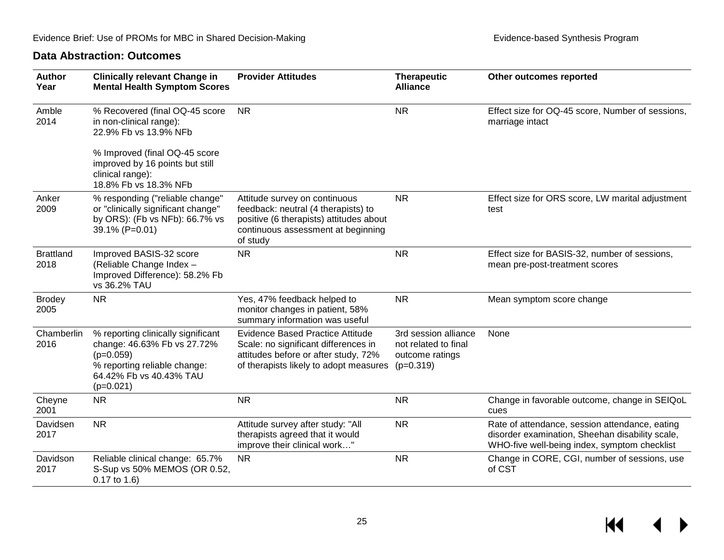#### **Data Abstraction: Outcomes**

<span id="page-26-0"></span>

| <b>Author</b><br>Year    | <b>Clinically relevant Change in</b><br><b>Mental Health Symptom Scores</b>                                                                                                                                                                                                                    | <b>Provider Attitudes</b>                                                                                                                                         | <b>Therapeutic</b><br><b>Alliance</b>                                          | Other outcomes reported                                                                                                                           |
|--------------------------|------------------------------------------------------------------------------------------------------------------------------------------------------------------------------------------------------------------------------------------------------------------------------------------------|-------------------------------------------------------------------------------------------------------------------------------------------------------------------|--------------------------------------------------------------------------------|---------------------------------------------------------------------------------------------------------------------------------------------------|
| Amble<br>2014            | % Recovered (final OQ-45 score<br>in non-clinical range):<br>22.9% Fb vs 13.9% NFb                                                                                                                                                                                                             | <b>NR</b>                                                                                                                                                         | <b>NR</b>                                                                      | Effect size for OQ-45 score, Number of sessions,<br>marriage intact                                                                               |
|                          | % Improved (final OQ-45 score<br>improved by 16 points but still<br>clinical range):<br>18.8% Fb vs 18.3% NFb                                                                                                                                                                                  |                                                                                                                                                                   |                                                                                |                                                                                                                                                   |
| Anker<br>2009            | % responding ("reliable change"<br>Attitude survey on continuous<br>or "clinically significant change"<br>feedback: neutral (4 therapists) to<br>by ORS): (Fb vs NFb): 66.7% vs<br>positive (6 therapists) attitudes about<br>39.1% (P=0.01)<br>continuous assessment at beginning<br>of study |                                                                                                                                                                   | <b>NR</b>                                                                      | Effect size for ORS score, LW marital adjustment<br>test                                                                                          |
| <b>Brattland</b><br>2018 | Improved BASIS-32 score<br>(Reliable Change Index -<br>Improved Difference): 58.2% Fb<br>vs 36.2% TAU                                                                                                                                                                                          | <b>NR</b>                                                                                                                                                         | <b>NR</b>                                                                      | Effect size for BASIS-32, number of sessions,<br>mean pre-post-treatment scores                                                                   |
| <b>Brodey</b><br>2005    | <b>NR</b>                                                                                                                                                                                                                                                                                      | Yes, 47% feedback helped to<br>monitor changes in patient, 58%<br>summary information was useful                                                                  | <b>NR</b>                                                                      | Mean symptom score change                                                                                                                         |
| Chamberlin<br>2016       | % reporting clinically significant<br>change: 46.63% Fb vs 27.72%<br>$(p=0.059)$<br>% reporting reliable change:<br>64.42% Fb vs 40.43% TAU<br>$(p=0.021)$                                                                                                                                     | <b>Evidence Based Practice Attitude</b><br>Scale: no significant differences in<br>attitudes before or after study, 72%<br>of therapists likely to adopt measures | 3rd session alliance<br>not related to final<br>outcome ratings<br>$(p=0.319)$ | None                                                                                                                                              |
| Cheyne<br>2001           | <b>NR</b>                                                                                                                                                                                                                                                                                      | <b>NR</b>                                                                                                                                                         | <b>NR</b>                                                                      | Change in favorable outcome, change in SEIQoL<br>cues                                                                                             |
| Davidsen<br>2017         | <b>NR</b>                                                                                                                                                                                                                                                                                      | Attitude survey after study: "All<br>therapists agreed that it would<br>improve their clinical work"                                                              | <b>NR</b>                                                                      | Rate of attendance, session attendance, eating<br>disorder examination, Sheehan disability scale,<br>WHO-five well-being index, symptom checklist |
| Davidson<br>2017         | Reliable clinical change: 65.7%<br>S-Sup vs 50% MEMOS (OR 0.52,<br>$0.17$ to $1.6$ )                                                                                                                                                                                                           | <b>NR</b>                                                                                                                                                         | <b>NR</b>                                                                      | Change in CORE, CGI, number of sessions, use<br>of CST                                                                                            |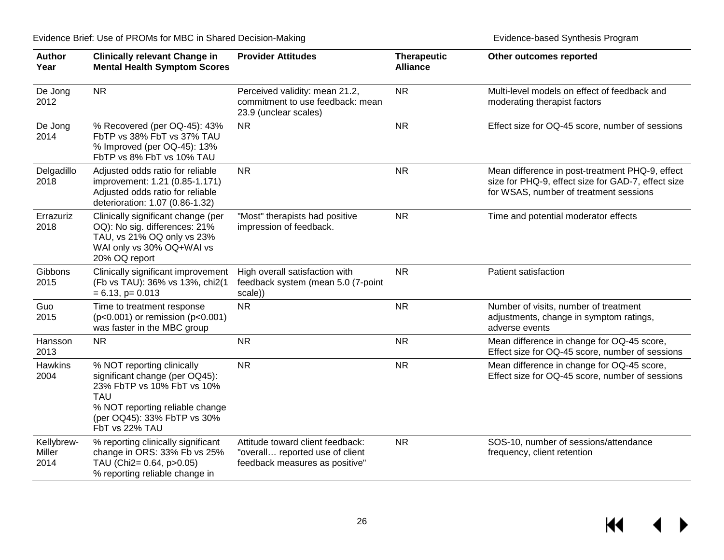| <b>Author</b><br>Year        | <b>Clinically relevant Change in</b><br><b>Provider Attitudes</b><br><b>Mental Health Symptom Scores</b>                                                                                     |                                                                                                       | <b>Therapeutic</b><br><b>Alliance</b> | Other outcomes reported                                                                                                                         |
|------------------------------|----------------------------------------------------------------------------------------------------------------------------------------------------------------------------------------------|-------------------------------------------------------------------------------------------------------|---------------------------------------|-------------------------------------------------------------------------------------------------------------------------------------------------|
| De Jong<br>2012              | <b>NR</b><br>Perceived validity: mean 21.2,<br>commitment to use feedback: mean<br>23.9 (unclear scales)                                                                                     |                                                                                                       | <b>NR</b>                             | Multi-level models on effect of feedback and<br>moderating therapist factors                                                                    |
| De Jong<br>2014              | % Recovered (per OQ-45): 43%<br>FbTP vs 38% FbT vs 37% TAU<br>% Improved (per OQ-45): 13%<br>FbTP vs 8% FbT vs 10% TAU                                                                       | <b>NR</b>                                                                                             |                                       | Effect size for OQ-45 score, number of sessions                                                                                                 |
| Delgadillo<br>2018           | Adjusted odds ratio for reliable<br>improvement: 1.21 (0.85-1.171)<br>Adjusted odds ratio for reliable<br>deterioration: 1.07 (0.86-1.32)                                                    | <b>NR</b>                                                                                             | <b>NR</b>                             | Mean difference in post-treatment PHQ-9, effect<br>size for PHQ-9, effect size for GAD-7, effect size<br>for WSAS, number of treatment sessions |
| Errazuriz<br>2018            | Clinically significant change (per<br>OQ): No sig. differences: 21%<br>TAU, vs 21% OQ only vs 23%<br>WAI only vs 30% OQ+WAI vs<br>20% OQ report                                              | "Most" therapists had positive<br>impression of feedback.                                             | <b>NR</b>                             | Time and potential moderator effects                                                                                                            |
| Gibbons<br>2015              | Clinically significant improvement<br>(Fb vs TAU): 36% vs 13%, chi2(1<br>$= 6.13$ , p= 0.013                                                                                                 | High overall satisfaction with<br>feedback system (mean 5.0 (7-point<br>scale))                       | <b>NR</b>                             | Patient satisfaction                                                                                                                            |
| Guo<br>2015                  | Time to treatment response<br>$(p<0.001)$ or remission ( $p<0.001$ )<br>was faster in the MBC group                                                                                          | <b>NR</b>                                                                                             | <b>NR</b>                             | Number of visits, number of treatment<br>adjustments, change in symptom ratings,<br>adverse events                                              |
| Hansson<br>2013              | <b>NR</b>                                                                                                                                                                                    | <b>NR</b>                                                                                             | <b>NR</b>                             | Mean difference in change for OQ-45 score,<br>Effect size for OQ-45 score, number of sessions                                                   |
| Hawkins<br>2004              | % NOT reporting clinically<br>significant change (per OQ45):<br>23% FbTP vs 10% FbT vs 10%<br><b>TAU</b><br>% NOT reporting reliable change<br>(per OQ45): 33% FbTP vs 30%<br>FbT vs 22% TAU | <b>NR</b>                                                                                             | <b>NR</b>                             | Mean difference in change for OQ-45 score,<br>Effect size for OQ-45 score, number of sessions                                                   |
| Kellybrew-<br>Miller<br>2014 | % reporting clinically significant<br>change in ORS: 33% Fb vs 25%<br>TAU (Chi2= 0.64, p>0.05)<br>% reporting reliable change in                                                             | Attitude toward client feedback:<br>"overall reported use of client<br>feedback measures as positive" | <b>NR</b>                             | SOS-10, number of sessions/attendance<br>frequency, client retention                                                                            |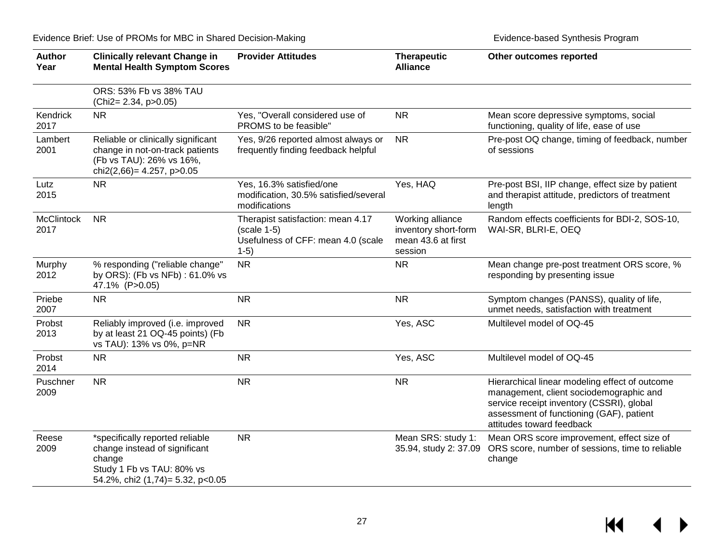| <b>Author</b><br>Year     | <b>Clinically relevant Change in</b><br><b>Mental Health Symptom Scores</b>                                                                              | <b>Provider Attitudes</b>                                                                          | <b>Therapeutic</b><br><b>Alliance</b>                                     | Other outcomes reported                                                                                                                                                                                         |
|---------------------------|----------------------------------------------------------------------------------------------------------------------------------------------------------|----------------------------------------------------------------------------------------------------|---------------------------------------------------------------------------|-----------------------------------------------------------------------------------------------------------------------------------------------------------------------------------------------------------------|
|                           | ORS: 53% Fb vs 38% TAU<br>(Chi2= 2.34, p>0.05)                                                                                                           |                                                                                                    |                                                                           |                                                                                                                                                                                                                 |
| Kendrick<br>2017          | <b>NR</b>                                                                                                                                                | Yes, "Overall considered use of<br>PROMS to be feasible"                                           | <b>NR</b>                                                                 | Mean score depressive symptoms, social<br>functioning, quality of life, ease of use                                                                                                                             |
| Lambert<br>2001           | Reliable or clinically significant<br>change in not-on-track patients<br>(Fb vs TAU): 26% vs 16%,<br>chi2(2,66) = 4.257, p > 0.05                        | Yes, 9/26 reported almost always or<br>frequently finding feedback helpful                         | <b>NR</b>                                                                 | Pre-post OQ change, timing of feedback, number<br>of sessions                                                                                                                                                   |
| Lutz<br>2015              | <b>NR</b>                                                                                                                                                | Yes, 16.3% satisfied/one<br>modification, 30.5% satisfied/several<br>modifications                 | Yes, HAQ                                                                  | Pre-post BSI, IIP change, effect size by patient<br>and therapist attitude, predictors of treatment<br>length                                                                                                   |
| <b>McClintock</b><br>2017 | <b>NR</b>                                                                                                                                                | Therapist satisfaction: mean 4.17<br>$(scale 1-5)$<br>Usefulness of CFF: mean 4.0 (scale<br>$1-5)$ | Working alliance<br>inventory short-form<br>mean 43.6 at first<br>session | Random effects coefficients for BDI-2, SOS-10,<br>WAI-SR, BLRI-E, OEQ                                                                                                                                           |
| Murphy<br>2012            | % responding ("reliable change"<br>by ORS): (Fb vs NFb): 61.0% vs<br>47.1% (P>0.05)                                                                      | <b>NR</b>                                                                                          | <b>NR</b>                                                                 | Mean change pre-post treatment ORS score, %<br>responding by presenting issue                                                                                                                                   |
| Priebe<br>2007            | <b>NR</b>                                                                                                                                                | <b>NR</b>                                                                                          | <b>NR</b>                                                                 | Symptom changes (PANSS), quality of life,<br>unmet needs, satisfaction with treatment                                                                                                                           |
| Probst<br>2013            | Reliably improved (i.e. improved<br>by at least 21 OQ-45 points) (Fb<br>vs TAU): 13% vs 0%, p=NR                                                         | <b>NR</b>                                                                                          | Yes, ASC                                                                  | Multilevel model of OQ-45                                                                                                                                                                                       |
| Probst<br>2014            | <b>NR</b>                                                                                                                                                | <b>NR</b>                                                                                          | Yes, ASC                                                                  | Multilevel model of OQ-45                                                                                                                                                                                       |
| Puschner<br>2009          | <b>NR</b>                                                                                                                                                | <b>NR</b>                                                                                          | <b>NR</b>                                                                 | Hierarchical linear modeling effect of outcome<br>management, client sociodemographic and<br>service receipt inventory (CSSRI), global<br>assessment of functioning (GAF), patient<br>attitudes toward feedback |
| Reese<br>2009             | <b>NR</b><br>*specifically reported reliable<br>change instead of significant<br>change<br>Study 1 Fb vs TAU: 80% vs<br>54.2%, chi2 (1,74)= 5.32, p<0.05 |                                                                                                    | Mean SRS: study 1:<br>35.94, study 2: 37.09                               | Mean ORS score improvement, effect size of<br>ORS score, number of sessions, time to reliable<br>change                                                                                                         |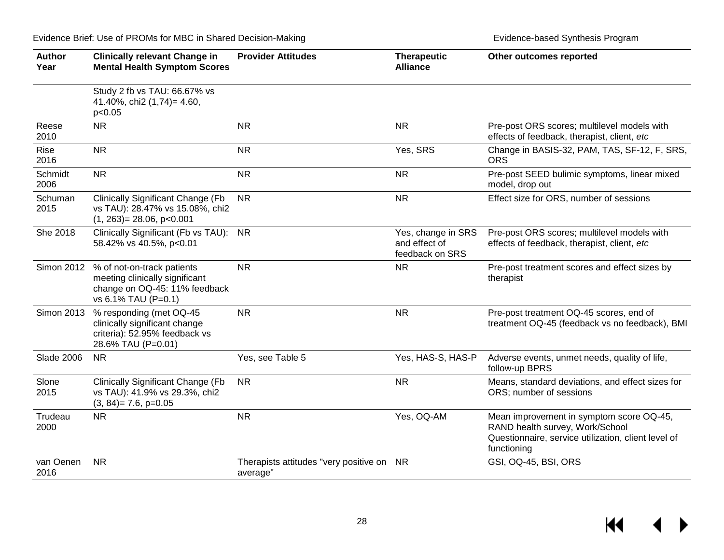| <b>Author</b><br>Year | <b>Clinically relevant Change in</b><br><b>Mental Health Symptom Scores</b>                                          | <b>Provider Attitudes</b>                             | <b>Therapeutic</b><br><b>Alliance</b>                  | Other outcomes reported                                                                                                                           |
|-----------------------|----------------------------------------------------------------------------------------------------------------------|-------------------------------------------------------|--------------------------------------------------------|---------------------------------------------------------------------------------------------------------------------------------------------------|
|                       | Study 2 fb vs TAU: 66.67% vs<br>41.40%, chi2 (1,74)= 4.60,<br>p<0.05                                                 |                                                       |                                                        |                                                                                                                                                   |
| Reese<br>2010         | <b>NR</b>                                                                                                            | <b>NR</b>                                             | <b>NR</b>                                              | Pre-post ORS scores; multilevel models with<br>effects of feedback, therapist, client, etc                                                        |
| <b>Rise</b><br>2016   | <b>NR</b>                                                                                                            | <b>NR</b>                                             | Yes, SRS                                               | Change in BASIS-32, PAM, TAS, SF-12, F, SRS,<br><b>ORS</b>                                                                                        |
| Schmidt<br>2006       | <b>NR</b>                                                                                                            | <b>NR</b>                                             | <b>NR</b>                                              | Pre-post SEED bulimic symptoms, linear mixed<br>model, drop out                                                                                   |
| Schuman<br>2015       | <b>Clinically Significant Change (Fb</b><br>vs TAU): 28.47% vs 15.08%, chi2<br>$(1, 263) = 28.06$ , p<0.001          | <b>NR</b>                                             | <b>NR</b>                                              | Effect size for ORS, number of sessions                                                                                                           |
| She 2018              | Clinically Significant (Fb vs TAU): NR<br>58.42% vs 40.5%, p<0.01                                                    |                                                       | Yes, change in SRS<br>and effect of<br>feedback on SRS | Pre-post ORS scores; multilevel models with<br>effects of feedback, therapist, client, etc                                                        |
| <b>Simon 2012</b>     | % of not-on-track patients<br>meeting clinically significant<br>change on OQ-45: 11% feedback<br>vs 6.1% TAU (P=0.1) | <b>NR</b>                                             | <b>NR</b>                                              | Pre-post treatment scores and effect sizes by<br>therapist                                                                                        |
| <b>Simon 2013</b>     | % responding (met OQ-45<br>clinically significant change<br>criteria): 52.95% feedback vs<br>28.6% TAU (P=0.01)      | <b>NR</b>                                             | <b>NR</b>                                              | Pre-post treatment OQ-45 scores, end of<br>treatment OQ-45 (feedback vs no feedback), BMI                                                         |
| <b>Slade 2006</b>     | <b>NR</b>                                                                                                            | Yes, see Table 5                                      | Yes, HAS-S, HAS-P                                      | Adverse events, unmet needs, quality of life,<br>follow-up BPRS                                                                                   |
| Slone<br>2015         | <b>Clinically Significant Change (Fb</b><br>vs TAU): 41.9% vs 29.3%, chi2<br>$(3, 84) = 7.6$ , $p=0.05$              | <b>NR</b>                                             | <b>NR</b>                                              | Means, standard deviations, and effect sizes for<br>ORS; number of sessions                                                                       |
| Trudeau<br>2000       | <b>NR</b>                                                                                                            | <b>NR</b>                                             | Yes, OQ-AM                                             | Mean improvement in symptom score OQ-45,<br>RAND health survey, Work/School<br>Questionnaire, service utilization, client level of<br>functioning |
| van Oenen<br>2016     | <b>NR</b>                                                                                                            | Therapists attitudes "very positive on NR<br>average" |                                                        | GSI, OQ-45, BSI, ORS                                                                                                                              |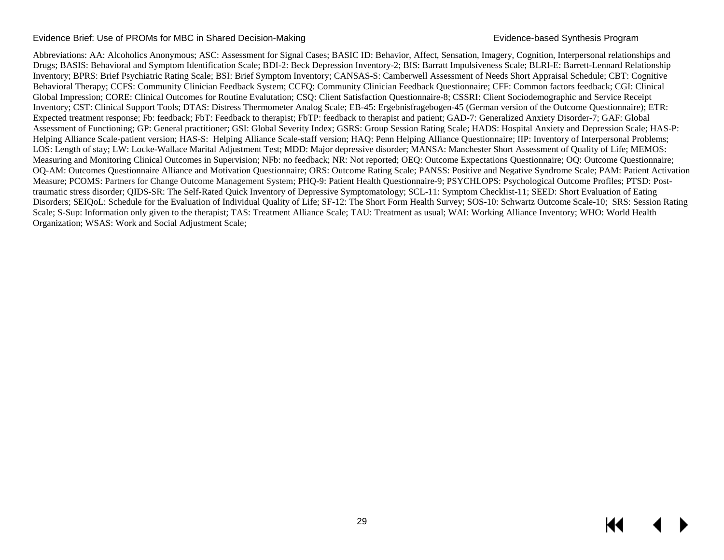#### Evidence Brief: Use of PROMs for MBC in Shared Decision-Making **Exitence 19th Contract Contract Contract Contract Contract Contract Contract Contract Contract Contract Contract Contract Contract Contract Contract Contract**

Abbreviations: AA: Alcoholics Anonymous; ASC: Assessment for Signal Cases; BASIC ID: Behavior, Affect, Sensation, Imagery, Cognition, Interpersonal relationships and Drugs; BASIS: Behavioral and Symptom Identification Scale; BDI-2: Beck Depression Inventory-2; BIS: Barratt Impulsiveness Scale; BLRI-E: Barrett-Lennard Relationship Inventory; BPRS: Brief Psychiatric Rating Scale; BSI: Brief Symptom Inventory; CANSAS-S: Camberwell Assessment of Needs Short Appraisal Schedule; CBT: Cognitive Behavioral Therapy; CCFS: Community Clinician Feedback System; CCFQ: Community Clinician Feedback Questionnaire; CFF: Common factors feedback; CGI: Clinical Global Impression; CORE: Clinical Outcomes for Routine Evalutation; CSQ: Client Satisfaction Questionnaire-8; CSSRI: Client Sociodemographic and Service Receipt Inventory; CST: Clinical Support Tools; DTAS: Distress Thermometer Analog Scale; EB-45: Ergebnisfragebogen-45 (German version of the Outcome Questionnaire); ETR: Expected treatment response; Fb: feedback; FbT: Feedback to therapist; FbTP: feedback to therapist and patient; GAD-7: Generalized Anxiety Disorder-7; GAF: Global Assessment of Functioning; GP: General practitioner; GSI: Global Severity Index; GSRS: Group Session Rating Scale; HADS: Hospital Anxiety and Depression Scale; HAS-P: Helping Alliance Scale-patient version; HAS-S: Helping Alliance Scale-staff version; HAQ: Penn Helping Alliance Questionnaire; IIP: Inventory of Interpersonal Problems; LOS: Length of stay; LW: Locke-Wallace Marital Adjustment Test; MDD: Major depressive disorder; MANSA: Manchester Short Assessment of Quality of Life; MEMOS: Measuring and Monitoring Clinical Outcomes in Supervision; NFb: no feedback; NR: Not reported; OEQ: Outcome Expectations Questionnaire; OQ: Outcome Questionnaire; OQ-AM: Outcomes Questionnaire Alliance and Motivation Questionnaire; ORS: Outcome Rating Scale; PANSS: Positive and Negative Syndrome Scale; PAM: Patient Activation Measure; PCOMS: Partners for Change Outcome Management System; PHQ-9: Patient Health Questionnaire-9; PSYCHLOPS: Psychological Outcome Profiles; PTSD: Posttraumatic stress disorder; QIDS-SR: The Self-Rated Quick Inventory of Depressive Symptomatology; SCL-11: Symptom Checklist-11; SEED: Short Evaluation of Eating Disorders; SEIQoL: Schedule for the Evaluation of Individual Quality of Life; SF-12: The Short Form Health Survey; SOS-10: Schwartz Outcome Scale-10; SRS: Session Rating Scale; S-Sup: Information only given to the therapist; TAS: Treatment Alliance Scale; TAU: Treatment as usual; WAI: Working Alliance Inventory; WHO: World Health Organization; WSAS: Work and Social Adjustment Scale;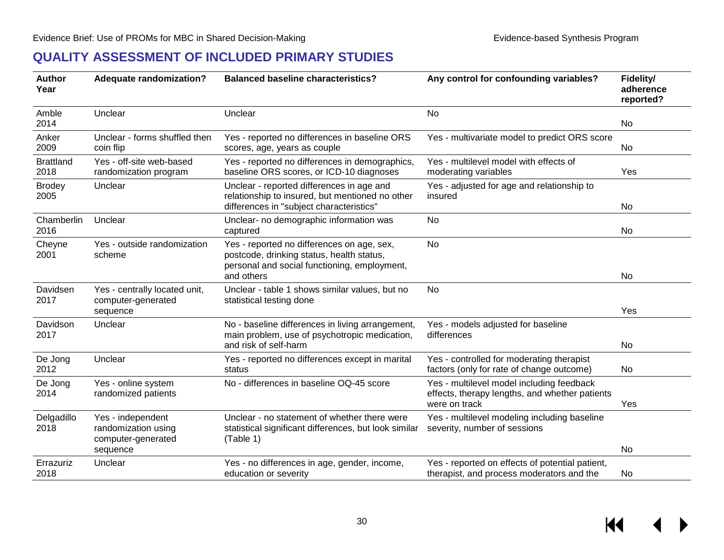### **QUALITY ASSESSMENT OF INCLUDED PRIMARY STUDIES**

<span id="page-31-0"></span>

| <b>Author</b><br>Year    | <b>Adequate randomization?</b>                                             | <b>Balanced baseline characteristics?</b><br>Any control for confounding variables?                                                                   |                                                                                                              | Fidelity/<br>adherence<br>reported? |
|--------------------------|----------------------------------------------------------------------------|-------------------------------------------------------------------------------------------------------------------------------------------------------|--------------------------------------------------------------------------------------------------------------|-------------------------------------|
| Amble<br>2014            | Unclear                                                                    | Unclear                                                                                                                                               | <b>No</b>                                                                                                    | No                                  |
| Anker<br>2009            | Unclear - forms shuffled then<br>coin flip                                 | Yes - reported no differences in baseline ORS<br>scores, age, years as couple                                                                         | Yes - multivariate model to predict ORS score                                                                | No                                  |
| <b>Brattland</b><br>2018 | Yes - off-site web-based<br>randomization program                          | Yes - reported no differences in demographics,<br>baseline ORS scores, or ICD-10 diagnoses                                                            | Yes - multilevel model with effects of<br>moderating variables                                               | Yes                                 |
| <b>Brodey</b><br>2005    | Unclear                                                                    | Unclear - reported differences in age and<br>relationship to insured, but mentioned no other<br>differences in "subject characteristics"              | Yes - adjusted for age and relationship to<br>insured                                                        | No                                  |
| Chamberlin<br>2016       | Unclear                                                                    | Unclear- no demographic information was<br>captured                                                                                                   | No                                                                                                           | No                                  |
| Cheyne<br>2001           | Yes - outside randomization<br>scheme                                      | Yes - reported no differences on age, sex,<br>postcode, drinking status, health status,<br>personal and social functioning, employment,<br>and others | <b>No</b>                                                                                                    | No                                  |
| Davidsen<br>2017         | Yes - centrally located unit,<br>computer-generated<br>sequence            | Unclear - table 1 shows similar values, but no<br>statistical testing done                                                                            | No                                                                                                           | Yes                                 |
| Davidson<br>2017         | Unclear                                                                    | No - baseline differences in living arrangement,<br>main problem, use of psychotropic medication,<br>and risk of self-harm                            | Yes - models adjusted for baseline<br>differences                                                            | No                                  |
| De Jong<br>2012          | Unclear                                                                    | Yes - reported no differences except in marital<br>status                                                                                             | Yes - controlled for moderating therapist<br>factors (only for rate of change outcome)                       | No                                  |
| De Jong<br>2014          | Yes - online system<br>randomized patients                                 | No - differences in baseline OQ-45 score                                                                                                              | Yes - multilevel model including feedback<br>effects, therapy lengths, and whether patients<br>were on track | Yes                                 |
| Delgadillo<br>2018       | Yes - independent<br>randomization using<br>computer-generated<br>sequence | Unclear - no statement of whether there were<br>statistical significant differences, but look similar<br>(Table 1)                                    | Yes - multilevel modeling including baseline<br>severity, number of sessions                                 | No                                  |
| Errazuriz<br>2018        | Unclear                                                                    | Yes - no differences in age, gender, income,<br>education or severity                                                                                 | Yes - reported on effects of potential patient,<br>therapist, and process moderators and the                 | No                                  |

KI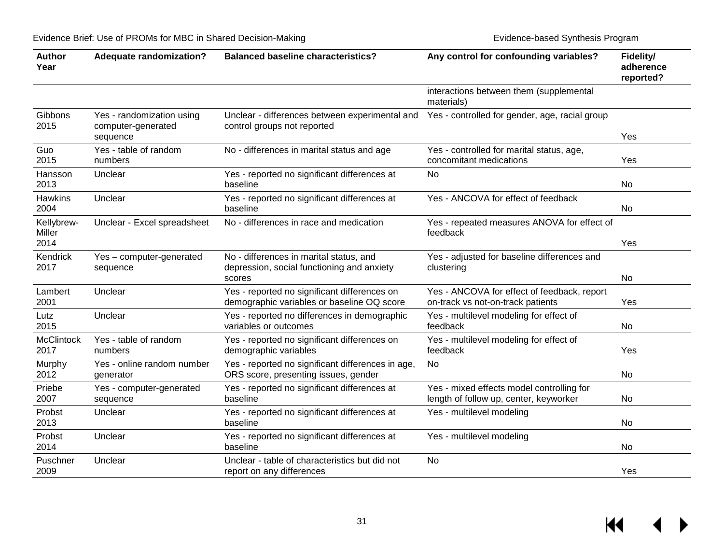| <b>Author</b><br>Year        | <b>Adequate randomization?</b>                              | <b>Balanced baseline characteristics?</b>                                                       | Any control for confounding variables?                                              | Fidelity/<br>adherence<br>reported? |
|------------------------------|-------------------------------------------------------------|-------------------------------------------------------------------------------------------------|-------------------------------------------------------------------------------------|-------------------------------------|
|                              |                                                             |                                                                                                 | interactions between them (supplemental<br>materials)                               |                                     |
| Gibbons<br>2015              | Yes - randomization using<br>computer-generated<br>sequence | Unclear - differences between experimental and<br>control groups not reported                   | Yes - controlled for gender, age, racial group                                      | Yes                                 |
| Guo<br>2015                  | Yes - table of random<br>numbers                            | No - differences in marital status and age                                                      | Yes - controlled for marital status, age,<br>concomitant medications                | Yes                                 |
| Hansson<br>2013              | Unclear                                                     | Yes - reported no significant differences at<br>baseline                                        | No                                                                                  | No                                  |
| <b>Hawkins</b><br>2004       | Unclear                                                     | Yes - reported no significant differences at<br>baseline                                        | Yes - ANCOVA for effect of feedback                                                 | No                                  |
| Kellybrew-<br>Miller<br>2014 | Unclear - Excel spreadsheet                                 | No - differences in race and medication                                                         | Yes - repeated measures ANOVA for effect of<br>feedback                             | Yes                                 |
| Kendrick<br>2017             | Yes - computer-generated<br>sequence                        | No - differences in marital status, and<br>depression, social functioning and anxiety<br>scores | Yes - adjusted for baseline differences and<br>clustering                           | No                                  |
| Lambert<br>2001              | Unclear                                                     | Yes - reported no significant differences on<br>demographic variables or baseline OQ score      | Yes - ANCOVA for effect of feedback, report<br>on-track vs not-on-track patients    | Yes                                 |
| Lutz<br>2015                 | Unclear                                                     | Yes - reported no differences in demographic<br>variables or outcomes                           | Yes - multilevel modeling for effect of<br>feedback                                 | No                                  |
| <b>McClintock</b><br>2017    | Yes - table of random<br>numbers                            | Yes - reported no significant differences on<br>demographic variables                           | Yes - multilevel modeling for effect of<br>feedback                                 | Yes                                 |
| Murphy<br>2012               | Yes - online random number<br>generator                     | Yes - reported no significant differences in age,<br>ORS score, presenting issues, gender       | <b>No</b>                                                                           | No                                  |
| Priebe<br>2007               | Yes - computer-generated<br>sequence                        | Yes - reported no significant differences at<br>baseline                                        | Yes - mixed effects model controlling for<br>length of follow up, center, keyworker | No                                  |
| Probst<br>2013               | Unclear                                                     | Yes - reported no significant differences at<br>baseline                                        | Yes - multilevel modeling                                                           | No                                  |
| Probst<br>2014               | Unclear                                                     | Yes - reported no significant differences at<br>baseline                                        | Yes - multilevel modeling                                                           | <b>No</b>                           |
| Puschner<br>2009             | Unclear                                                     | Unclear - table of characteristics but did not<br>report on any differences                     | <b>No</b>                                                                           | Yes                                 |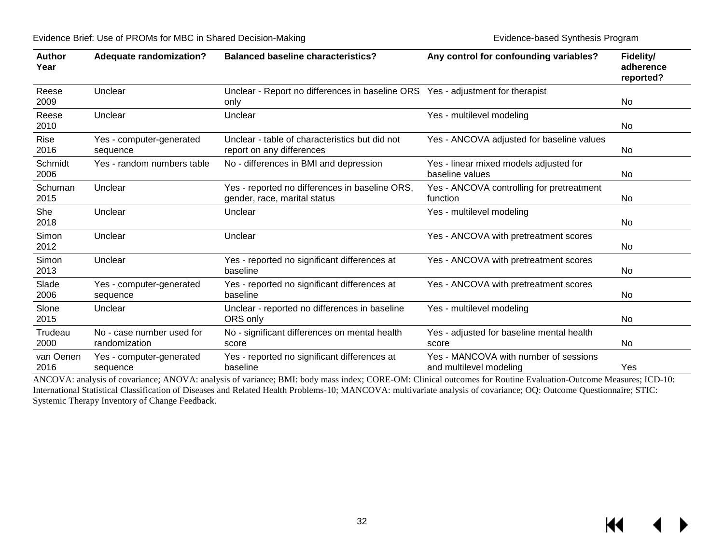| <b>Author</b><br>Year | <b>Adequate randomization?</b>             | <b>Balanced baseline characteristics?</b>                                              | Any control for confounding variables?                           | Fidelity/<br>adherence<br>reported? |
|-----------------------|--------------------------------------------|----------------------------------------------------------------------------------------|------------------------------------------------------------------|-------------------------------------|
| Reese<br>2009         | Unclear                                    | Unclear - Report no differences in baseline ORS Yes - adjustment for therapist<br>only |                                                                  | <b>No</b>                           |
| Reese<br>2010         | Unclear                                    | Yes - multilevel modeling<br>Unclear                                                   |                                                                  | No                                  |
| Rise<br>2016          | Yes - computer-generated<br>sequence       | Unclear - table of characteristics but did not<br>report on any differences            | Yes - ANCOVA adjusted for baseline values                        | No                                  |
| Schmidt<br>2006       | Yes - random numbers table                 | No - differences in BMI and depression                                                 | Yes - linear mixed models adjusted for<br>baseline values        | No                                  |
| Schuman<br>2015       | Unclear                                    | Yes - reported no differences in baseline ORS,<br>gender, race, marital status         | Yes - ANCOVA controlling for pretreatment<br>function            | No                                  |
| She<br>2018           | Unclear                                    | Unclear                                                                                | Yes - multilevel modeling                                        | No.                                 |
| Simon<br>2012         | Unclear                                    | Unclear                                                                                | Yes - ANCOVA with pretreatment scores                            | No                                  |
| Simon<br>2013         | Unclear                                    | Yes - reported no significant differences at<br>baseline                               | Yes - ANCOVA with pretreatment scores                            | No                                  |
| Slade<br>2006         | Yes - computer-generated<br>sequence       | Yes - reported no significant differences at<br>baseline                               | Yes - ANCOVA with pretreatment scores                            | No                                  |
| Slone<br>2015         | Unclear                                    | Unclear - reported no differences in baseline<br>ORS only                              | Yes - multilevel modeling                                        | No                                  |
| Trudeau<br>2000       | No - case number used for<br>randomization | No - significant differences on mental health<br>score                                 | Yes - adjusted for baseline mental health<br>score               | No                                  |
| van Oenen<br>2016     | Yes - computer-generated<br>sequence       | Yes - reported no significant differences at<br>baseline                               | Yes - MANCOVA with number of sessions<br>and multilevel modeling | Yes                                 |

ANCOVA: analysis of covariance; ANOVA: analysis of variance; BMI: body mass index; CORE-OM: Clinical outcomes for Routine Evaluation-Outcome Measures; ICD-10: [International Statistical Classification of Diseases and Related Health Problems-](https://en.wikipedia.org/wiki/International_Statistical_Classification_of_Diseases_and_Related_Health_Problems)10; MANCOVA: multivariate analysis of covariance; OQ: Outcome Questionnaire; STIC: Systemic Therapy Inventory of Change Feedback.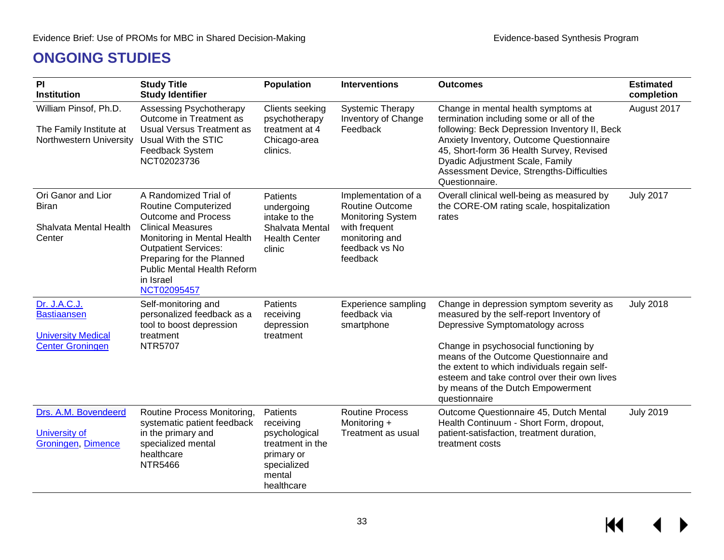## **ONGOING STUDIES**

<span id="page-34-0"></span>

| PI<br><b>Institution</b>                                                                   | <b>Study Title</b><br><b>Study Identifier</b>                                                                                                                                                                                                                        | <b>Population</b>                                                                                               | <b>Interventions</b>                                                                                                                       | <b>Outcomes</b>                                                                                                                                                                                                                                                                                                                                                   | <b>Estimated</b><br>completion |
|--------------------------------------------------------------------------------------------|----------------------------------------------------------------------------------------------------------------------------------------------------------------------------------------------------------------------------------------------------------------------|-----------------------------------------------------------------------------------------------------------------|--------------------------------------------------------------------------------------------------------------------------------------------|-------------------------------------------------------------------------------------------------------------------------------------------------------------------------------------------------------------------------------------------------------------------------------------------------------------------------------------------------------------------|--------------------------------|
| William Pinsof, Ph.D.<br>The Family Institute at<br>Northwestern University                | Assessing Psychotherapy<br>Outcome in Treatment as<br><b>Usual Versus Treatment as</b><br>Usual With the STIC<br>Feedback System<br>NCT02023736                                                                                                                      | Clients seeking<br>psychotherapy<br>treatment at 4<br>Chicago-area<br>clinics.                                  | <b>Systemic Therapy</b><br>Inventory of Change<br>Feedback                                                                                 | Change in mental health symptoms at<br>termination including some or all of the<br>following: Beck Depression Inventory II, Beck<br>Anxiety Inventory, Outcome Questionnaire<br>45, Short-form 36 Health Survey, Revised<br>Dyadic Adjustment Scale, Family<br>Assessment Device, Strengths-Difficulties<br>Questionnaire.                                        | August 2017                    |
| Ori Ganor and Lior<br><b>Biran</b><br>Shalvata Mental Health<br>Center                     | A Randomized Trial of<br>Routine Computerized<br><b>Outcome and Process</b><br><b>Clinical Measures</b><br>Monitoring in Mental Health<br><b>Outpatient Services:</b><br>Preparing for the Planned<br><b>Public Mental Health Reform</b><br>in Israel<br>NCT02095457 | Patients<br>undergoing<br>intake to the<br>Shalvata Mental<br><b>Health Center</b><br>clinic                    | Implementation of a<br><b>Routine Outcome</b><br><b>Monitoring System</b><br>with frequent<br>monitoring and<br>feedback vs No<br>feedback | Overall clinical well-being as measured by<br>the CORE-OM rating scale, hospitalization<br>rates                                                                                                                                                                                                                                                                  | <b>July 2017</b>               |
| Dr. J.A.C.J.<br><b>Bastiaansen</b><br><b>University Medical</b><br><b>Center Groningen</b> | Self-monitoring and<br>personalized feedback as a<br>tool to boost depression<br>treatment<br><b>NTR5707</b>                                                                                                                                                         | Patients<br>receiving<br>depression<br>treatment                                                                | <b>Experience sampling</b><br>feedback via<br>smartphone                                                                                   | Change in depression symptom severity as<br>measured by the self-report Inventory of<br>Depressive Symptomatology across<br>Change in psychosocial functioning by<br>means of the Outcome Questionnaire and<br>the extent to which individuals regain self-<br>esteem and take control over their own lives<br>by means of the Dutch Empowerment<br>questionnaire | <b>July 2018</b>               |
| Drs. A.M. Bovendeerd<br>University of<br>Groningen, Dimence                                | Routine Process Monitoring,<br>systematic patient feedback<br>in the primary and<br>specialized mental<br>healthcare<br><b>NTR5466</b>                                                                                                                               | Patients<br>receiving<br>psychological<br>treatment in the<br>primary or<br>specialized<br>mental<br>healthcare | <b>Routine Process</b><br>Monitoring +<br>Treatment as usual                                                                               | Outcome Questionnaire 45, Dutch Mental<br>Health Continuum - Short Form, dropout,<br>patient-satisfaction, treatment duration,<br>treatment costs                                                                                                                                                                                                                 | <b>July 2019</b>               |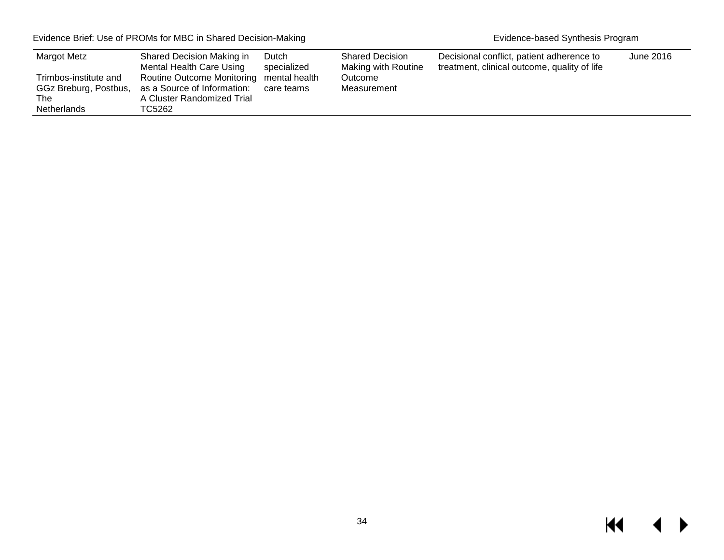<span id="page-35-0"></span>

| Margot Metz                                                          | Shared Decision Making in<br>Mental Health Care Using                                                           | Dutch<br>specialized | <b>Shared Decision</b><br>Making with Routine | Decisional conflict, patient adherence to<br>treatment, clinical outcome, quality of life | June 2016 |
|----------------------------------------------------------------------|-----------------------------------------------------------------------------------------------------------------|----------------------|-----------------------------------------------|-------------------------------------------------------------------------------------------|-----------|
| Trimbos-institute and<br>GGz Breburg, Postbus,<br>The<br>Netherlands | Routine Outcome Monitoring mental health<br>as a Source of Information:<br>A Cluster Randomized Trial<br>TC5262 | care teams           | Outcome<br>Measurement                        |                                                                                           |           |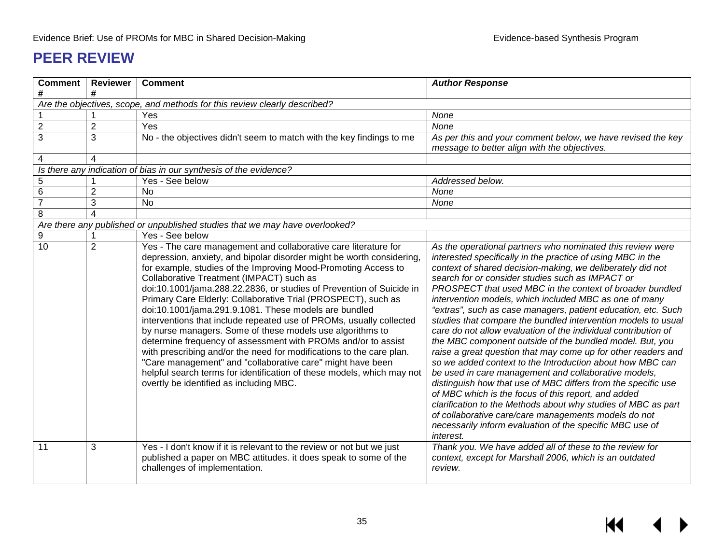# **PEER REVIEW**

| <b>Comment</b> | <b>Reviewer</b>       | <b>Comment</b>                                                                                                                                                                                                                                                                                                                                                                                                                                                                                                                                                                                                                                                                                                                                                                                                                                                                                                          | <b>Author Response</b>                                                                                                                                                                                                                                                                                                                                                                                                                                                                                                                                                                                                                                                                                                                                                                                                                                                                                                                                                                                                                                                                                                                            |
|----------------|-----------------------|-------------------------------------------------------------------------------------------------------------------------------------------------------------------------------------------------------------------------------------------------------------------------------------------------------------------------------------------------------------------------------------------------------------------------------------------------------------------------------------------------------------------------------------------------------------------------------------------------------------------------------------------------------------------------------------------------------------------------------------------------------------------------------------------------------------------------------------------------------------------------------------------------------------------------|---------------------------------------------------------------------------------------------------------------------------------------------------------------------------------------------------------------------------------------------------------------------------------------------------------------------------------------------------------------------------------------------------------------------------------------------------------------------------------------------------------------------------------------------------------------------------------------------------------------------------------------------------------------------------------------------------------------------------------------------------------------------------------------------------------------------------------------------------------------------------------------------------------------------------------------------------------------------------------------------------------------------------------------------------------------------------------------------------------------------------------------------------|
| #              | #                     |                                                                                                                                                                                                                                                                                                                                                                                                                                                                                                                                                                                                                                                                                                                                                                                                                                                                                                                         |                                                                                                                                                                                                                                                                                                                                                                                                                                                                                                                                                                                                                                                                                                                                                                                                                                                                                                                                                                                                                                                                                                                                                   |
|                |                       | Are the objectives, scope, and methods for this review clearly described?                                                                                                                                                                                                                                                                                                                                                                                                                                                                                                                                                                                                                                                                                                                                                                                                                                               |                                                                                                                                                                                                                                                                                                                                                                                                                                                                                                                                                                                                                                                                                                                                                                                                                                                                                                                                                                                                                                                                                                                                                   |
|                |                       | Yes                                                                                                                                                                                                                                                                                                                                                                                                                                                                                                                                                                                                                                                                                                                                                                                                                                                                                                                     | None                                                                                                                                                                                                                                                                                                                                                                                                                                                                                                                                                                                                                                                                                                                                                                                                                                                                                                                                                                                                                                                                                                                                              |
| $\overline{2}$ | $\overline{2}$        | Yes                                                                                                                                                                                                                                                                                                                                                                                                                                                                                                                                                                                                                                                                                                                                                                                                                                                                                                                     | None                                                                                                                                                                                                                                                                                                                                                                                                                                                                                                                                                                                                                                                                                                                                                                                                                                                                                                                                                                                                                                                                                                                                              |
| 3              | 3                     | No - the objectives didn't seem to match with the key findings to me                                                                                                                                                                                                                                                                                                                                                                                                                                                                                                                                                                                                                                                                                                                                                                                                                                                    | As per this and your comment below, we have revised the key<br>message to better align with the objectives.                                                                                                                                                                                                                                                                                                                                                                                                                                                                                                                                                                                                                                                                                                                                                                                                                                                                                                                                                                                                                                       |
| 4              | 4                     |                                                                                                                                                                                                                                                                                                                                                                                                                                                                                                                                                                                                                                                                                                                                                                                                                                                                                                                         |                                                                                                                                                                                                                                                                                                                                                                                                                                                                                                                                                                                                                                                                                                                                                                                                                                                                                                                                                                                                                                                                                                                                                   |
|                |                       | Is there any indication of bias in our synthesis of the evidence?                                                                                                                                                                                                                                                                                                                                                                                                                                                                                                                                                                                                                                                                                                                                                                                                                                                       |                                                                                                                                                                                                                                                                                                                                                                                                                                                                                                                                                                                                                                                                                                                                                                                                                                                                                                                                                                                                                                                                                                                                                   |
| 5              |                       | Yes - See below                                                                                                                                                                                                                                                                                                                                                                                                                                                                                                                                                                                                                                                                                                                                                                                                                                                                                                         | Addressed below.                                                                                                                                                                                                                                                                                                                                                                                                                                                                                                                                                                                                                                                                                                                                                                                                                                                                                                                                                                                                                                                                                                                                  |
| $\,6$          | $\overline{2}$        | <b>No</b>                                                                                                                                                                                                                                                                                                                                                                                                                                                                                                                                                                                                                                                                                                                                                                                                                                                                                                               | None                                                                                                                                                                                                                                                                                                                                                                                                                                                                                                                                                                                                                                                                                                                                                                                                                                                                                                                                                                                                                                                                                                                                              |
| $\overline{7}$ | 3                     | <b>No</b>                                                                                                                                                                                                                                                                                                                                                                                                                                                                                                                                                                                                                                                                                                                                                                                                                                                                                                               | None                                                                                                                                                                                                                                                                                                                                                                                                                                                                                                                                                                                                                                                                                                                                                                                                                                                                                                                                                                                                                                                                                                                                              |
| 8              | $\boldsymbol{\Delta}$ |                                                                                                                                                                                                                                                                                                                                                                                                                                                                                                                                                                                                                                                                                                                                                                                                                                                                                                                         |                                                                                                                                                                                                                                                                                                                                                                                                                                                                                                                                                                                                                                                                                                                                                                                                                                                                                                                                                                                                                                                                                                                                                   |
|                |                       | Are there any published or unpublished studies that we may have overlooked?                                                                                                                                                                                                                                                                                                                                                                                                                                                                                                                                                                                                                                                                                                                                                                                                                                             |                                                                                                                                                                                                                                                                                                                                                                                                                                                                                                                                                                                                                                                                                                                                                                                                                                                                                                                                                                                                                                                                                                                                                   |
| 9              |                       | Yes - See below                                                                                                                                                                                                                                                                                                                                                                                                                                                                                                                                                                                                                                                                                                                                                                                                                                                                                                         |                                                                                                                                                                                                                                                                                                                                                                                                                                                                                                                                                                                                                                                                                                                                                                                                                                                                                                                                                                                                                                                                                                                                                   |
| 10             | $\overline{2}$        | Yes - The care management and collaborative care literature for<br>depression, anxiety, and bipolar disorder might be worth considering<br>for example, studies of the Improving Mood-Promoting Access to<br>Collaborative Treatment (IMPACT) such as<br>doi:10.1001/jama.288.22.2836, or studies of Prevention of Suicide in<br>Primary Care Elderly: Collaborative Trial (PROSPECT), such as<br>doi:10.1001/jama.291.9.1081. These models are bundled<br>interventions that include repeated use of PROMs, usually collected<br>by nurse managers. Some of these models use algorithms to<br>determine frequency of assessment with PROMs and/or to assist<br>with prescribing and/or the need for modifications to the care plan.<br>"Care management" and "collaborative care" might have been<br>helpful search terms for identification of these models, which may not<br>overtly be identified as including MBC. | As the operational partners who nominated this review were<br>interested specifically in the practice of using MBC in the<br>context of shared decision-making, we deliberately did not<br>search for or consider studies such as IMPACT or<br>PROSPECT that used MBC in the context of broader bundled<br>intervention models, which included MBC as one of many<br>"extras", such as case managers, patient education, etc. Such<br>studies that compare the bundled intervention models to usual<br>care do not allow evaluation of the individual contribution of<br>the MBC component outside of the bundled model. But, you<br>raise a great question that may come up for other readers and<br>so we added context to the Introduction about how MBC can<br>be used in care management and collaborative models,<br>distinguish how that use of MBC differs from the specific use<br>of MBC which is the focus of this report, and added<br>clarification to the Methods about why studies of MBC as part<br>of collaborative care/care managements models do not<br>necessarily inform evaluation of the specific MBC use of<br>interest. |
| 11             | 3                     | Yes - I don't know if it is relevant to the review or not but we just<br>published a paper on MBC attitudes. it does speak to some of the<br>challenges of implementation.                                                                                                                                                                                                                                                                                                                                                                                                                                                                                                                                                                                                                                                                                                                                              | Thank you. We have added all of these to the review for<br>context, except for Marshall 2006, which is an outdated<br>review.                                                                                                                                                                                                                                                                                                                                                                                                                                                                                                                                                                                                                                                                                                                                                                                                                                                                                                                                                                                                                     |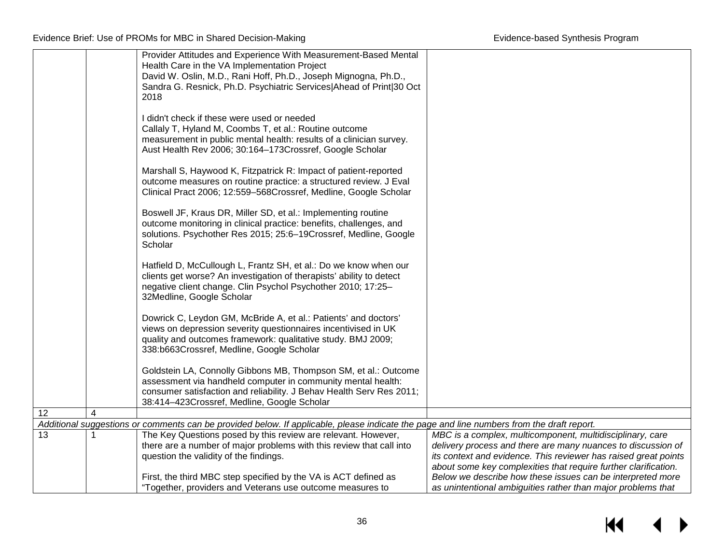|    |   | Provider Attitudes and Experience With Measurement-Based Mental<br>Health Care in the VA Implementation Project                                                                                                                                        |                                                                                                                               |
|----|---|--------------------------------------------------------------------------------------------------------------------------------------------------------------------------------------------------------------------------------------------------------|-------------------------------------------------------------------------------------------------------------------------------|
|    |   | David W. Oslin, M.D., Rani Hoff, Ph.D., Joseph Mignogna, Ph.D.,<br>Sandra G. Resnick, Ph.D. Psychiatric Services Ahead of Print 30 Oct<br>2018                                                                                                         |                                                                                                                               |
|    |   | I didn't check if these were used or needed<br>Callaly T, Hyland M, Coombs T, et al.: Routine outcome<br>measurement in public mental health: results of a clinician survey.<br>Aust Health Rev 2006; 30:164-173Crossref, Google Scholar               |                                                                                                                               |
|    |   | Marshall S, Haywood K, Fitzpatrick R: Impact of patient-reported<br>outcome measures on routine practice: a structured review. J Eval<br>Clinical Pract 2006; 12:559-568Crossref, Medline, Google Scholar                                              |                                                                                                                               |
|    |   | Boswell JF, Kraus DR, Miller SD, et al.: Implementing routine<br>outcome monitoring in clinical practice: benefits, challenges, and<br>solutions. Psychother Res 2015; 25:6-19Crossref, Medline, Google<br>Scholar                                     |                                                                                                                               |
|    |   | Hatfield D, McCullough L, Frantz SH, et al.: Do we know when our<br>clients get worse? An investigation of therapists' ability to detect<br>negative client change. Clin Psychol Psychother 2010; 17:25-<br>32Medline, Google Scholar                  |                                                                                                                               |
|    |   | Dowrick C, Leydon GM, McBride A, et al.: Patients' and doctors'<br>views on depression severity questionnaires incentivised in UK<br>quality and outcomes framework: qualitative study. BMJ 2009;<br>338:b663Crossref, Medline, Google Scholar         |                                                                                                                               |
|    |   | Goldstein LA, Connolly Gibbons MB, Thompson SM, et al.: Outcome<br>assessment via handheld computer in community mental health:<br>consumer satisfaction and reliability. J Behav Health Serv Res 2011;<br>38:414-423Crossref, Medline, Google Scholar |                                                                                                                               |
| 12 | 4 |                                                                                                                                                                                                                                                        |                                                                                                                               |
|    |   | Additional suggestions or comments can be provided below. If applicable, please indicate the page and line numbers from the draft report.                                                                                                              |                                                                                                                               |
| 13 |   | The Key Questions posed by this review are relevant. However,                                                                                                                                                                                          | MBC is a complex, multicomponent, multidisciplinary, care                                                                     |
|    |   | there are a number of major problems with this review that call into                                                                                                                                                                                   | delivery process and there are many nuances to discussion of                                                                  |
|    |   | question the validity of the findings.                                                                                                                                                                                                                 | its context and evidence. This reviewer has raised great points                                                               |
|    |   | First, the third MBC step specified by the VA is ACT defined as                                                                                                                                                                                        | about some key complexities that require further clarification.<br>Below we describe how these issues can be interpreted more |
|    |   | "Together, providers and Veterans use outcome measures to                                                                                                                                                                                              | as unintentional ambiguities rather than major problems that                                                                  |

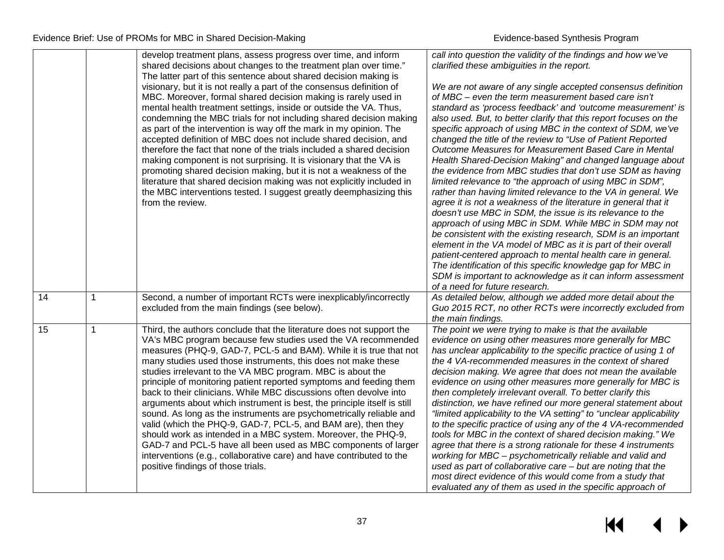|    |             | develop treatment plans, assess progress over time, and inform<br>shared decisions about changes to the treatment plan over time."<br>The latter part of this sentence about shared decision making is<br>visionary, but it is not really a part of the consensus definition of<br>MBC. Moreover, formal shared decision making is rarely used in<br>mental health treatment settings, inside or outside the VA. Thus,<br>condemning the MBC trials for not including shared decision making<br>as part of the intervention is way off the mark in my opinion. The<br>accepted definition of MBC does not include shared decision, and<br>therefore the fact that none of the trials included a shared decision<br>making component is not surprising. It is visionary that the VA is<br>promoting shared decision making, but it is not a weakness of the<br>literature that shared decision making was not explicitly included in<br>the MBC interventions tested. I suggest greatly deemphasizing this<br>from the review. | call into question the validity of the findings and how we've<br>clarified these ambiguities in the report.<br>We are not aware of any single accepted consensus definition<br>of MBC – even the term measurement based care isn't<br>standard as 'process feedback' and 'outcome measurement' is<br>also used. But, to better clarify that this report focuses on the<br>specific approach of using MBC in the context of SDM, we've<br>changed the title of the review to "Use of Patient Reported<br>Outcome Measures for Measurement Based Care in Mental<br>Health Shared-Decision Making" and changed language about<br>the evidence from MBC studies that don't use SDM as having<br>limited relevance to "the approach of using MBC in SDM",<br>rather than having limited relevance to the VA in general. We<br>agree it is not a weakness of the literature in general that it<br>doesn't use MBC in SDM, the issue is its relevance to the<br>approach of using MBC in SDM. While MBC in SDM may not<br>be consistent with the existing research, SDM is an important<br>element in the VA model of MBC as it is part of their overall<br>patient-centered approach to mental health care in general.<br>The identification of this specific knowledge gap for MBC in |
|----|-------------|-------------------------------------------------------------------------------------------------------------------------------------------------------------------------------------------------------------------------------------------------------------------------------------------------------------------------------------------------------------------------------------------------------------------------------------------------------------------------------------------------------------------------------------------------------------------------------------------------------------------------------------------------------------------------------------------------------------------------------------------------------------------------------------------------------------------------------------------------------------------------------------------------------------------------------------------------------------------------------------------------------------------------------|----------------------------------------------------------------------------------------------------------------------------------------------------------------------------------------------------------------------------------------------------------------------------------------------------------------------------------------------------------------------------------------------------------------------------------------------------------------------------------------------------------------------------------------------------------------------------------------------------------------------------------------------------------------------------------------------------------------------------------------------------------------------------------------------------------------------------------------------------------------------------------------------------------------------------------------------------------------------------------------------------------------------------------------------------------------------------------------------------------------------------------------------------------------------------------------------------------------------------------------------------------------------------------|
|    |             |                                                                                                                                                                                                                                                                                                                                                                                                                                                                                                                                                                                                                                                                                                                                                                                                                                                                                                                                                                                                                               | SDM is important to acknowledge as it can inform assessment<br>of a need for future research.                                                                                                                                                                                                                                                                                                                                                                                                                                                                                                                                                                                                                                                                                                                                                                                                                                                                                                                                                                                                                                                                                                                                                                                    |
| 14 | $\mathbf 1$ | Second, a number of important RCTs were inexplicably/incorrectly<br>excluded from the main findings (see below).                                                                                                                                                                                                                                                                                                                                                                                                                                                                                                                                                                                                                                                                                                                                                                                                                                                                                                              | As detailed below, although we added more detail about the<br>Guo 2015 RCT, no other RCTs were incorrectly excluded from<br>the main findings.                                                                                                                                                                                                                                                                                                                                                                                                                                                                                                                                                                                                                                                                                                                                                                                                                                                                                                                                                                                                                                                                                                                                   |
| 15 | 1           | Third, the authors conclude that the literature does not support the<br>VA's MBC program because few studies used the VA recommended<br>measures (PHQ-9, GAD-7, PCL-5 and BAM). While it is true that not<br>many studies used those instruments, this does not make these<br>studies irrelevant to the VA MBC program. MBC is about the<br>principle of monitoring patient reported symptoms and feeding them<br>back to their clinicians. While MBC discussions often devolve into<br>arguments about which instrument is best, the principle itself is still<br>sound. As long as the instruments are psychometrically reliable and<br>valid (which the PHQ-9, GAD-7, PCL-5, and BAM are), then they<br>should work as intended in a MBC system. Moreover, the PHQ-9,<br>GAD-7 and PCL-5 have all been used as MBC components of larger<br>interventions (e.g., collaborative care) and have contributed to the<br>positive findings of those trials.                                                                      | The point we were trying to make is that the available<br>evidence on using other measures more generally for MBC<br>has unclear applicability to the specific practice of using 1 of<br>the 4 VA-recommended measures in the context of shared<br>decision making. We agree that does not mean the available<br>evidence on using other measures more generally for MBC is<br>then completely irrelevant overall. To better clarify this<br>distinction, we have refined our more general statement about<br>"limited applicability to the VA setting" to "unclear applicability<br>to the specific practice of using any of the 4 VA-recommended<br>tools for MBC in the context of shared decision making." We<br>agree that there is a strong rationale for these 4 instruments<br>working for MBC - psychometrically reliable and valid and<br>used as part of collaborative care $-$ but are noting that the<br>most direct evidence of this would come from a study that<br>evaluated any of them as used in the specific approach of                                                                                                                                                                                                                                     |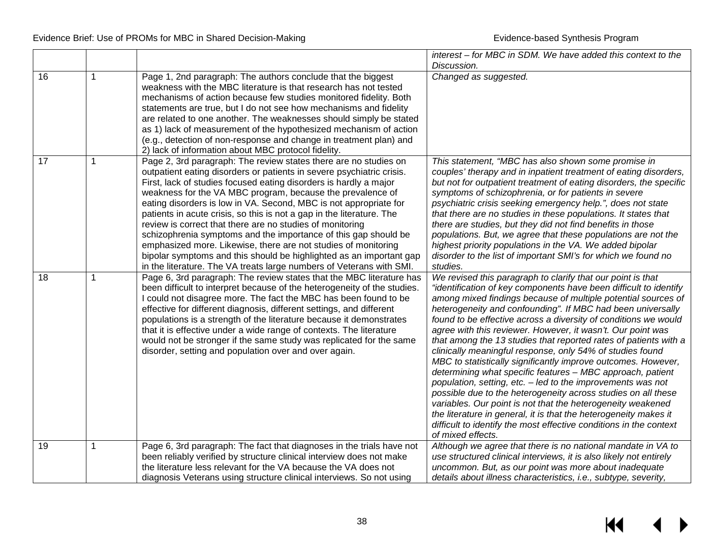|    |             |                                                                                                                                                                                                                                                                                                                                                                                                                                                                                                                                                                                                                                                                                                                                                                             | interest – for MBC in SDM. We have added this context to the                                                                                                                                                                                                                                                                                                                                                                                                                                                                                                                                                                                                                                                                                                                                                                                                                                                                                                                                                                     |
|----|-------------|-----------------------------------------------------------------------------------------------------------------------------------------------------------------------------------------------------------------------------------------------------------------------------------------------------------------------------------------------------------------------------------------------------------------------------------------------------------------------------------------------------------------------------------------------------------------------------------------------------------------------------------------------------------------------------------------------------------------------------------------------------------------------------|----------------------------------------------------------------------------------------------------------------------------------------------------------------------------------------------------------------------------------------------------------------------------------------------------------------------------------------------------------------------------------------------------------------------------------------------------------------------------------------------------------------------------------------------------------------------------------------------------------------------------------------------------------------------------------------------------------------------------------------------------------------------------------------------------------------------------------------------------------------------------------------------------------------------------------------------------------------------------------------------------------------------------------|
|    |             |                                                                                                                                                                                                                                                                                                                                                                                                                                                                                                                                                                                                                                                                                                                                                                             | Discussion.                                                                                                                                                                                                                                                                                                                                                                                                                                                                                                                                                                                                                                                                                                                                                                                                                                                                                                                                                                                                                      |
| 16 |             | Page 1, 2nd paragraph: The authors conclude that the biggest<br>weakness with the MBC literature is that research has not tested<br>mechanisms of action because few studies monitored fidelity. Both<br>statements are true, but I do not see how mechanisms and fidelity<br>are related to one another. The weaknesses should simply be stated<br>as 1) lack of measurement of the hypothesized mechanism of action<br>(e.g., detection of non-response and change in treatment plan) and<br>2) lack of information about MBC protocol fidelity.                                                                                                                                                                                                                          | Changed as suggested.                                                                                                                                                                                                                                                                                                                                                                                                                                                                                                                                                                                                                                                                                                                                                                                                                                                                                                                                                                                                            |
| 17 |             | Page 2, 3rd paragraph: The review states there are no studies on<br>outpatient eating disorders or patients in severe psychiatric crisis.<br>First, lack of studies focused eating disorders is hardly a major<br>weakness for the VA MBC program, because the prevalence of<br>eating disorders is low in VA. Second, MBC is not appropriate for<br>patients in acute crisis, so this is not a gap in the literature. The<br>review is correct that there are no studies of monitoring<br>schizophrenia symptoms and the importance of this gap should be<br>emphasized more. Likewise, there are not studies of monitoring<br>bipolar symptoms and this should be highlighted as an important gap<br>in the literature. The VA treats large numbers of Veterans with SMI. | This statement, "MBC has also shown some promise in<br>couples' therapy and in inpatient treatment of eating disorders,<br>but not for outpatient treatment of eating disorders, the specific<br>symptoms of schizophrenia, or for patients in severe<br>psychiatric crisis seeking emergency help.", does not state<br>that there are no studies in these populations. It states that<br>there are studies, but they did not find benefits in those<br>populations. But, we agree that these populations are not the<br>highest priority populations in the VA. We added bipolar<br>disorder to the list of important SMI's for which we found no<br>studies.                                                                                                                                                                                                                                                                                                                                                                   |
| 18 | $\mathbf 1$ | Page 6, 3rd paragraph: The review states that the MBC literature has<br>been difficult to interpret because of the heterogeneity of the studies.<br>I could not disagree more. The fact the MBC has been found to be<br>effective for different diagnosis, different settings, and different<br>populations is a strength of the literature because it demonstrates<br>that it is effective under a wide range of contexts. The literature<br>would not be stronger if the same study was replicated for the same<br>disorder, setting and population over and over again.                                                                                                                                                                                                  | We revised this paragraph to clarify that our point is that<br>"identification of key components have been difficult to identify<br>among mixed findings because of multiple potential sources of<br>heterogeneity and confounding". If MBC had been universally<br>found to be effective across a diversity of conditions we would<br>agree with this reviewer. However, it wasn't. Our point was<br>that among the 13 studies that reported rates of patients with a<br>clinically meaningful response, only 54% of studies found<br>MBC to statistically significantly improve outcomes. However,<br>determining what specific features - MBC approach, patient<br>population, setting, etc. - led to the improvements was not<br>possible due to the heterogeneity across studies on all these<br>variables. Our point is not that the heterogeneity weakened<br>the literature in general, it is that the heterogeneity makes it<br>difficult to identify the most effective conditions in the context<br>of mixed effects. |
| 19 | $\mathbf 1$ | Page 6, 3rd paragraph: The fact that diagnoses in the trials have not<br>been reliably verified by structure clinical interview does not make                                                                                                                                                                                                                                                                                                                                                                                                                                                                                                                                                                                                                               | Although we agree that there is no national mandate in VA to<br>use structured clinical interviews, it is also likely not entirely                                                                                                                                                                                                                                                                                                                                                                                                                                                                                                                                                                                                                                                                                                                                                                                                                                                                                               |
|    |             | the literature less relevant for the VA because the VA does not<br>diagnosis Veterans using structure clinical interviews. So not using                                                                                                                                                                                                                                                                                                                                                                                                                                                                                                                                                                                                                                     | uncommon. But, as our point was more about inadequate<br>details about illness characteristics, i.e., subtype, severity,                                                                                                                                                                                                                                                                                                                                                                                                                                                                                                                                                                                                                                                                                                                                                                                                                                                                                                         |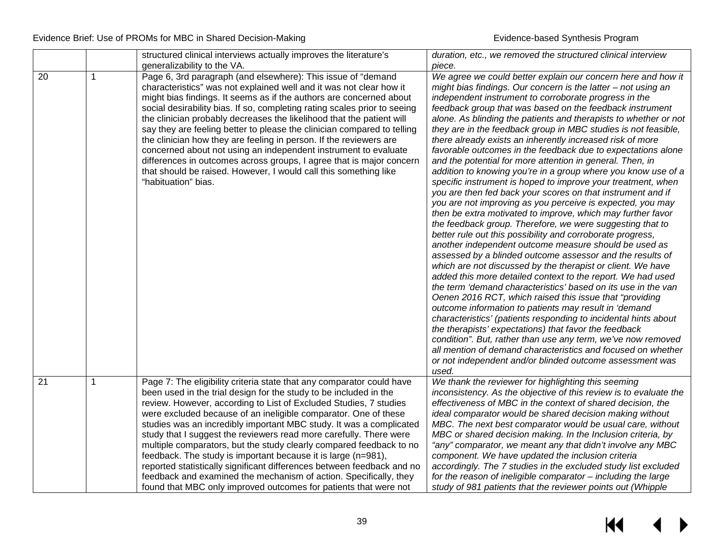|    |   | structured clinical interviews actually improves the literature's         | duration, etc., we removed the structured clinical interview                                                        |
|----|---|---------------------------------------------------------------------------|---------------------------------------------------------------------------------------------------------------------|
|    |   | generalizability to the VA.                                               | piece.                                                                                                              |
| 20 | 1 | Page 6, 3rd paragraph (and elsewhere): This issue of "demand              | We agree we could better explain our concern here and how it                                                        |
|    |   | characteristics" was not explained well and it was not clear how it       | might bias findings. Our concern is the latter – not using an                                                       |
|    |   | might bias findings. It seems as if the authors are concerned about       | independent instrument to corroborate progress in the                                                               |
|    |   | social desirability bias. If so, completing rating scales prior to seeing | feedback group that was based on the feedback instrument                                                            |
|    |   | the clinician probably decreases the likelihood that the patient will     | alone. As blinding the patients and therapists to whether or not                                                    |
|    |   | say they are feeling better to please the clinician compared to telling   | they are in the feedback group in MBC studies is not feasible,                                                      |
|    |   | the clinician how they are feeling in person. If the reviewers are        | there already exists an inherently increased risk of more                                                           |
|    |   | concerned about not using an independent instrument to evaluate           | favorable outcomes in the feedback due to expectations alone                                                        |
|    |   | differences in outcomes across groups, I agree that is major concern      | and the potential for more attention in general. Then, in                                                           |
|    |   | that should be raised. However, I would call this something like          | addition to knowing you're in a group where you know use of a                                                       |
|    |   | "habituation" bias.                                                       | specific instrument is hoped to improve your treatment, when                                                        |
|    |   |                                                                           | you are then fed back your scores on that instrument and if                                                         |
|    |   |                                                                           | you are not improving as you perceive is expected, you may                                                          |
|    |   |                                                                           | then be extra motivated to improve, which may further favor                                                         |
|    |   |                                                                           | the feedback group. Therefore, we were suggesting that to                                                           |
|    |   |                                                                           | better rule out this possibility and corroborate progress,<br>another independent outcome measure should be used as |
|    |   |                                                                           | assessed by a blinded outcome assessor and the results of                                                           |
|    |   |                                                                           | which are not discussed by the therapist or client. We have                                                         |
|    |   |                                                                           | added this more detailed context to the report. We had used                                                         |
|    |   |                                                                           | the term 'demand characteristics' based on its use in the van                                                       |
|    |   |                                                                           | Oenen 2016 RCT, which raised this issue that "providing"                                                            |
|    |   |                                                                           | outcome information to patients may result in 'demand                                                               |
|    |   |                                                                           | characteristics' (patients responding to incidental hints about                                                     |
|    |   |                                                                           | the therapists' expectations) that favor the feedback                                                               |
|    |   |                                                                           | condition". But, rather than use any term, we've now removed                                                        |
|    |   |                                                                           | all mention of demand characteristics and focused on whether                                                        |
|    |   |                                                                           | or not independent and/or blinded outcome assessment was                                                            |
|    |   |                                                                           | used.                                                                                                               |
| 21 | 1 | Page 7: The eligibility criteria state that any comparator could have     | We thank the reviewer for highlighting this seeming                                                                 |
|    |   | been used in the trial design for the study to be included in the         | inconsistency. As the objective of this review is to evaluate the                                                   |
|    |   | review. However, according to List of Excluded Studies, 7 studies         | effectiveness of MBC in the context of shared decision, the                                                         |
|    |   | were excluded because of an ineligible comparator. One of these           | ideal comparator would be shared decision making without                                                            |
|    |   | studies was an incredibly important MBC study. It was a complicated       | MBC. The next best comparator would be usual care, without                                                          |
|    |   | study that I suggest the reviewers read more carefully. There were        | MBC or shared decision making. In the Inclusion criteria, by                                                        |
|    |   | multiple comparators, but the study clearly compared feedback to no       | "any" comparator, we meant any that didn't involve any MBC                                                          |
|    |   | feedback. The study is important because it is large (n=981),             | component. We have updated the inclusion criteria                                                                   |
|    |   | reported statistically significant differences between feedback and no    | accordingly. The 7 studies in the excluded study list excluded                                                      |
|    |   | feedback and examined the mechanism of action. Specifically, they         | for the reason of ineligible comparator - including the large                                                       |
|    |   | found that MBC only improved outcomes for patients that were not          | study of 981 patients that the reviewer points out (Whipple                                                         |

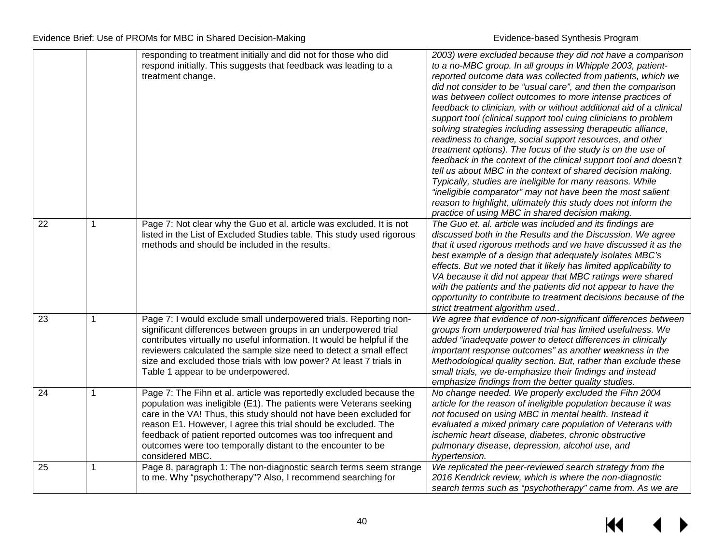|    |   | responding to treatment initially and did not for those who did<br>respond initially. This suggests that feedback was leading to a<br>treatment change.                                                                                                                                                                                                                                                                             | 2003) were excluded because they did not have a comparison<br>to a no-MBC group. In all groups in Whipple 2003, patient-<br>reported outcome data was collected from patients, which we<br>did not consider to be "usual care", and then the comparison<br>was between collect outcomes to more intense practices of<br>feedback to clinician, with or without additional aid of a clinical<br>support tool (clinical support tool cuing clinicians to problem<br>solving strategies including assessing therapeutic alliance,<br>readiness to change, social support resources, and other<br>treatment options). The focus of the study is on the use of<br>feedback in the context of the clinical support tool and doesn't<br>tell us about MBC in the context of shared decision making.<br>Typically, studies are ineligible for many reasons. While<br>"ineligible comparator" may not have been the most salient<br>reason to highlight, ultimately this study does not inform the<br>practice of using MBC in shared decision making. |
|----|---|-------------------------------------------------------------------------------------------------------------------------------------------------------------------------------------------------------------------------------------------------------------------------------------------------------------------------------------------------------------------------------------------------------------------------------------|-----------------------------------------------------------------------------------------------------------------------------------------------------------------------------------------------------------------------------------------------------------------------------------------------------------------------------------------------------------------------------------------------------------------------------------------------------------------------------------------------------------------------------------------------------------------------------------------------------------------------------------------------------------------------------------------------------------------------------------------------------------------------------------------------------------------------------------------------------------------------------------------------------------------------------------------------------------------------------------------------------------------------------------------------|
| 22 | 1 | Page 7: Not clear why the Guo et al. article was excluded. It is not<br>listed in the List of Excluded Studies table. This study used rigorous<br>methods and should be included in the results.                                                                                                                                                                                                                                    | The Guo et. al. article was included and its findings are<br>discussed both in the Results and the Discussion. We agree<br>that it used rigorous methods and we have discussed it as the<br>best example of a design that adequately isolates MBC's<br>effects. But we noted that it likely has limited applicability to<br>VA because it did not appear that MBC ratings were shared<br>with the patients and the patients did not appear to have the<br>opportunity to contribute to treatment decisions because of the<br>strict treatment algorithm used                                                                                                                                                                                                                                                                                                                                                                                                                                                                                  |
| 23 | 1 | Page 7: I would exclude small underpowered trials. Reporting non-<br>significant differences between groups in an underpowered trial<br>contributes virtually no useful information. It would be helpful if the<br>reviewers calculated the sample size need to detect a small effect<br>size and excluded those trials with low power? At least 7 trials in<br>Table 1 appear to be underpowered.                                  | We agree that evidence of non-significant differences between<br>groups from underpowered trial has limited usefulness. We<br>added "inadequate power to detect differences in clinically<br>important response outcomes" as another weakness in the<br>Methodological quality section. But, rather than exclude these<br>small trials, we de-emphasize their findings and instead<br>emphasize findings from the better quality studies.                                                                                                                                                                                                                                                                                                                                                                                                                                                                                                                                                                                                     |
| 24 | 1 | Page 7: The Fihn et al. article was reportedly excluded because the<br>population was ineligible (E1). The patients were Veterans seeking<br>care in the VA! Thus, this study should not have been excluded for<br>reason E1. However, I agree this trial should be excluded. The<br>feedback of patient reported outcomes was too infrequent and<br>outcomes were too temporally distant to the encounter to be<br>considered MBC. | No change needed. We properly excluded the Fihn 2004<br>article for the reason of ineligible population because it was<br>not focused on using MBC in mental health. Instead it<br>evaluated a mixed primary care population of Veterans with<br>ischemic heart disease, diabetes, chronic obstructive<br>pulmonary disease, depression, alcohol use, and<br>hypertension.                                                                                                                                                                                                                                                                                                                                                                                                                                                                                                                                                                                                                                                                    |
| 25 | 1 | Page 8, paragraph 1: The non-diagnostic search terms seem strange<br>to me. Why "psychotherapy"? Also, I recommend searching for                                                                                                                                                                                                                                                                                                    | We replicated the peer-reviewed search strategy from the<br>2016 Kendrick review, which is where the non-diagnostic<br>search terms such as "psychotherapy" came from. As we are                                                                                                                                                                                                                                                                                                                                                                                                                                                                                                                                                                                                                                                                                                                                                                                                                                                              |

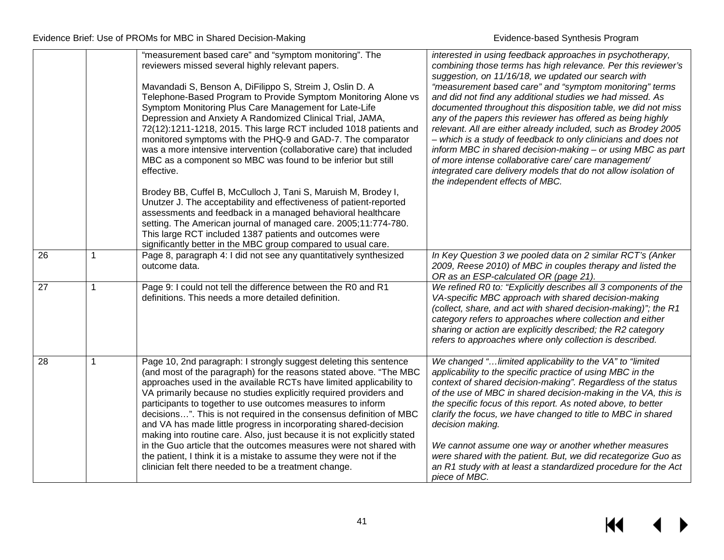|                 |   | "measurement based care" and "symptom monitoring". The<br>reviewers missed several highly relevant papers.<br>Mavandadi S, Benson A, DiFilippo S, Streim J, Oslin D. A<br>Telephone-Based Program to Provide Symptom Monitoring Alone vs<br>Symptom Monitoring Plus Care Management for Late-Life<br>Depression and Anxiety A Randomized Clinical Trial, JAMA,<br>72(12):1211-1218, 2015. This large RCT included 1018 patients and<br>monitored symptoms with the PHQ-9 and GAD-7. The comparator<br>was a more intensive intervention (collaborative care) that included<br>MBC as a component so MBC was found to be inferior but still<br>effective.                                                                                                                        | interested in using feedback approaches in psychotherapy,<br>combining those terms has high relevance. Per this reviewer's<br>suggestion, on 11/16/18, we updated our search with<br>"measurement based care" and "symptom monitoring" terms<br>and did not find any additional studies we had missed. As<br>documented throughout this disposition table, we did not miss<br>any of the papers this reviewer has offered as being highly<br>relevant. All are either already included, such as Brodey 2005<br>- which is a study of feedback to only clinicians and does not<br>inform MBC in shared decision-making - or using MBC as part<br>of more intense collaborative care/ care management/<br>integrated care delivery models that do not allow isolation of<br>the independent effects of MBC. |
|-----------------|---|---------------------------------------------------------------------------------------------------------------------------------------------------------------------------------------------------------------------------------------------------------------------------------------------------------------------------------------------------------------------------------------------------------------------------------------------------------------------------------------------------------------------------------------------------------------------------------------------------------------------------------------------------------------------------------------------------------------------------------------------------------------------------------|-----------------------------------------------------------------------------------------------------------------------------------------------------------------------------------------------------------------------------------------------------------------------------------------------------------------------------------------------------------------------------------------------------------------------------------------------------------------------------------------------------------------------------------------------------------------------------------------------------------------------------------------------------------------------------------------------------------------------------------------------------------------------------------------------------------|
|                 |   | Brodey BB, Cuffel B, McCulloch J, Tani S, Maruish M, Brodey I,<br>Unutzer J. The acceptability and effectiveness of patient-reported<br>assessments and feedback in a managed behavioral healthcare<br>setting. The American journal of managed care. 2005;11:774-780.<br>This large RCT included 1387 patients and outcomes were<br>significantly better in the MBC group compared to usual care.                                                                                                                                                                                                                                                                                                                                                                              |                                                                                                                                                                                                                                                                                                                                                                                                                                                                                                                                                                                                                                                                                                                                                                                                           |
| 26              | 1 | Page 8, paragraph 4: I did not see any quantitatively synthesized<br>outcome data.                                                                                                                                                                                                                                                                                                                                                                                                                                                                                                                                                                                                                                                                                              | In Key Question 3 we pooled data on 2 similar RCT's (Anker<br>2009, Reese 2010) of MBC in couples therapy and listed the<br>OR as an ESP-calculated OR (page 21).                                                                                                                                                                                                                                                                                                                                                                                                                                                                                                                                                                                                                                         |
| $\overline{27}$ | 1 | Page 9: I could not tell the difference between the R0 and R1<br>definitions. This needs a more detailed definition.                                                                                                                                                                                                                                                                                                                                                                                                                                                                                                                                                                                                                                                            | We refined R0 to: "Explicitly describes all 3 components of the<br>VA-specific MBC approach with shared decision-making<br>(collect, share, and act with shared decision-making)"; the R1<br>category refers to approaches where collection and either<br>sharing or action are explicitly described; the R2 category<br>refers to approaches where only collection is described.                                                                                                                                                                                                                                                                                                                                                                                                                         |
| $\overline{28}$ | 1 | Page 10, 2nd paragraph: I strongly suggest deleting this sentence<br>(and most of the paragraph) for the reasons stated above. "The MBC<br>approaches used in the available RCTs have limited applicability to<br>VA primarily because no studies explicitly required providers and<br>participants to together to use outcomes measures to inform<br>decisions". This is not required in the consensus definition of MBC<br>and VA has made little progress in incorporating shared-decision<br>making into routine care. Also, just because it is not explicitly stated<br>in the Guo article that the outcomes measures were not shared with<br>the patient, I think it is a mistake to assume they were not if the<br>clinician felt there needed to be a treatment change. | We changed " limited applicability to the VA" to "limited<br>applicability to the specific practice of using MBC in the<br>context of shared decision-making". Regardless of the status<br>of the use of MBC in shared decision-making in the VA, this is<br>the specific focus of this report. As noted above, to better<br>clarify the focus, we have changed to title to MBC in shared<br>decision making.<br>We cannot assume one way or another whether measures<br>were shared with the patient. But, we did recategorize Guo as<br>an R1 study with at least a standardized procedure for the Act<br>piece of MBC.                                                                                                                                                                                 |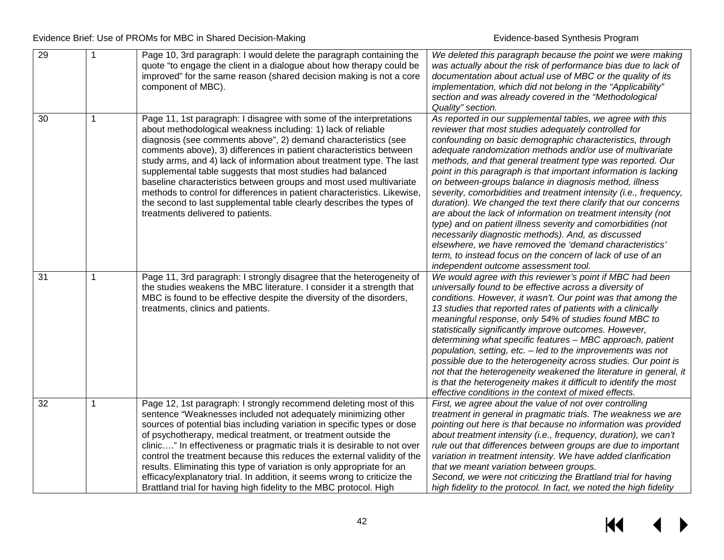| 29 |   | Page 10, 3rd paragraph: I would delete the paragraph containing the<br>quote "to engage the client in a dialogue about how therapy could be<br>improved" for the same reason (shared decision making is not a core<br>component of MBC).                                                                                                                                                                                                                                                                                                                                                                                                                                          | We deleted this paragraph because the point we were making<br>was actually about the risk of performance bias due to lack of<br>documentation about actual use of MBC or the quality of its<br>implementation, which did not belong in the "Applicability"<br>section and was already covered in the "Methodological<br>Quality" section.                                                                                                                                                                                                                                                                                                                                                                                                                                                                                                                                                                                               |
|----|---|-----------------------------------------------------------------------------------------------------------------------------------------------------------------------------------------------------------------------------------------------------------------------------------------------------------------------------------------------------------------------------------------------------------------------------------------------------------------------------------------------------------------------------------------------------------------------------------------------------------------------------------------------------------------------------------|-----------------------------------------------------------------------------------------------------------------------------------------------------------------------------------------------------------------------------------------------------------------------------------------------------------------------------------------------------------------------------------------------------------------------------------------------------------------------------------------------------------------------------------------------------------------------------------------------------------------------------------------------------------------------------------------------------------------------------------------------------------------------------------------------------------------------------------------------------------------------------------------------------------------------------------------|
| 30 |   | Page 11, 1st paragraph: I disagree with some of the interpretations<br>about methodological weakness including: 1) lack of reliable<br>diagnosis (see comments above", 2) demand characteristics (see<br>comments above), 3) differences in patient characteristics between<br>study arms, and 4) lack of information about treatment type. The last<br>supplemental table suggests that most studies had balanced<br>baseline characteristics between groups and most used multivariate<br>methods to control for differences in patient characteristics. Likewise,<br>the second to last supplemental table clearly describes the types of<br>treatments delivered to patients. | As reported in our supplemental tables, we agree with this<br>reviewer that most studies adequately controlled for<br>confounding on basic demographic characteristics, through<br>adequate randomization methods and/or use of multivariate<br>methods, and that general treatment type was reported. Our<br>point in this paragraph is that important information is lacking<br>on between-groups balance in diagnosis method, illness<br>severity, comorbidities and treatment intensity (i.e., frequency,<br>duration). We changed the text there clarify that our concerns<br>are about the lack of information on treatment intensity (not<br>type) and on patient illness severity and comorbidities (not<br>necessarily diagnostic methods). And, as discussed<br>elsewhere, we have removed the 'demand characteristics'<br>term, to instead focus on the concern of lack of use of an<br>independent outcome assessment tool. |
| 31 | 1 | Page 11, 3rd paragraph: I strongly disagree that the heterogeneity of<br>the studies weakens the MBC literature. I consider it a strength that<br>MBC is found to be effective despite the diversity of the disorders,<br>treatments, clinics and patients.                                                                                                                                                                                                                                                                                                                                                                                                                       | We would agree with this reviewer's point if MBC had been<br>universally found to be effective across a diversity of<br>conditions. However, it wasn't. Our point was that among the<br>13 studies that reported rates of patients with a clinically<br>meaningful response, only 54% of studies found MBC to<br>statistically significantly improve outcomes. However,<br>determining what specific features - MBC approach, patient<br>population, setting, etc. - led to the improvements was not<br>possible due to the heterogeneity across studies. Our point is<br>not that the heterogeneity weakened the literature in general, it<br>is that the heterogeneity makes it difficult to identify the most<br>effective conditions in the context of mixed effects.                                                                                                                                                               |
| 32 |   | Page 12, 1st paragraph: I strongly recommend deleting most of this<br>sentence "Weaknesses included not adequately minimizing other<br>sources of potential bias including variation in specific types or dose<br>of psychotherapy, medical treatment, or treatment outside the<br>clinic" In effectiveness or pragmatic trials it is desirable to not over<br>control the treatment because this reduces the external validity of the<br>results. Eliminating this type of variation is only appropriate for an<br>efficacy/explanatory trial. In addition, it seems wrong to criticize the<br>Brattland trial for having high fidelity to the MBC protocol. High                | First, we agree about the value of not over controlling<br>treatment in general in pragmatic trials. The weakness we are<br>pointing out here is that because no information was provided<br>about treatment intensity (i.e., frequency, duration), we can't<br>rule out that differences between groups are due to important<br>variation in treatment intensity. We have added clarification<br>that we meant variation between groups.<br>Second, we were not criticizing the Brattland trial for having<br>high fidelity to the protocol. In fact, we noted the high fidelity                                                                                                                                                                                                                                                                                                                                                       |

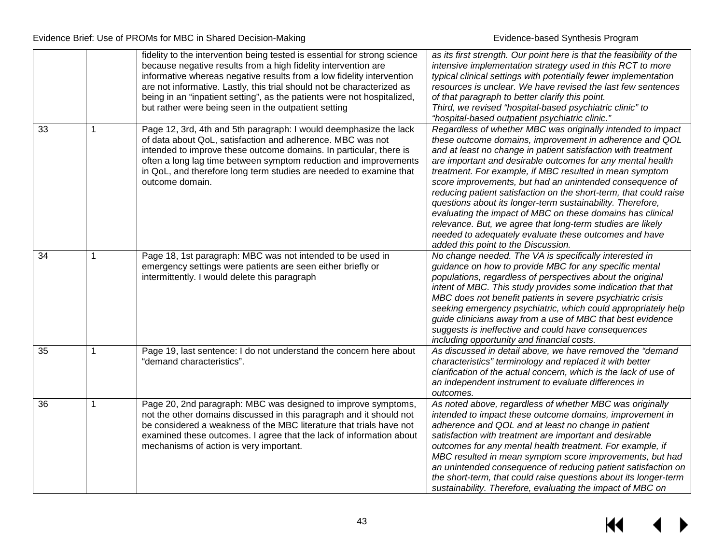|    |             | fidelity to the intervention being tested is essential for strong science<br>because negative results from a high fidelity intervention are<br>informative whereas negative results from a low fidelity intervention<br>are not informative. Lastly, this trial should not be characterized as<br>being in an "inpatient setting", as the patients were not hospitalized,<br>but rather were being seen in the outpatient setting | as its first strength. Our point here is that the feasibility of the<br>intensive implementation strategy used in this RCT to more<br>typical clinical settings with potentially fewer implementation<br>resources is unclear. We have revised the last few sentences<br>of that paragraph to better clarify this point.<br>Third, we revised "hospital-based psychiatric clinic" to<br>"hospital-based outpatient psychiatric clinic."                                                                                                                                                                                                                                                                                                     |
|----|-------------|-----------------------------------------------------------------------------------------------------------------------------------------------------------------------------------------------------------------------------------------------------------------------------------------------------------------------------------------------------------------------------------------------------------------------------------|---------------------------------------------------------------------------------------------------------------------------------------------------------------------------------------------------------------------------------------------------------------------------------------------------------------------------------------------------------------------------------------------------------------------------------------------------------------------------------------------------------------------------------------------------------------------------------------------------------------------------------------------------------------------------------------------------------------------------------------------|
| 33 | $\mathbf 1$ | Page 12, 3rd, 4th and 5th paragraph: I would deemphasize the lack<br>of data about QoL, satisfaction and adherence. MBC was not<br>intended to improve these outcome domains. In particular, there is<br>often a long lag time between symptom reduction and improvements<br>in QoL, and therefore long term studies are needed to examine that<br>outcome domain.                                                                | Regardless of whether MBC was originally intended to impact<br>these outcome domains, improvement in adherence and QOL<br>and at least no change in patient satisfaction with treatment<br>are important and desirable outcomes for any mental health<br>treatment. For example, if MBC resulted in mean symptom<br>score improvements, but had an unintended consequence of<br>reducing patient satisfaction on the short-term, that could raise<br>questions about its longer-term sustainability. Therefore,<br>evaluating the impact of MBC on these domains has clinical<br>relevance. But, we agree that long-term studies are likely<br>needed to adequately evaluate these outcomes and have<br>added this point to the Discussion. |
| 34 | 1           | Page 18, 1st paragraph: MBC was not intended to be used in<br>emergency settings were patients are seen either briefly or<br>intermittently. I would delete this paragraph                                                                                                                                                                                                                                                        | No change needed. The VA is specifically interested in<br>guidance on how to provide MBC for any specific mental<br>populations, regardless of perspectives about the original<br>intent of MBC. This study provides some indication that that<br>MBC does not benefit patients in severe psychiatric crisis<br>seeking emergency psychiatric, which could appropriately help<br>guide clinicians away from a use of MBC that best evidence<br>suggests is ineffective and could have consequences<br>including opportunity and financial costs.                                                                                                                                                                                            |
| 35 | 1           | Page 19, last sentence: I do not understand the concern here about<br>"demand characteristics".                                                                                                                                                                                                                                                                                                                                   | As discussed in detail above, we have removed the "demand"<br>characteristics" terminology and replaced it with better<br>clarification of the actual concern, which is the lack of use of<br>an independent instrument to evaluate differences in<br>outcomes.                                                                                                                                                                                                                                                                                                                                                                                                                                                                             |
| 36 | 1           | Page 20, 2nd paragraph: MBC was designed to improve symptoms,<br>not the other domains discussed in this paragraph and it should not<br>be considered a weakness of the MBC literature that trials have not<br>examined these outcomes. I agree that the lack of information about<br>mechanisms of action is very important.                                                                                                     | As noted above, regardless of whether MBC was originally<br>intended to impact these outcome domains, improvement in<br>adherence and QOL and at least no change in patient<br>satisfaction with treatment are important and desirable<br>outcomes for any mental health treatment. For example, if<br>MBC resulted in mean symptom score improvements, but had<br>an unintended consequence of reducing patient satisfaction on<br>the short-term, that could raise questions about its longer-term<br>sustainability. Therefore, evaluating the impact of MBC on                                                                                                                                                                          |

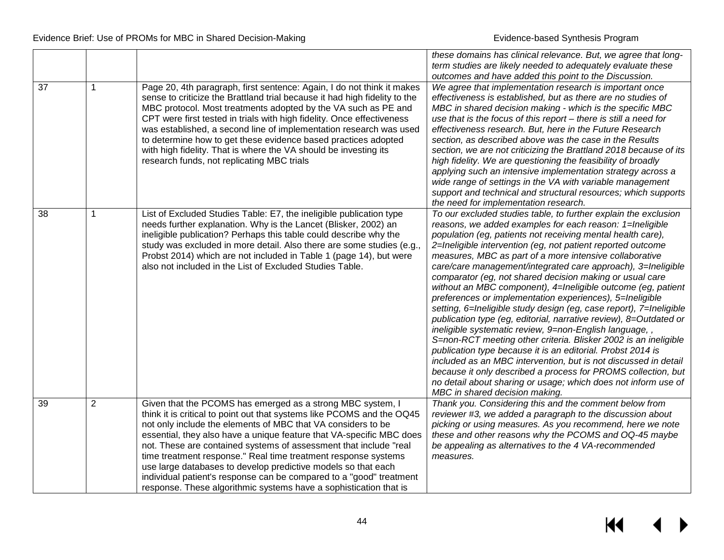|    |   |                                                                                                                                                                                                                                                                                                                                                                                                                                                                                                                                                                                                                                  | these domains has clinical relevance. But, we agree that long-                                                                                                                                                                                                                                                                                                                                                                                                                                                                                                                                                                                                                                                                                                                                                                                                                                                                                                                                                                                                                                                                                              |
|----|---|----------------------------------------------------------------------------------------------------------------------------------------------------------------------------------------------------------------------------------------------------------------------------------------------------------------------------------------------------------------------------------------------------------------------------------------------------------------------------------------------------------------------------------------------------------------------------------------------------------------------------------|-------------------------------------------------------------------------------------------------------------------------------------------------------------------------------------------------------------------------------------------------------------------------------------------------------------------------------------------------------------------------------------------------------------------------------------------------------------------------------------------------------------------------------------------------------------------------------------------------------------------------------------------------------------------------------------------------------------------------------------------------------------------------------------------------------------------------------------------------------------------------------------------------------------------------------------------------------------------------------------------------------------------------------------------------------------------------------------------------------------------------------------------------------------|
|    |   |                                                                                                                                                                                                                                                                                                                                                                                                                                                                                                                                                                                                                                  | term studies are likely needed to adequately evaluate these                                                                                                                                                                                                                                                                                                                                                                                                                                                                                                                                                                                                                                                                                                                                                                                                                                                                                                                                                                                                                                                                                                 |
|    |   |                                                                                                                                                                                                                                                                                                                                                                                                                                                                                                                                                                                                                                  | outcomes and have added this point to the Discussion.                                                                                                                                                                                                                                                                                                                                                                                                                                                                                                                                                                                                                                                                                                                                                                                                                                                                                                                                                                                                                                                                                                       |
| 37 | 1 | Page 20, 4th paragraph, first sentence: Again, I do not think it makes<br>sense to criticize the Brattland trial because it had high fidelity to the<br>MBC protocol. Most treatments adopted by the VA such as PE and<br>CPT were first tested in trials with high fidelity. Once effectiveness<br>was established, a second line of implementation research was used<br>to determine how to get these evidence based practices adopted                                                                                                                                                                                         | We agree that implementation research is important once<br>effectiveness is established, but as there are no studies of<br>MBC in shared decision making - which is the specific MBC<br>use that is the focus of this report $-$ there is still a need for<br>effectiveness research. But, here in the Future Research<br>section, as described above was the case in the Results                                                                                                                                                                                                                                                                                                                                                                                                                                                                                                                                                                                                                                                                                                                                                                           |
|    |   | with high fidelity. That is where the VA should be investing its<br>research funds, not replicating MBC trials                                                                                                                                                                                                                                                                                                                                                                                                                                                                                                                   | section, we are not criticizing the Brattland 2018 because of its<br>high fidelity. We are questioning the feasibility of broadly<br>applying such an intensive implementation strategy across a<br>wide range of settings in the VA with variable management<br>support and technical and structural resources; which supports<br>the need for implementation research.                                                                                                                                                                                                                                                                                                                                                                                                                                                                                                                                                                                                                                                                                                                                                                                    |
| 38 | 1 | List of Excluded Studies Table: E7, the ineligible publication type<br>needs further explanation. Why is the Lancet (Blisker, 2002) an<br>ineligible publication? Perhaps this table could describe why the<br>study was excluded in more detail. Also there are some studies (e.g.<br>Probst 2014) which are not included in Table 1 (page 14), but were<br>also not included in the List of Excluded Studies Table.                                                                                                                                                                                                            | To our excluded studies table, to further explain the exclusion<br>reasons, we added examples for each reason: 1=Ineligible<br>population (eg, patients not receiving mental health care),<br>2=Ineligible intervention (eg, not patient reported outcome<br>measures, MBC as part of a more intensive collaborative<br>care/care management/integrated care approach), 3=Ineligible<br>comparator (eg, not shared decision making or usual care<br>without an MBC component), 4=Ineligible outcome (eg, patient<br>preferences or implementation experiences), 5=Ineligible<br>setting, 6=Ineligible study design (eg, case report), 7=Ineligible<br>publication type (eg, editorial, narrative review), 8=Outdated or<br>ineligible systematic review, 9=non-English language,,<br>S=non-RCT meeting other criteria. Blisker 2002 is an ineligible<br>publication type because it is an editorial. Probst 2014 is<br>included as an MBC intervention, but is not discussed in detail<br>because it only described a process for PROMS collection, but<br>no detail about sharing or usage; which does not inform use of<br>MBC in shared decision making. |
| 39 | 2 | Given that the PCOMS has emerged as a strong MBC system, I<br>think it is critical to point out that systems like PCOMS and the OQ45<br>not only include the elements of MBC that VA considers to be<br>essential, they also have a unique feature that VA-specific MBC does<br>not. These are contained systems of assessment that include "real<br>time treatment response." Real time treatment response systems<br>use large databases to develop predictive models so that each<br>individual patient's response can be compared to a "good" treatment<br>response. These algorithmic systems have a sophistication that is | Thank you. Considering this and the comment below from<br>reviewer #3, we added a paragraph to the discussion about<br>picking or using measures. As you recommend, here we note<br>these and other reasons why the PCOMS and OQ-45 maybe<br>be appealing as alternatives to the 4 VA-recommended<br>measures.                                                                                                                                                                                                                                                                                                                                                                                                                                                                                                                                                                                                                                                                                                                                                                                                                                              |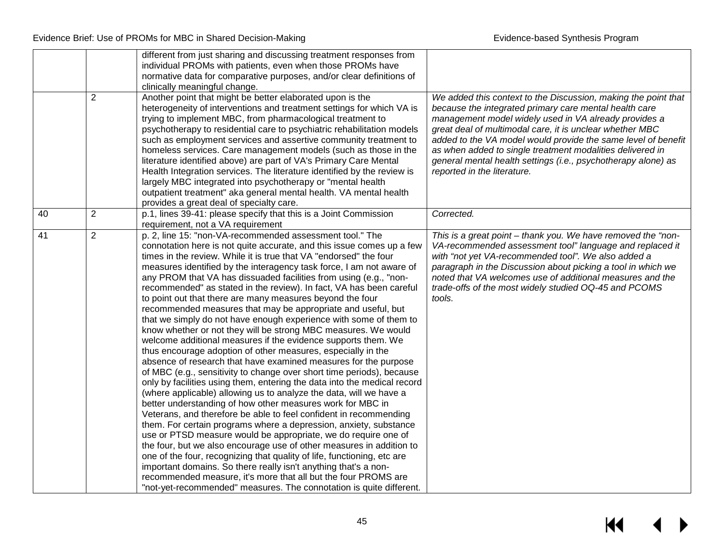|    | $\overline{2}$ | different from just sharing and discussing treatment responses from<br>individual PROMs with patients, even when those PROMs have<br>normative data for comparative purposes, and/or clear definitions of<br>clinically meaningful change.<br>Another point that might be better elaborated upon is the<br>heterogeneity of interventions and treatment settings for which VA is<br>trying to implement MBC, from pharmacological treatment to<br>psychotherapy to residential care to psychiatric rehabilitation models<br>such as employment services and assertive community treatment to<br>homeless services. Care management models (such as those in the<br>literature identified above) are part of VA's Primary Care Mental<br>Health Integration services. The literature identified by the review is<br>largely MBC integrated into psychotherapy or "mental health<br>outpatient treatment" aka general mental health. VA mental health<br>provides a great deal of specialty care.                                                                                                                                                                                                                                                                                                                                                                                                                                                                                                                                                                                                                                                                                                                                                                        | We added this context to the Discussion, making the point that<br>because the integrated primary care mental health care<br>management model widely used in VA already provides a<br>great deal of multimodal care, it is unclear whether MBC<br>added to the VA model would provide the same level of benefit<br>as when added to single treatment modalities delivered in<br>general mental health settings (i.e., psychotherapy alone) as<br>reported in the literature. |
|----|----------------|------------------------------------------------------------------------------------------------------------------------------------------------------------------------------------------------------------------------------------------------------------------------------------------------------------------------------------------------------------------------------------------------------------------------------------------------------------------------------------------------------------------------------------------------------------------------------------------------------------------------------------------------------------------------------------------------------------------------------------------------------------------------------------------------------------------------------------------------------------------------------------------------------------------------------------------------------------------------------------------------------------------------------------------------------------------------------------------------------------------------------------------------------------------------------------------------------------------------------------------------------------------------------------------------------------------------------------------------------------------------------------------------------------------------------------------------------------------------------------------------------------------------------------------------------------------------------------------------------------------------------------------------------------------------------------------------------------------------------------------------------------------------|-----------------------------------------------------------------------------------------------------------------------------------------------------------------------------------------------------------------------------------------------------------------------------------------------------------------------------------------------------------------------------------------------------------------------------------------------------------------------------|
| 40 | $\overline{2}$ | p.1, lines 39-41: please specify that this is a Joint Commission<br>requirement, not a VA requirement                                                                                                                                                                                                                                                                                                                                                                                                                                                                                                                                                                                                                                                                                                                                                                                                                                                                                                                                                                                                                                                                                                                                                                                                                                                                                                                                                                                                                                                                                                                                                                                                                                                                  | Corrected.                                                                                                                                                                                                                                                                                                                                                                                                                                                                  |
| 41 | $\overline{2}$ | p. 2, line 15: "non-VA-recommended assessment tool." The<br>connotation here is not quite accurate, and this issue comes up a few<br>times in the review. While it is true that VA "endorsed" the four<br>measures identified by the interagency task force, I am not aware of<br>any PROM that VA has dissuaded facilities from using (e.g., "non-<br>recommended" as stated in the review). In fact, VA has been careful<br>to point out that there are many measures beyond the four<br>recommended measures that may be appropriate and useful, but<br>that we simply do not have enough experience with some of them to<br>know whether or not they will be strong MBC measures. We would<br>welcome additional measures if the evidence supports them. We<br>thus encourage adoption of other measures, especially in the<br>absence of research that have examined measures for the purpose<br>of MBC (e.g., sensitivity to change over short time periods), because<br>only by facilities using them, entering the data into the medical record<br>(where applicable) allowing us to analyze the data, will we have a<br>better understanding of how other measures work for MBC in<br>Veterans, and therefore be able to feel confident in recommending<br>them. For certain programs where a depression, anxiety, substance<br>use or PTSD measure would be appropriate, we do require one of<br>the four, but we also encourage use of other measures in addition to<br>one of the four, recognizing that quality of life, functioning, etc are<br>important domains. So there really isn't anything that's a non-<br>recommended measure, it's more that all but the four PROMS are<br>"not-yet-recommended" measures. The connotation is quite different. | This is a great point - thank you. We have removed the "non-<br>VA-recommended assessment tool" language and replaced it<br>with "not yet VA-recommended tool". We also added a<br>paragraph in the Discussion about picking a tool in which we<br>noted that VA welcomes use of additional measures and the<br>trade-offs of the most widely studied OQ-45 and PCOMS<br>tools.                                                                                             |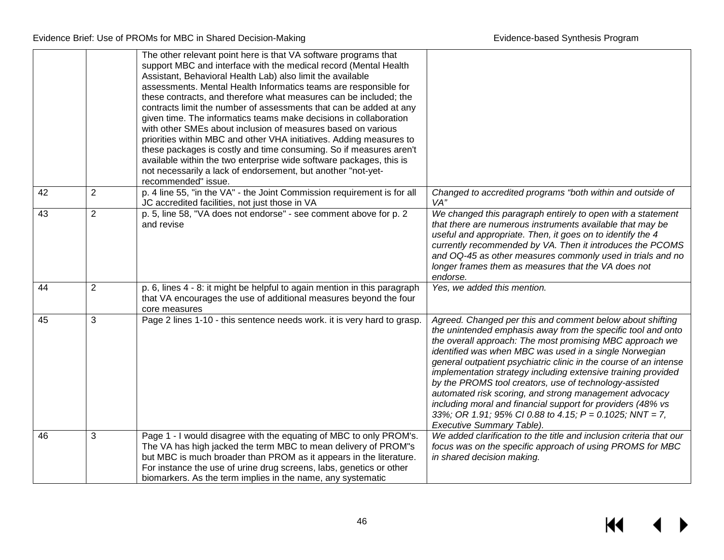|                 |                | The other relevant point here is that VA software programs that<br>support MBC and interface with the medical record (Mental Health<br>Assistant, Behavioral Health Lab) also limit the available<br>assessments. Mental Health Informatics teams are responsible for<br>these contracts, and therefore what measures can be included; the<br>contracts limit the number of assessments that can be added at any<br>given time. The informatics teams make decisions in collaboration<br>with other SMEs about inclusion of measures based on various<br>priorities within MBC and other VHA initiatives. Adding measures to<br>these packages is costly and time consuming. So if measures aren't<br>available within the two enterprise wide software packages, this is<br>not necessarily a lack of endorsement, but another "not-yet-<br>recommended" issue. |                                                                                                                                                                                                                                                                                                                                                                                                                                                                                                                                                                                                                                                                  |
|-----------------|----------------|------------------------------------------------------------------------------------------------------------------------------------------------------------------------------------------------------------------------------------------------------------------------------------------------------------------------------------------------------------------------------------------------------------------------------------------------------------------------------------------------------------------------------------------------------------------------------------------------------------------------------------------------------------------------------------------------------------------------------------------------------------------------------------------------------------------------------------------------------------------|------------------------------------------------------------------------------------------------------------------------------------------------------------------------------------------------------------------------------------------------------------------------------------------------------------------------------------------------------------------------------------------------------------------------------------------------------------------------------------------------------------------------------------------------------------------------------------------------------------------------------------------------------------------|
| $\overline{42}$ | $\overline{2}$ | p. 4 line 55, "in the VA" - the Joint Commission requirement is for all<br>JC accredited facilities, not just those in VA                                                                                                                                                                                                                                                                                                                                                                                                                                                                                                                                                                                                                                                                                                                                        | Changed to accredited programs "both within and outside of<br>VA"                                                                                                                                                                                                                                                                                                                                                                                                                                                                                                                                                                                                |
| 43              | $\overline{2}$ | p. 5, line 58, "VA does not endorse" - see comment above for p. 2<br>and revise                                                                                                                                                                                                                                                                                                                                                                                                                                                                                                                                                                                                                                                                                                                                                                                  | We changed this paragraph entirely to open with a statement<br>that there are numerous instruments available that may be<br>useful and appropriate. Then, it goes on to identify the 4<br>currently recommended by VA. Then it introduces the PCOMS<br>and OQ-45 as other measures commonly used in trials and no<br>longer frames them as measures that the VA does not<br>endorse.                                                                                                                                                                                                                                                                             |
| 44              | $\overline{2}$ | p. 6, lines 4 - 8: it might be helpful to again mention in this paragraph<br>that VA encourages the use of additional measures beyond the four<br>core measures                                                                                                                                                                                                                                                                                                                                                                                                                                                                                                                                                                                                                                                                                                  | Yes, we added this mention.                                                                                                                                                                                                                                                                                                                                                                                                                                                                                                                                                                                                                                      |
| 45              | 3              | Page 2 lines 1-10 - this sentence needs work. it is very hard to grasp.                                                                                                                                                                                                                                                                                                                                                                                                                                                                                                                                                                                                                                                                                                                                                                                          | Agreed. Changed per this and comment below about shifting<br>the unintended emphasis away from the specific tool and onto<br>the overall approach: The most promising MBC approach we<br>identified was when MBC was used in a single Norwegian<br>general outpatient psychiatric clinic in the course of an intense<br>implementation strategy including extensive training provided<br>by the PROMS tool creators, use of technology-assisted<br>automated risk scoring, and strong management advocacy<br>including moral and financial support for providers (48% vs<br>33%; OR 1.91; 95% CI 0.88 to 4.15; P = 0.1025; NNT = 7,<br>Executive Summary Table). |
| 46              | 3              | Page 1 - I would disagree with the equating of MBC to only PROM's.<br>The VA has high jacked the term MBC to mean delivery of PROM"s<br>but MBC is much broader than PROM as it appears in the literature.<br>For instance the use of urine drug screens, labs, genetics or other<br>biomarkers. As the term implies in the name, any systematic                                                                                                                                                                                                                                                                                                                                                                                                                                                                                                                 | We added clarification to the title and inclusion criteria that our<br>focus was on the specific approach of using PROMS for MBC<br>in shared decision making.                                                                                                                                                                                                                                                                                                                                                                                                                                                                                                   |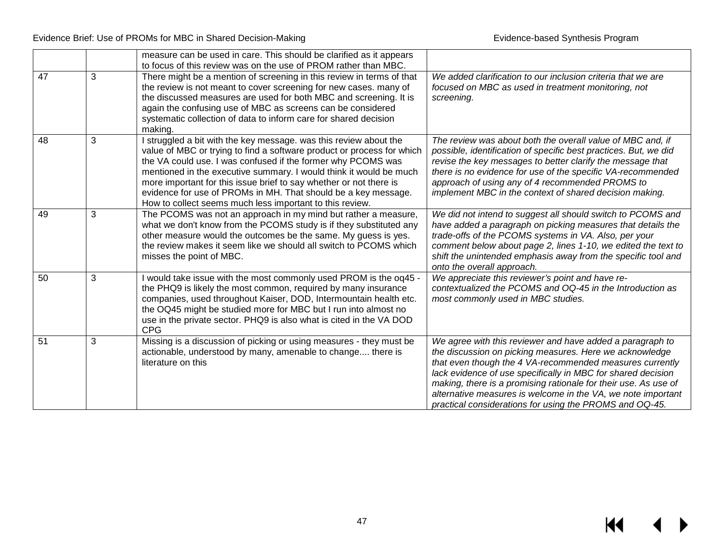|    |   | measure can be used in care. This should be clarified as it appears                                                                                                                                                                                                                                                                                                                                                                                                                   |                                                                                                                                                                                                                                                                                                                                                                                                                                                |
|----|---|---------------------------------------------------------------------------------------------------------------------------------------------------------------------------------------------------------------------------------------------------------------------------------------------------------------------------------------------------------------------------------------------------------------------------------------------------------------------------------------|------------------------------------------------------------------------------------------------------------------------------------------------------------------------------------------------------------------------------------------------------------------------------------------------------------------------------------------------------------------------------------------------------------------------------------------------|
|    |   | to focus of this review was on the use of PROM rather than MBC.                                                                                                                                                                                                                                                                                                                                                                                                                       |                                                                                                                                                                                                                                                                                                                                                                                                                                                |
| 47 | 3 | There might be a mention of screening in this review in terms of that<br>the review is not meant to cover screening for new cases. many of<br>the discussed measures are used for both MBC and screening. It is<br>again the confusing use of MBC as screens can be considered<br>systematic collection of data to inform care for shared decision<br>making.                                                                                                                         | We added clarification to our inclusion criteria that we are<br>focused on MBC as used in treatment monitoring, not<br>screening.                                                                                                                                                                                                                                                                                                              |
| 48 | 3 | I struggled a bit with the key message. was this review about the<br>value of MBC or trying to find a software product or process for which<br>the VA could use. I was confused if the former why PCOMS was<br>mentioned in the executive summary. I would think it would be much<br>more important for this issue brief to say whether or not there is<br>evidence for use of PROMs in MH. That should be a key message.<br>How to collect seems much less important to this review. | The review was about both the overall value of MBC and, if<br>possible, identification of specific best practices. But, we did<br>revise the key messages to better clarify the message that<br>there is no evidence for use of the specific VA-recommended<br>approach of using any of 4 recommended PROMS to<br>implement MBC in the context of shared decision making.                                                                      |
| 49 | 3 | The PCOMS was not an approach in my mind but rather a measure,<br>what we don't know from the PCOMS study is if they substituted any<br>other measure would the outcomes be the same. My guess is yes.<br>the review makes it seem like we should all switch to PCOMS which<br>misses the point of MBC.                                                                                                                                                                               | We did not intend to suggest all should switch to PCOMS and<br>have added a paragraph on picking measures that details the<br>trade-offs of the PCOMS systems in VA. Also, per your<br>comment below about page 2, lines 1-10, we edited the text to<br>shift the unintended emphasis away from the specific tool and<br>onto the overall approach.                                                                                            |
| 50 | 3 | would take issue with the most commonly used PROM is the oq45 -<br>the PHQ9 is likely the most common, required by many insurance<br>companies, used throughout Kaiser, DOD, Intermountain health etc.<br>the OQ45 might be studied more for MBC but I run into almost no<br>use in the private sector. PHQ9 is also what is cited in the VA DOD<br><b>CPG</b>                                                                                                                        | We appreciate this reviewer's point and have re-<br>contextualized the PCOMS and OQ-45 in the Introduction as<br>most commonly used in MBC studies.                                                                                                                                                                                                                                                                                            |
| 51 | 3 | Missing is a discussion of picking or using measures - they must be<br>actionable, understood by many, amenable to change there is<br>literature on this                                                                                                                                                                                                                                                                                                                              | We agree with this reviewer and have added a paragraph to<br>the discussion on picking measures. Here we acknowledge<br>that even though the 4 VA-recommended measures currently<br>lack evidence of use specifically in MBC for shared decision<br>making, there is a promising rationale for their use. As use of<br>alternative measures is welcome in the VA, we note important<br>practical considerations for using the PROMS and OQ-45. |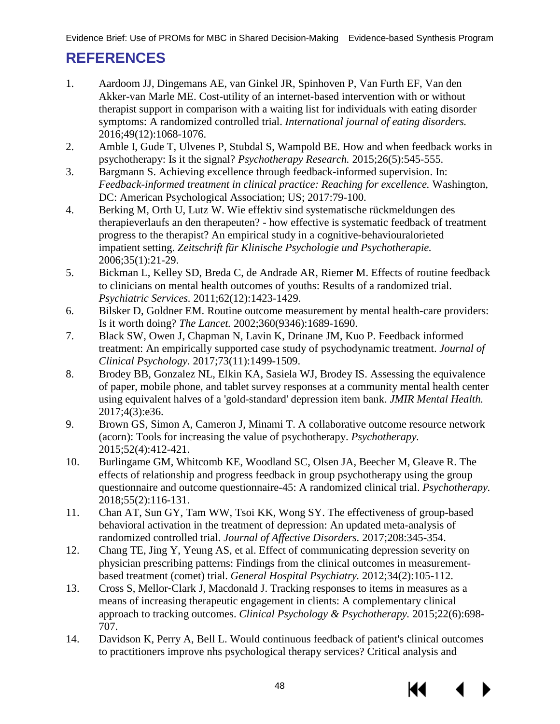# <span id="page-49-0"></span>**REFERENCES**

- 1. Aardoom JJ, Dingemans AE, van Ginkel JR, Spinhoven P, Van Furth EF, Van den Akker-van Marle ME. Cost-utility of an internet-based intervention with or without therapist support in comparison with a waiting list for individuals with eating disorder symptoms: A randomized controlled trial. *International journal of eating disorders.*  2016;49(12):1068-1076.
- 2. Amble I, Gude T, Ulvenes P, Stubdal S, Wampold BE. How and when feedback works in psychotherapy: Is it the signal? *Psychotherapy Research.* 2015;26(5):545-555.
- 3. Bargmann S. Achieving excellence through feedback-informed supervision. In: *Feedback-informed treatment in clinical practice: Reaching for excellence.* Washington, DC: American Psychological Association; US; 2017:79-100.
- 4. Berking M, Orth U, Lutz W. Wie effektiv sind systematische rückmeldungen des therapieverlaufs an den therapeuten? - how effective is systematic feedback of treatment progress to the therapist? An empirical study in a cognitive-behaviouralorieted impatient setting. *Zeitschrift für Klinische Psychologie und Psychotherapie.*  2006;35(1):21-29.
- 5. Bickman L, Kelley SD, Breda C, de Andrade AR, Riemer M. Effects of routine feedback to clinicians on mental health outcomes of youths: Results of a randomized trial. *Psychiatric Services.* 2011;62(12):1423-1429.
- 6. Bilsker D, Goldner EM. Routine outcome measurement by mental health-care providers: Is it worth doing? *The Lancet.* 2002;360(9346):1689-1690.
- 7. Black SW, Owen J, Chapman N, Lavin K, Drinane JM, Kuo P. Feedback informed treatment: An empirically supported case study of psychodynamic treatment. *Journal of Clinical Psychology.* 2017;73(11):1499-1509.
- 8. Brodey BB, Gonzalez NL, Elkin KA, Sasiela WJ, Brodey IS. Assessing the equivalence of paper, mobile phone, and tablet survey responses at a community mental health center using equivalent halves of a 'gold-standard' depression item bank. *JMIR Mental Health.*  2017;4(3):e36.
- 9. Brown GS, Simon A, Cameron J, Minami T. A collaborative outcome resource network (acorn): Tools for increasing the value of psychotherapy. *Psychotherapy.*  2015;52(4):412-421.
- 10. Burlingame GM, Whitcomb KE, Woodland SC, Olsen JA, Beecher M, Gleave R. The effects of relationship and progress feedback in group psychotherapy using the group questionnaire and outcome questionnaire-45: A randomized clinical trial. *Psychotherapy.*  2018;55(2):116-131.
- 11. Chan AT, Sun GY, Tam WW, Tsoi KK, Wong SY. The effectiveness of group-based behavioral activation in the treatment of depression: An updated meta-analysis of randomized controlled trial. *Journal of Affective Disorders.* 2017;208:345-354.
- 12. Chang TE, Jing Y, Yeung AS, et al. Effect of communicating depression severity on physician prescribing patterns: Findings from the clinical outcomes in measurementbased treatment (comet) trial. *General Hospital Psychiatry.* 2012;34(2):105-112.
- 13. Cross S, Mellor-Clark J, Macdonald J. Tracking responses to items in measures as a means of increasing therapeutic engagement in clients: A complementary clinical approach to tracking outcomes. *Clinical Psychology & Psychotherapy.* 2015;22(6):698- 707.
- 14. Davidson K, Perry A, Bell L. Would continuous feedback of patient's clinical outcomes to practitioners improve nhs psychological therapy services? Critical analysis and

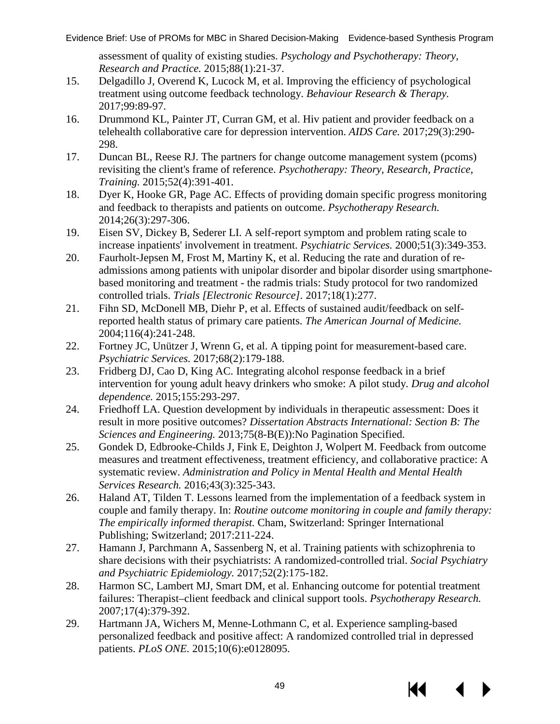assessment of quality of existing studies. *Psychology and Psychotherapy: Theory, Research and Practice.* 2015;88(1):21-37.

- 15. Delgadillo J, Overend K, Lucock M, et al. Improving the efficiency of psychological treatment using outcome feedback technology. *Behaviour Research & Therapy.*  2017;99:89-97.
- 16. Drummond KL, Painter JT, Curran GM, et al. Hiv patient and provider feedback on a telehealth collaborative care for depression intervention. *AIDS Care.* 2017;29(3):290- 298.
- 17. Duncan BL, Reese RJ. The partners for change outcome management system (pcoms) revisiting the client's frame of reference. *Psychotherapy: Theory, Research, Practice, Training.* 2015;52(4):391-401.
- 18. Dyer K, Hooke GR, Page AC. Effects of providing domain specific progress monitoring and feedback to therapists and patients on outcome. *Psychotherapy Research.*  2014;26(3):297-306.
- 19. Eisen SV, Dickey B, Sederer LI. A self-report symptom and problem rating scale to increase inpatients' involvement in treatment. *Psychiatric Services.* 2000;51(3):349-353.
- 20. Faurholt-Jepsen M, Frost M, Martiny K, et al. Reducing the rate and duration of readmissions among patients with unipolar disorder and bipolar disorder using smartphonebased monitoring and treatment - the radmis trials: Study protocol for two randomized controlled trials. *Trials [Electronic Resource].* 2017;18(1):277.
- 21. Fihn SD, McDonell MB, Diehr P, et al. Effects of sustained audit/feedback on selfreported health status of primary care patients. *The American Journal of Medicine.*  2004;116(4):241-248.
- 22. Fortney JC, Unützer J, Wrenn G, et al. A tipping point for measurement-based care. *Psychiatric Services.* 2017;68(2):179-188.
- 23. Fridberg DJ, Cao D, King AC. Integrating alcohol response feedback in a brief intervention for young adult heavy drinkers who smoke: A pilot study. *Drug and alcohol dependence.* 2015;155:293-297.
- 24. Friedhoff LA. Question development by individuals in therapeutic assessment: Does it result in more positive outcomes? *Dissertation Abstracts International: Section B: The Sciences and Engineering.* 2013;75(8-B(E)):No Pagination Specified.
- 25. Gondek D, Edbrooke-Childs J, Fink E, Deighton J, Wolpert M. Feedback from outcome measures and treatment effectiveness, treatment efficiency, and collaborative practice: A systematic review. *Administration and Policy in Mental Health and Mental Health Services Research.* 2016;43(3):325-343.
- 26. Haland AT, Tilden T. Lessons learned from the implementation of a feedback system in couple and family therapy. In: *Routine outcome monitoring in couple and family therapy: The empirically informed therapist.* Cham, Switzerland: Springer International Publishing; Switzerland; 2017:211-224.
- 27. Hamann J, Parchmann A, Sassenberg N, et al. Training patients with schizophrenia to share decisions with their psychiatrists: A randomized-controlled trial. *Social Psychiatry and Psychiatric Epidemiology.* 2017;52(2):175-182.
- 28. Harmon SC, Lambert MJ, Smart DM, et al. Enhancing outcome for potential treatment failures: Therapist–client feedback and clinical support tools. *Psychotherapy Research.*  2007;17(4):379-392.
- 29. Hartmann JA, Wichers M, Menne-Lothmann C, et al. Experience sampling-based personalized feedback and positive affect: A randomized controlled trial in depressed patients. *PLoS ONE.* 2015;10(6):e0128095.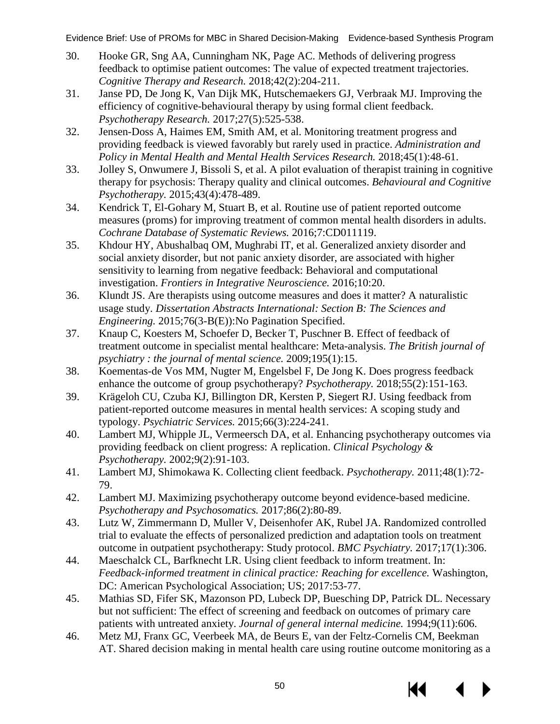- 30. Hooke GR, Sng AA, Cunningham NK, Page AC. Methods of delivering progress feedback to optimise patient outcomes: The value of expected treatment trajectories. *Cognitive Therapy and Research.* 2018;42(2):204-211.
- 31. Janse PD, De Jong K, Van Dijk MK, Hutschemaekers GJ, Verbraak MJ. Improving the efficiency of cognitive-behavioural therapy by using formal client feedback. *Psychotherapy Research.* 2017;27(5):525-538.
- 32. Jensen-Doss A, Haimes EM, Smith AM, et al. Monitoring treatment progress and providing feedback is viewed favorably but rarely used in practice. *Administration and Policy in Mental Health and Mental Health Services Research.* 2018;45(1):48-61.
- 33. Jolley S, Onwumere J, Bissoli S, et al. A pilot evaluation of therapist training in cognitive therapy for psychosis: Therapy quality and clinical outcomes. *Behavioural and Cognitive Psychotherapy.* 2015;43(4):478-489.
- 34. Kendrick T, El-Gohary M, Stuart B, et al. Routine use of patient reported outcome measures (proms) for improving treatment of common mental health disorders in adults. *Cochrane Database of Systematic Reviews.* 2016;7:CD011119.
- 35. Khdour HY, Abushalbaq OM, Mughrabi IT, et al. Generalized anxiety disorder and social anxiety disorder, but not panic anxiety disorder, are associated with higher sensitivity to learning from negative feedback: Behavioral and computational investigation. *Frontiers in Integrative Neuroscience.* 2016;10:20.
- 36. Klundt JS. Are therapists using outcome measures and does it matter? A naturalistic usage study. *Dissertation Abstracts International: Section B: The Sciences and Engineering.* 2015;76(3-B(E)):No Pagination Specified.
- 37. Knaup C, Koesters M, Schoefer D, Becker T, Puschner B. Effect of feedback of treatment outcome in specialist mental healthcare: Meta-analysis. *The British journal of psychiatry : the journal of mental science.* 2009;195(1):15.
- 38. Koementas-de Vos MM, Nugter M, Engelsbel F, De Jong K. Does progress feedback enhance the outcome of group psychotherapy? *Psychotherapy.* 2018;55(2):151-163.
- 39. Krägeloh CU, Czuba KJ, Billington DR, Kersten P, Siegert RJ. Using feedback from patient-reported outcome measures in mental health services: A scoping study and typology. *Psychiatric Services.* 2015;66(3):224-241.
- 40. Lambert MJ, Whipple JL, Vermeersch DA, et al. Enhancing psychotherapy outcomes via providing feedback on client progress: A replication. *Clinical Psychology & Psychotherapy.* 2002;9(2):91-103.
- 41. Lambert MJ, Shimokawa K. Collecting client feedback. *Psychotherapy.* 2011;48(1):72- 79.
- 42. Lambert MJ. Maximizing psychotherapy outcome beyond evidence-based medicine. *Psychotherapy and Psychosomatics.* 2017;86(2):80-89.
- 43. Lutz W, Zimmermann D, Muller V, Deisenhofer AK, Rubel JA. Randomized controlled trial to evaluate the effects of personalized prediction and adaptation tools on treatment outcome in outpatient psychotherapy: Study protocol. *BMC Psychiatry.* 2017;17(1):306.
- 44. Maeschalck CL, Barfknecht LR. Using client feedback to inform treatment. In: *Feedback-informed treatment in clinical practice: Reaching for excellence.* Washington, DC: American Psychological Association; US; 2017:53-77.
- 45. Mathias SD, Fifer SK, Mazonson PD, Lubeck DP, Buesching DP, Patrick DL. Necessary but not sufficient: The effect of screening and feedback on outcomes of primary care patients with untreated anxiety. *Journal of general internal medicine.* 1994;9(11):606.
- 46. Metz MJ, Franx GC, Veerbeek MA, de Beurs E, van der Feltz-Cornelis CM, Beekman AT. Shared decision making in mental health care using routine outcome monitoring as a